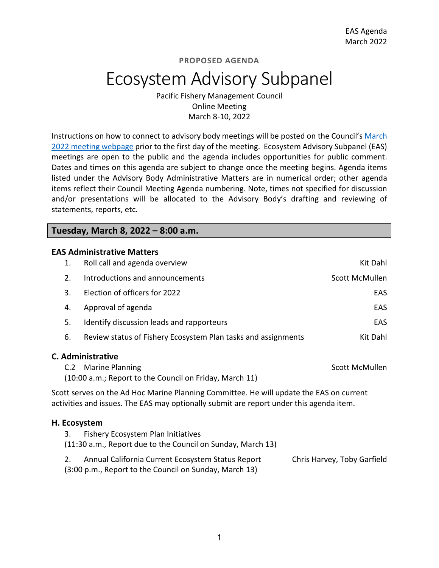# Ecosystem Advisory Subpanel

Pacific Fishery Management Council Online Meeting March 8-10, 2022

Instructions on how to connect to advisory body meetings will be posted on the Council's [March](https://www.pcouncil.org/council_meeting/march-8-14-2022-council-meeting/)  [2022 meeting webpage](https://www.pcouncil.org/council_meeting/march-8-14-2022-council-meeting/) prior to the first day of the meeting. Ecosystem Advisory Subpanel (EAS) meetings are open to the public and the agenda includes opportunities for public comment. Dates and times on this agenda are subject to change once the meeting begins. Agenda items listed under the Advisory Body Administrative Matters are in numerical order; other agenda items reflect their Council Meeting Agenda numbering. Note, times not specified for discussion and/or presentations will be allocated to the Advisory Body's drafting and reviewing of statements, reports, etc.

**Tuesday, March 8, 2022 – 8:00 a.m.**

#### **EAS Administrative Matters**

| 1.                 | Roll call and agenda overview                                                                                                                                                      | Kit Dahl       |
|--------------------|------------------------------------------------------------------------------------------------------------------------------------------------------------------------------------|----------------|
| 2.                 | Introductions and announcements                                                                                                                                                    | Scott McMullen |
| 3.                 | Election of officers for 2022                                                                                                                                                      | EAS            |
| 4.                 | Approval of agenda                                                                                                                                                                 | <b>EAS</b>     |
| 5.                 | Identify discussion leads and rapporteurs                                                                                                                                          | <b>EAS</b>     |
| 6.                 | Review status of Fishery Ecosystem Plan tasks and assignments                                                                                                                      | Kit Dahl       |
|                    | C. Administrative<br>C.2 Marine Planning<br>(10:00 a.m.; Report to the Council on Friday, March 11)                                                                                | Scott McMullen |
|                    | Scott serves on the Ad Hoc Marine Planning Committee. He will update the EAS on current<br>activities and issues. The EAS may optionally submit are report under this agenda item. |                |
| H. Ecosystem<br>3. | Fishery Ecosystem Plan Initiatives                                                                                                                                                 |                |
|                    | (11:30 a.m., Report due to the Council on Sunday, March 13)                                                                                                                        |                |

| Annual California Current Ecosystem Status Report      | Chris Harvey, Toby Garfield |
|--------------------------------------------------------|-----------------------------|
| (3:00 p.m., Report to the Council on Sunday, March 13) |                             |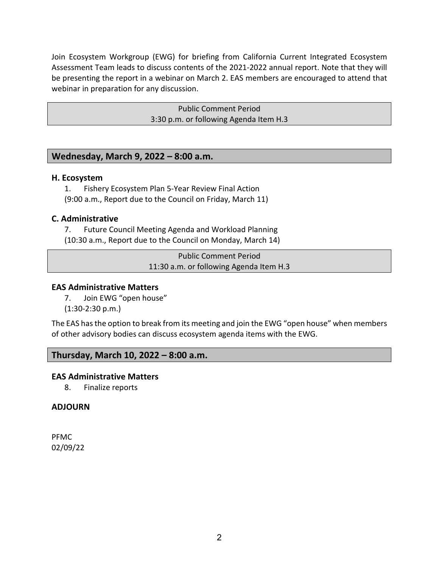Join Ecosystem Workgroup (EWG) for briefing from California Current Integrated Ecosystem Assessment Team leads to discuss contents of the 2021-2022 annual report. Note that they will be presenting the report in a webinar on March 2. EAS members are encouraged to attend that webinar in preparation for any discussion.

> Public Comment Period 3:30 p.m. or following Agenda Item H.3

# **Wednesday, March 9, 2022 – 8:00 a.m.**

#### **H. Ecosystem**

1. Fishery Ecosystem Plan 5-Year Review Final Action

(9:00 a.m., Report due to the Council on Friday, March 11)

## **C. Administrative**

7. Future Council Meeting Agenda and Workload Planning (10:30 a.m., Report due to the Council on Monday, March 14)

> Public Comment Period 11:30 a.m. or following Agenda Item H.3

## **EAS Administrative Matters**

7. Join EWG "open house" (1:30-2:30 p.m.)

The EAS has the option to break from its meeting and join the EWG "open house" when members of other advisory bodies can discuss ecosystem agenda items with the EWG.

# **Thursday, March 10, 2022 – 8:00 a.m.**

## **EAS Administrative Matters**

8. Finalize reports

## **ADJOURN**

PFMC 02/09/22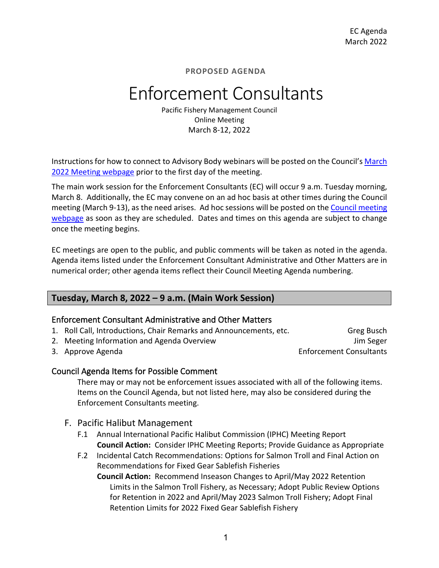# Enforcement Consultants

Pacific Fishery Management Council Online Meeting March 8-12, 2022

Instructions for how to connect to Advisory Body webinars will be posted on the Council'[s March](https://www.pcouncil.org/council_meeting/march-8-14-2022-council-meeting/) 2022 [Meeting webpage](https://www.pcouncil.org/council_meeting/march-8-14-2022-council-meeting/) prior to the first day of the meeting.

The main work session for the Enforcement Consultants (EC) will occur 9 a.m. Tuesday morning, March 8. Additionally, the EC may convene on an ad hoc basis at other times during the Council meeting (March 9-13), as the need arises. Ad hoc sessions will be posted on the [Council meeting](https://www.pcouncil.org/council_meeting/march-8-14-2022-council-meeting/)  [webpage](https://www.pcouncil.org/council_meeting/march-8-14-2022-council-meeting/) as soon as they are scheduled. Dates and times on this agenda are subject to change once the meeting begins.

EC meetings are open to the public, and public comments will be taken as noted in the agenda. Agenda items listed under the Enforcement Consultant Administrative and Other Matters are in numerical order; other agenda items reflect their Council Meeting Agenda numbering.

# **Tuesday, March 8, 2022 – 9 a.m. (Main Work Session)**

## Enforcement Consultant Administrative and Other Matters

- 1. Roll Call, Introductions, Chair Remarks and Announcements, etc. Greg Busch
- 2. Meeting Information and Agenda Overview Jum Seger Jum Seger
- 

3. Approve Agenda **Enforcement Consultants** 

## Council Agenda Items for Possible Comment

There may or may not be enforcement issues associated with all of the following items. Items on the Council Agenda, but not listed here, may also be considered during the Enforcement Consultants meeting.

- F. Pacific Halibut Management
	- F.1 Annual International Pacific Halibut Commission (IPHC) Meeting Report **Council Action:** Consider IPHC Meeting Reports; Provide Guidance as Appropriate
	- F.2 Incidental Catch Recommendations: Options for Salmon Troll and Final Action on Recommendations for Fixed Gear Sablefish Fisheries

**Council Action:** Recommend Inseason Changes to April/May 2022 Retention Limits in the Salmon Troll Fishery, as Necessary; Adopt Public Review Options for Retention in 2022 and April/May 2023 Salmon Troll Fishery; Adopt Final Retention Limits for 2022 Fixed Gear Sablefish Fishery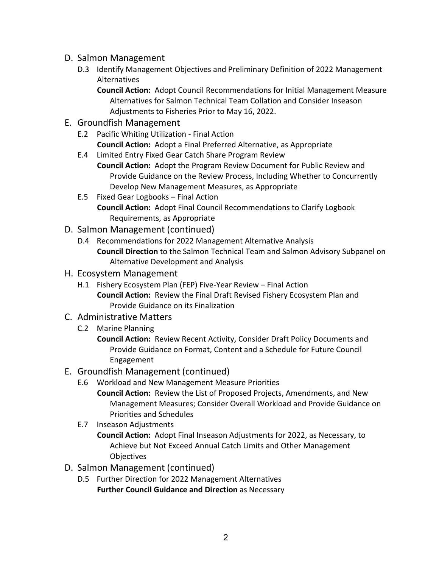- D. Salmon Management
	- D.3 Identify Management Objectives and Preliminary Definition of 2022 Management Alternatives

**Council Action:** Adopt Council Recommendations for Initial Management Measure Alternatives for Salmon Technical Team Collation and Consider Inseason Adjustments to Fisheries Prior to May 16, 2022.

- E. Groundfish Management
	- E.2 Pacific Whiting Utilization Final Action **Council Action:** Adopt a Final Preferred Alternative, as Appropriate
	- E.4 Limited Entry Fixed Gear Catch Share Program Review

**Council Action:** Adopt the Program Review Document for Public Review and Provide Guidance on the Review Process, Including Whether to Concurrently Develop New Management Measures, as Appropriate

- E.5 Fixed Gear Logbooks Final Action **Council Action:** Adopt Final Council Recommendations to Clarify Logbook Requirements, as Appropriate
- D. Salmon Management (continued)
	- D.4 Recommendations for 2022 Management Alternative Analysis **Council Direction** to the Salmon Technical Team and Salmon Advisory Subpanel on Alternative Development and Analysis
- H. Ecosystem Management
	- H.1 Fishery Ecosystem Plan (FEP) Five-Year Review Final Action **Council Action:** Review the Final Draft Revised Fishery Ecosystem Plan and Provide Guidance on its Finalization
- C. Administrative Matters
	- C.2 Marine Planning

**Council Action:** Review Recent Activity, Consider Draft Policy Documents and Provide Guidance on Format, Content and a Schedule for Future Council Engagement

- E. Groundfish Management (continued)
	- E.6 Workload and New Management Measure Priorities **Council Action:** Review the List of Proposed Projects, Amendments, and New Management Measures; Consider Overall Workload and Provide Guidance on Priorities and Schedules
	- E.7 Inseason Adjustments

**Council Action:** Adopt Final Inseason Adjustments for 2022, as Necessary, to Achieve but Not Exceed Annual Catch Limits and Other Management **Objectives** 

- D. Salmon Management (continued)
	- D.5 Further Direction for 2022 Management Alternatives **Further Council Guidance and Direction** as Necessary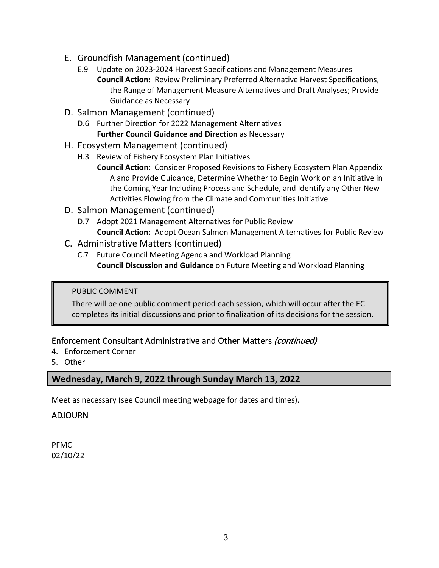- E. Groundfish Management (continued)
	- E.9 Update on 2023-2024 Harvest Specifications and Management Measures **Council Action:** Review Preliminary Preferred Alternative Harvest Specifications, the Range of Management Measure Alternatives and Draft Analyses; Provide Guidance as Necessary
- D. Salmon Management (continued)
	- D.6 Further Direction for 2022 Management Alternatives **Further Council Guidance and Direction** as Necessary
- H. Ecosystem Management (continued)
	- H.3 Review of Fishery Ecosystem Plan Initiatives
		- **Council Action:** Consider Proposed Revisions to Fishery Ecosystem Plan Appendix A and Provide Guidance, Determine Whether to Begin Work on an Initiative in the Coming Year Including Process and Schedule, and Identify any Other New Activities Flowing from the Climate and Communities Initiative
- D. Salmon Management (continued)
	- D.7 Adopt 2021 Management Alternatives for Public Review **Council Action:** Adopt Ocean Salmon Management Alternatives for Public Review
- C. Administrative Matters (continued)
	- C.7 Future Council Meeting Agenda and Workload Planning **Council Discussion and Guidance** on Future Meeting and Workload Planning

## PUBLIC COMMENT

There will be one public comment period each session, which will occur after the EC completes its initial discussions and prior to finalization of its decisions for the session.

# Enforcement Consultant Administrative and Other Matters (continued)

- 4. Enforcement Corner
- 5. Other

# **Wednesday, March 9, 2022 through Sunday March 13, 2022**

Meet as necessary (see Council meeting webpage for dates and times).

# ADJOURN

PFMC 02/10/22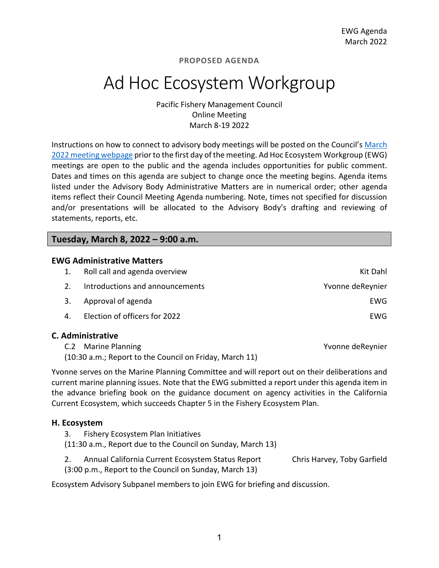# Ad Hoc Ecosystem Workgroup

Pacific Fishery Management Council Online Meeting March 8-19 2022

Instructions on how to connect to advisory body meetings will be posted on the Council's [March](https://www.pcouncil.org/council_meeting/march-8-14-2022-council-meeting/)  [2022 meeting webpage](https://www.pcouncil.org/council_meeting/march-8-14-2022-council-meeting/) prior to the first day of the meeting. Ad Hoc Ecosystem Workgroup (EWG) meetings are open to the public and the agenda includes opportunities for public comment. Dates and times on this agenda are subject to change once the meeting begins. Agenda items listed under the Advisory Body Administrative Matters are in numerical order; other agenda items reflect their Council Meeting Agenda numbering. Note, times not specified for discussion and/or presentations will be allocated to the Advisory Body's drafting and reviewing of statements, reports, etc.

#### **Tuesday, March 8, 2022 – 9:00 a.m.**

| <b>EWG Administrative Matters</b> |                                 |                  |  |
|-----------------------------------|---------------------------------|------------------|--|
|                                   | Roll call and agenda overview   | Kit Dahl         |  |
|                                   | Introductions and announcements | Yvonne deReynier |  |
| 3.                                | Approval of agenda              | EWG              |  |
| 4                                 | Election of officers for 2022   | EWG              |  |
|                                   |                                 |                  |  |

#### **C. Administrative**

| C.2 Marine Planning                                     | Yvonne deReynier |
|---------------------------------------------------------|------------------|
| (10:30 a.m.; Report to the Council on Friday, March 11) |                  |

Yvonne serves on the Marine Planning Committee and will report out on their deliberations and current marine planning issues. Note that the EWG submitted a report under this agenda item in the advance briefing book on the guidance document on agency activities in the California Current Ecosystem, which succeeds Chapter 5 in the Fishery Ecosystem Plan.

#### **H. Ecosystem**

- 3. Fishery Ecosystem Plan Initiatives
- (11:30 a.m., Report due to the Council on Sunday, March 13)
- 2. Annual California Current Ecosystem Status Report Chris Harvey, Toby Garfield (3:00 p.m., Report to the Council on Sunday, March 13)

Ecosystem Advisory Subpanel members to join EWG for briefing and discussion.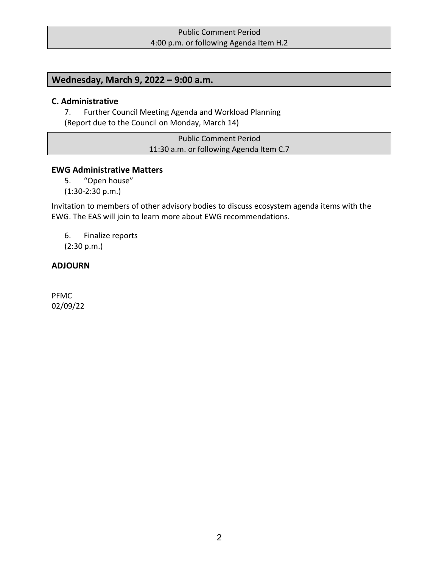# Public Comment Period 4:00 p.m. or following Agenda Item H.2

# **Wednesday, March 9, 2022 – 9:00 a.m.**

#### **C. Administrative**

7. Further Council Meeting Agenda and Workload Planning (Report due to the Council on Monday, March 14)

> Public Comment Period 11:30 a.m. or following Agenda Item C.7

#### **EWG Administrative Matters**

5. "Open house"

(1:30-2:30 p.m.)

Invitation to members of other advisory bodies to discuss ecosystem agenda items with the EWG. The EAS will join to learn more about EWG recommendations.

6. Finalize reports (2:30 p.m.)

# **ADJOURN**

PFMC 02/09/22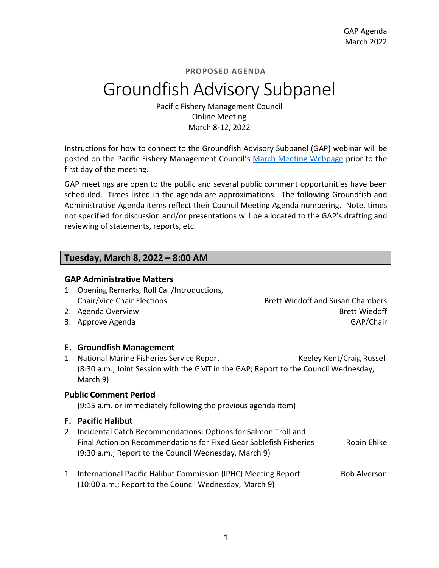# Groundfish Advisory Subpanel

Pacific Fishery Management Council Online Meeting March 8-12, 2022

Instructions for how to connect to the Groundfish Advisory Subpanel (GAP) webinar will be posted on the Pacific Fishery Management Council's [March](https://www.pcouncil.org/council_meeting/march-8-14-2022-council-meeting/) [Meeting Webpage](https://www.pcouncil.org/council_meeting/march-8-14-2022-council-meeting/) prior to the first day of the meeting.

GAP meetings are open to the public and several public comment opportunities have been scheduled. Times listed in the agenda are approximations. The following Groundfish and Administrative Agenda items reflect their Council Meeting Agenda numbering. Note, times not specified for discussion and/or presentations will be allocated to the GAP's drafting and reviewing of statements, reports, etc.

## **Tuesday, March 8, 2022 – 8:00 AM**

#### **GAP Administrative Matters**

- 1. Opening Remarks, Roll Call/Introductions, Chair/Vice Chair Elections Brett Wiedoff and Susan Chambers
- 2. Agenda Overview Brett Wiedoff
- 3. Approve Agenda GAP/Chair

## **E. Groundfish Management**

1. National Marine Fisheries Service Report Keeley Kent/Craig Russell (8:30 a.m.; Joint Session with the GMT in the GAP; Report to the Council Wednesday, March 9)

#### **Public Comment Period**

(9:15 a.m. or immediately following the previous agenda item)

## **F. Pacific Halibut**

- 2. Incidental Catch Recommendations: Options for Salmon Troll and Final Action on Recommendations for Fixed Gear Sablefish Fisheries Robin Ehlke (9:30 a.m.; Report to the Council Wednesday, March 9)
- 1. International Pacific Halibut Commission (IPHC) Meeting Report Bob Alverson (10:00 a.m.; Report to the Council Wednesday, March 9)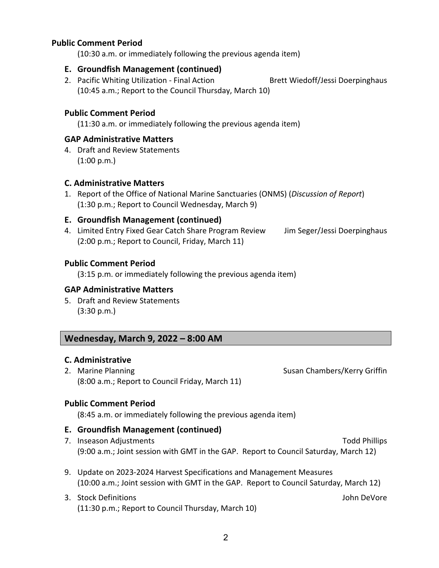# **Public Comment Period**

(10:30 a.m. or immediately following the previous agenda item)

#### **E. Groundfish Management (continued)**

2. Pacific Whiting Utilization - Final Action Brett Wiedoff/Jessi Doerpinghaus (10:45 a.m.; Report to the Council Thursday, March 10)

# **Public Comment Period**

(11:30 a.m. or immediately following the previous agenda item)

# **GAP Administrative Matters**

4. Draft and Review Statements (1:00 p.m.)

## **C. Administrative Matters**

1. Report of the Office of National Marine Sanctuaries (ONMS) (*Discussion of Report*) (1:30 p.m.; Report to Council Wednesday, March 9)

## **E. Groundfish Management (continued)**

4. Limited Entry Fixed Gear Catch Share Program Review Jim Seger/Jessi Doerpinghaus (2:00 p.m.; Report to Council, Friday, March 11)

## **Public Comment Period**

(3:15 p.m. or immediately following the previous agenda item)

## **GAP Administrative Matters**

5. Draft and Review Statements (3:30 p.m.)

## **Wednesday, March 9, 2022 – 8:00 AM**

## **C. Administrative**

2. Marine Planning **Susan Chambers/Kerry Griffin** (8:00 a.m.; Report to Council Friday, March 11)

## **Public Comment Period**

(8:45 a.m. or immediately following the previous agenda item)

## **E. Groundfish Management (continued)**

- 7. Inseason Adjustments Todd Phillips (9:00 a.m.; Joint session with GMT in the GAP. Report to Council Saturday, March 12)
- 9. Update on 2023-2024 Harvest Specifications and Management Measures (10:00 a.m.; Joint session with GMT in the GAP. Report to Council Saturday, March 12)
- 3. Stock Definitions John DeVore (11:30 p.m.; Report to Council Thursday, March 10)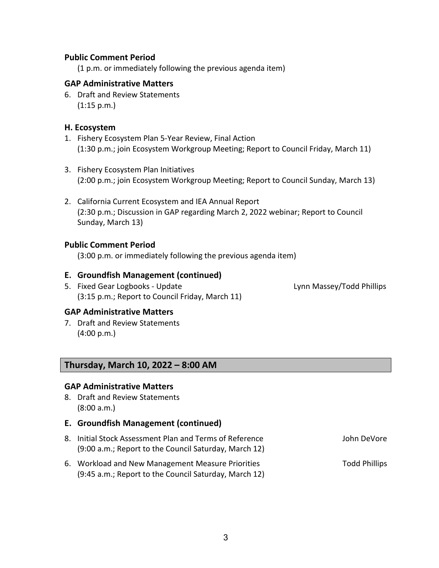#### **Public Comment Period**

(1 p.m. or immediately following the previous agenda item)

#### **GAP Administrative Matters**

6. Draft and Review Statements  $(1:15 \text{ p.m.})$ 

#### **H. Ecosystem**

- 1. Fishery Ecosystem Plan 5-Year Review, Final Action (1:30 p.m.; join Ecosystem Workgroup Meeting; Report to Council Friday, March 11)
- 3. Fishery Ecosystem Plan Initiatives (2:00 p.m.; join Ecosystem Workgroup Meeting; Report to Council Sunday, March 13)
- 2. California Current Ecosystem and IEA Annual Report (2:30 p.m.; Discussion in GAP regarding March 2, 2022 webinar; Report to Council Sunday, March 13)

#### **Public Comment Period**

(3:00 p.m. or immediately following the previous agenda item)

#### **E. Groundfish Management (continued)**

5. Fixed Gear Logbooks - Update Lynn Massey/Todd Phillips (3:15 p.m.; Report to Council Friday, March 11)

#### **GAP Administrative Matters**

7. Draft and Review Statements (4:00 p.m.)

# **Thursday, March 10, 2022 – 8:00 AM**

#### **GAP Administrative Matters**

- 8. Draft and Review Statements (8:00 a.m.)
- **E. Groundfish Management (continued)**
- 8. Initial Stock Assessment Plan and Terms of Reference The Music Storm DeVore (9:00 a.m.; Report to the Council Saturday, March 12)
- 6. Workload and New Management Measure Priorities Theorem 2006 Phillips (9:45 a.m.; Report to the Council Saturday, March 12)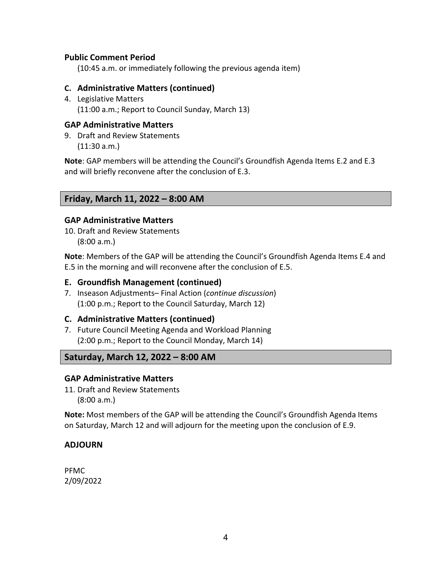# **Public Comment Period**

(10:45 a.m. or immediately following the previous agenda item)

# **C. Administrative Matters (continued)**

4. Legislative Matters (11:00 a.m.; Report to Council Sunday, March 13)

# **GAP Administrative Matters**

9. Draft and Review Statements (11:30 a.m.)

**Note**: GAP members will be attending the Council's Groundfish Agenda Items E.2 and E.3 and will briefly reconvene after the conclusion of E.3.

# **Friday, March 11, 2022 – 8:00 AM**

# **GAP Administrative Matters**

10. Draft and Review Statements (8:00 a.m.)

**Note**: Members of the GAP will be attending the Council's Groundfish Agenda Items E.4 and E.5 in the morning and will reconvene after the conclusion of E.5.

# **E. Groundfish Management (continued)**

7. Inseason Adjustments– Final Action (*continue discussion*) (1:00 p.m.; Report to the Council Saturday, March 12)

# **C. Administrative Matters (continued)**

7. Future Council Meeting Agenda and Workload Planning (2:00 p.m.; Report to the Council Monday, March 14)

# **Saturday, March 12, 2022 – 8:00 AM**

## **GAP Administrative Matters**

11. Draft and Review Statements (8:00 a.m.)

**Note:** Most members of the GAP will be attending the Council's Groundfish Agenda Items on Saturday, March 12 and will adjourn for the meeting upon the conclusion of E.9.

# **ADJOURN**

PFMC 2/09/2022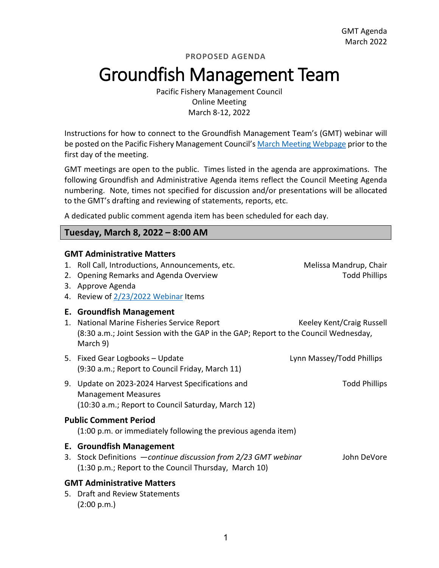# Groundfish Management Team

Pacific Fishery Management Council Online Meeting March 8-12, 2022

Instructions for how to connect to the Groundfish Management Team's (GMT) webinar will be posted on the Pacific Fishery Management Council's [March](https://www.pcouncil.org/council_meeting/march-8-14-2022-council-meeting/) [Meeting Webpage](https://www.pcouncil.org/council_meeting/march-8-14-2022-council-meeting/) prior to the first day of the meeting.

GMT meetings are open to the public. Times listed in the agenda are approximations. The following Groundfish and Administrative Agenda items reflect the Council Meeting Agenda numbering. Note, times not specified for discussion and/or presentations will be allocated to the GMT's drafting and reviewing of statements, reports, etc.

A dedicated public comment agenda item has been scheduled for each day.

# **Tuesday, March 8, 2022 – 8:00 AM**

#### **GMT Administrative Matters**

| 2. | 1. Roll Call, Introductions, Announcements, etc.<br>Opening Remarks and Agenda Overview<br>3. Approve Agenda<br>4. Review of 2/23/2022 Webinar Items | Melissa Mandrup, Chair<br><b>Todd Phillips</b> |
|----|------------------------------------------------------------------------------------------------------------------------------------------------------|------------------------------------------------|
|    | <b>E. Groundfish Management</b>                                                                                                                      |                                                |
| 1. | National Marine Fisheries Service Report<br>(8:30 a.m.; Joint Session with the GAP in the GAP; Report to the Council Wednesday,<br>March 9)          | Keeley Kent/Craig Russell                      |
|    | 5. Fixed Gear Logbooks - Update<br>(9:30 a.m.; Report to Council Friday, March 11)                                                                   | Lynn Massey/Todd Phillips                      |
|    | 9. Update on 2023-2024 Harvest Specifications and<br><b>Management Measures</b>                                                                      | <b>Todd Phillips</b>                           |
|    | (10:30 a.m.; Report to Council Saturday, March 12)                                                                                                   |                                                |
|    | <b>Public Comment Period</b><br>(1:00 p.m. or immediately following the previous agenda item)                                                        |                                                |
|    | <b>E. Groundfish Management</b>                                                                                                                      |                                                |
| 3. | Stock Definitions - continue discussion from 2/23 GMT webinar<br>(1:30 p.m.; Report to the Council Thursday, March 10)                               | John DeVore                                    |
|    | <b>GMT Administrative Matters</b><br>5. Draft and Review Statements<br>(2:00 p.m.)                                                                   |                                                |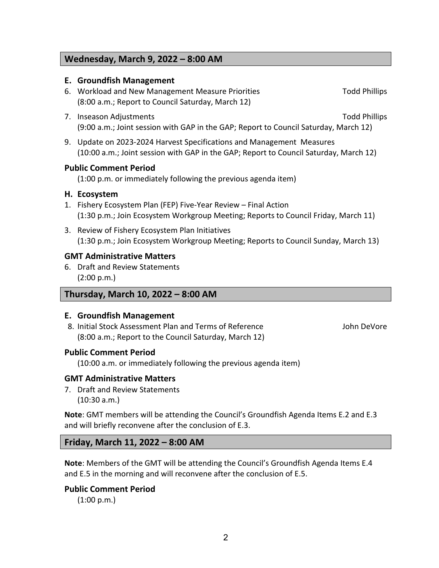# **Wednesday, March 9, 2022 – 8:00 AM**

#### **E. Groundfish Management**

- 6. Workload and New Management Measure Priorities Theorem 2006 Phillips (8:00 a.m.; Report to Council Saturday, March 12)
- 7. Inseason Adjustments Todd Phillips (9:00 a.m.; Joint session with GAP in the GAP; Report to Council Saturday, March 12)
- 9. Update on 2023-2024 Harvest Specifications and Management Measures (10:00 a.m.; Joint session with GAP in the GAP; Report to Council Saturday, March 12)

#### **Public Comment Period**

(1:00 p.m. or immediately following the previous agenda item)

#### **H. Ecosystem**

- 1. Fishery Ecosystem Plan (FEP) Five-Year Review Final Action (1:30 p.m.; Join Ecosystem Workgroup Meeting; Reports to Council Friday, March 11)
- 3. Review of Fishery Ecosystem Plan Initiatives (1:30 p.m.; Join Ecosystem Workgroup Meeting; Reports to Council Sunday, March 13)

#### **GMT Administrative Matters**

6. Draft and Review Statements (2:00 p.m.)

## **Thursday, March 10, 2022 – 8:00 AM**

#### **E. Groundfish Management**

8. Initial Stock Assessment Plan and Terms of Reference The Music Communist Communist Communist Communist Communist Communist Communist Communist Communist Communist Communist Communist Communist Communist Communist Commun (8:00 a.m.; Report to the Council Saturday, March 12)

## **Public Comment Period**

(10:00 a.m. or immediately following the previous agenda item)

## **GMT Administrative Matters**

7. Draft and Review Statements (10:30 a.m.)

**Note**: GMT members will be attending the Council's Groundfish Agenda Items E.2 and E.3 and will briefly reconvene after the conclusion of E.3.

## **Friday, March 11, 2022 – 8:00 AM**

**Note**: Members of the GMT will be attending the Council's Groundfish Agenda Items E.4 and E.5 in the morning and will reconvene after the conclusion of E.5.

## **Public Comment Period**

(1:00 p.m.)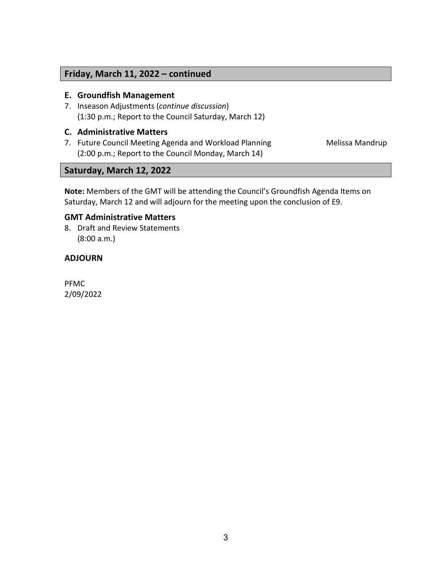# **Friday, March 11, 2022 – continued**

#### **E. Groundfish Management**

7. Inseason Adjustments (*continue discussion*) (1:30 p.m.; Report to the Council Saturday, March 12)

#### **C. Administrative Matters**

7. Future Council Meeting Agenda and Workload Planning Melissa Mandrup (2:00 p.m.; Report to the Council Monday, March 14)

# **Saturday, March 12, 2022**

**Note:** Members of the GMT will be attending the Council's Groundfish Agenda Items on Saturday, March 12 and will adjourn for the meeting upon the conclusion of E9.

# **GMT Administrative Matters**

8. Draft and Review Statements (8:00 a.m.)

## **ADJOURN**

PFMC 2/09/2022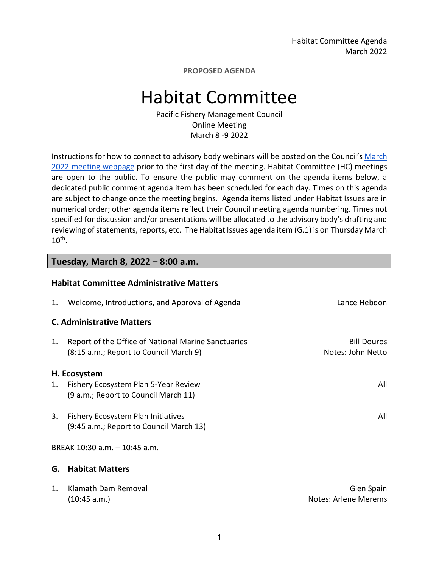Habitat Committee Agenda March 2022

**PROPOSED AGENDA**

# Habitat Committee

Pacific Fishery Management Council Online Meeting March 8 -9 2022

Instructions for how to connect to advisory body webinars will be posted on the Council'[s March](https://www.pcouncil.org/council_meeting/march-8-14-2022-council-meeting/)  [2022](https://www.pcouncil.org/council_meeting/march-8-14-2022-council-meeting/) [meeting webpage](https://www.pcouncil.org/council_meeting/march-8-14-2022-council-meeting/) prior to the first day of the meeting. Habitat Committee (HC) meetings are open to the public. To ensure the public may comment on the agenda items below, a dedicated public comment agenda item has been scheduled for each day. Times on this agenda are subject to change once the meeting begins. Agenda items listed under Habitat Issues are in numerical order; other agenda items reflect their Council meeting agenda numbering. Times not specified for discussion and/or presentations will be allocated to the advisory body's drafting and reviewing of statements, reports, etc. The Habitat Issues agenda item (G.1) is on Thursday March 10th.

#### **Tuesday, March 8, 2022 – 8:00 a.m.**

#### **Habitat Committee Administrative Matters**

| 1.             | Welcome, Introductions, and Approval of Agenda                                                | Lance Hebdon                            |
|----------------|-----------------------------------------------------------------------------------------------|-----------------------------------------|
|                | <b>C. Administrative Matters</b>                                                              |                                         |
| 1.             | Report of the Office of National Marine Sanctuaries<br>(8:15 a.m.; Report to Council March 9) | <b>Bill Douros</b><br>Notes: John Netto |
|                | H. Ecosystem                                                                                  |                                         |
| 1.             | Fishery Ecosystem Plan 5-Year Review<br>(9 a.m.; Report to Council March 11)                  | All                                     |
| 3.             | Fishery Ecosystem Plan Initiatives<br>(9:45 a.m.; Report to Council March 13)                 | All                                     |
|                | BREAK 10:30 a.m. - 10:45 a.m.                                                                 |                                         |
| G.             | <b>Habitat Matters</b>                                                                        |                                         |
| $\mathbf{1}$ . | Klamath Dam Removal<br>(10:45 a.m.)                                                           | Glen Spain<br>Notes: Arlene Merems      |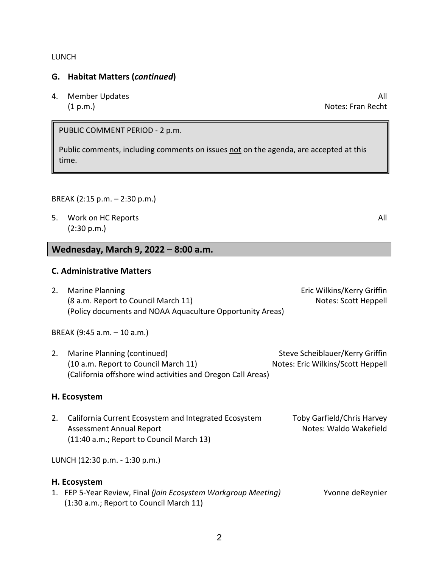#### LUNCH

#### **G. Habitat Matters (***continued***)**

4. Member Updates All and the set of the set of the set of the set of the set of the set of the set of the set of the set of the set of the set of the set of the set of the set of the set of the set of the set of the set o (1 p.m.) Notes: Fran Recht

PUBLIC COMMENT PERIOD - 2 p.m.

Public comments, including comments on issues not on the agenda, are accepted at this time.

#### BREAK (2:15 p.m. – 2:30 p.m.)

5. Work on HC Reports All and the state of the state of the state of the state of the state of the state of the state of the state of the state of the state of the state of the state of the state of the state of the state (2:30 p.m.)

# **Wednesday, March 9, 2022 – 8:00 a.m.**

#### **C. Administrative Matters**

2. Marine Planning **Example 2. Construction** Eric Wilkins/Kerry Griffin (8 a.m. Report to Council March 11) All the Scott Heppell (8 a.m. Report to Council March 11) (Policy documents and NOAA Aquaculture Opportunity Areas)

BREAK (9:45 a.m. – 10 a.m.)

2. Marine Planning (continued) Steve Scheiblauer/Kerry Griffin (10 a.m. Report to Council March 11) Notes: Eric Wilkins/Scott Heppell (California offshore wind activities and Oregon Call Areas)

#### **H. Ecosystem**

2. California Current Ecosystem and Integrated Ecosystem Toby Garfield/Chris Harvey Assessment Annual Report Notes: Waldo Wakefield (11:40 a.m.; Report to Council March 13)

LUNCH (12:30 p.m. - 1:30 p.m.)

#### **H. Ecosystem**

| 1. FEP 5-Year Review, Final (join Ecosystem Workgroup Meeting) | Yvonne deReynier |
|----------------------------------------------------------------|------------------|
| (1:30 a.m.; Report to Council March 11)                        |                  |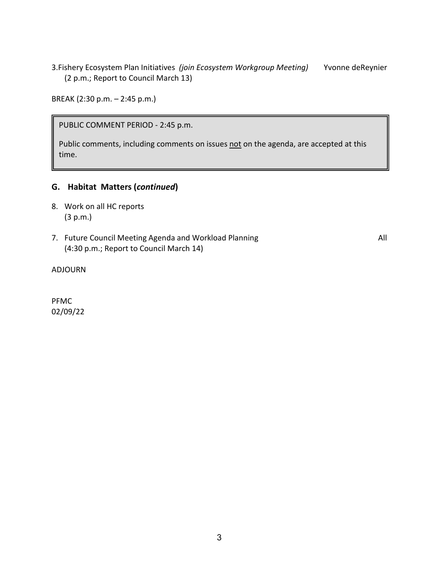3.Fishery Ecosystem Plan Initiatives *(join Ecosystem Workgroup Meeting)* Yvonne deReynier (2 p.m.; Report to Council March 13)

BREAK (2:30 p.m. – 2:45 p.m.)

PUBLIC COMMENT PERIOD - 2:45 p.m.

Public comments, including comments on issues not on the agenda, are accepted at this time.

# **G. Habitat Matters (***continued***)**

- 8. Work on all HC reports (3 p.m.)
- 7. Future Council Meeting Agenda and Workload Planning Theorem 2012 1996 All (4:30 p.m.; Report to Council March 14)

ADJOURN

PFMC 02/09/22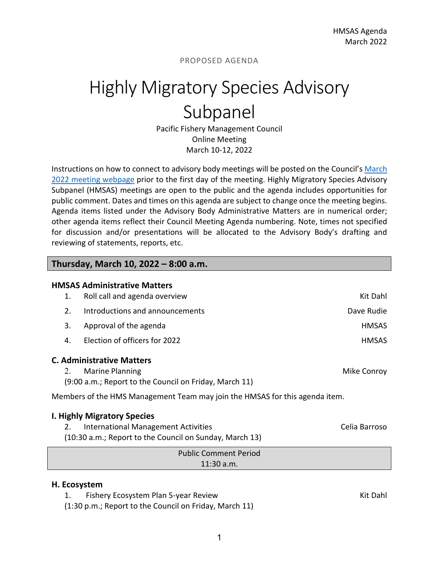# Highly Migratory Species Advisory Subpanel

Pacific Fishery Management Council Online Meeting March 10-12, 2022

Instructions on how to connect to advisory body meetings will be posted on the Council's March [2022 meeting webpage](https://www.pcouncil.org/council_meeting/march-8-14-2022-council-meeting/) prior to the first day of the meeting. Highly Migratory Species Advisory Subpanel (HMSAS) meetings are open to the public and the agenda includes opportunities for public comment. Dates and times on this agenda are subject to change once the meeting begins. Agenda items listed under the Advisory Body Administrative Matters are in numerical order; other agenda items reflect their Council Meeting Agenda numbering. Note, times not specified for discussion and/or presentations will be allocated to the Advisory Body's drafting and reviewing of statements, reports, etc.

#### **Thursday, March 10, 2022 – 8:00 a.m.**

| <b>HMSAS Administrative Matters</b>                                         |                                                        |              |  |
|-----------------------------------------------------------------------------|--------------------------------------------------------|--------------|--|
| 1.                                                                          | Roll call and agenda overview                          | Kit Dahl     |  |
| 2.                                                                          | Introductions and announcements                        | Dave Rudie   |  |
| 3.                                                                          | Approval of the agenda                                 | <b>HMSAS</b> |  |
| 4.                                                                          | Election of officers for 2022                          | <b>HMSAS</b> |  |
|                                                                             | <b>C. Administrative Matters</b>                       |              |  |
| 2.                                                                          | <b>Marine Planning</b>                                 | Mike Conroy  |  |
|                                                                             | (9:00 a.m.; Report to the Council on Friday, March 11) |              |  |
| Members of the HMS Management Team may join the HMSAS for this agenda item. |                                                        |              |  |
| <b>I. Highly Migratory Species</b>                                          |                                                        |              |  |

2. International Management Activities **CEL 2. International Management Activities** Celia Barroso (10:30 a.m.; Report to the Council on Sunday, March 13)

| <b>Public Comment Period</b> |
|------------------------------|
| $11:30$ a.m.                 |

#### **H. Ecosystem**

1. Fishery Ecosystem Plan 5-year Review Kit Dahl Number 2014 1997 Kit Dahl

(1:30 p.m.; Report to the Council on Friday, March 11)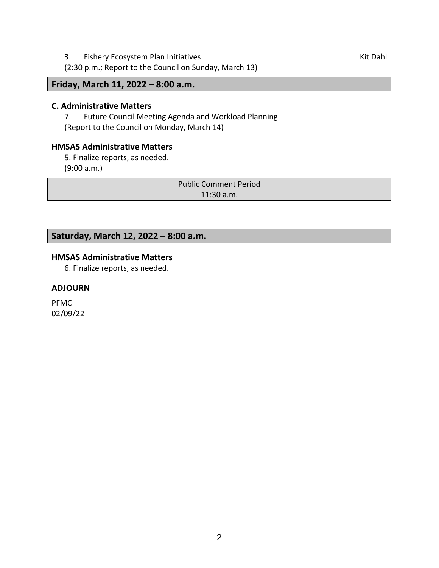3. Fishery Ecosystem Plan Initiatives **Kit Dahl** Assessment Richards Kit Dahl Assessment Richards Richards Richards Kit Dahl

(2:30 p.m.; Report to the Council on Sunday, March 13)

**Friday, March 11, 2022 – 8:00 a.m.** 

#### **C. Administrative Matters**

7. Future Council Meeting Agenda and Workload Planning (Report to the Council on Monday, March 14)

# **HMSAS Administrative Matters**

5. Finalize reports, as needed. (9:00 a.m.)

> Public Comment Period 11:30 a.m.

# **Saturday, March 12, 2022 – 8:00 a.m.**

# **HMSAS Administrative Matters**

6. Finalize reports, as needed.

#### **ADJOURN**

PFMC 02/09/22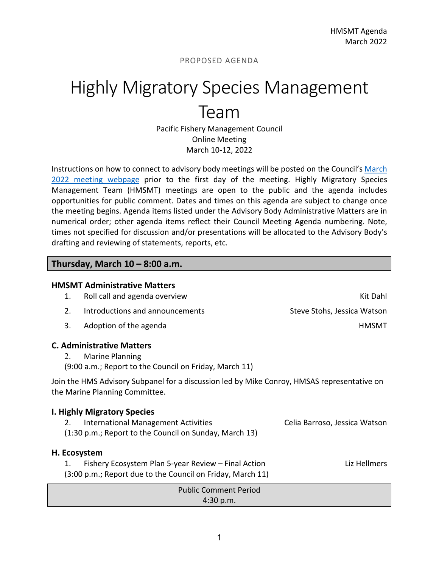# Highly Migratory Species Management Team

Pacific Fishery Management Council Online Meeting March 10-12, 2022

Instructions on how to connect to advisory body meetings will be posted on the Council's March [2022 meeting webpage](https://www.pcouncil.org/council_meeting/march-8-14-2022-council-meeting/) prior to the first day of the meeting. Highly Migratory Species Management Team (HMSMT) meetings are open to the public and the agenda includes opportunities for public comment. Dates and times on this agenda are subject to change once the meeting begins. Agenda items listed under the Advisory Body Administrative Matters are in numerical order; other agenda items reflect their Council Meeting Agenda numbering. Note, times not specified for discussion and/or presentations will be allocated to the Advisory Body's drafting and reviewing of statements, reports, etc.

## **Thursday, March 10 – 8:00 a.m.**

|                                                                                                                               | <b>HMSMT Administrative Matters</b>                                                                               |                               |
|-------------------------------------------------------------------------------------------------------------------------------|-------------------------------------------------------------------------------------------------------------------|-------------------------------|
| 1.                                                                                                                            | Roll call and agenda overview                                                                                     | Kit Dahl                      |
| 2.                                                                                                                            | Introductions and announcements                                                                                   | Steve Stohs, Jessica Watson   |
| 3.                                                                                                                            | Adoption of the agenda                                                                                            | <b>HMSMT</b>                  |
|                                                                                                                               | <b>C. Administrative Matters</b>                                                                                  |                               |
| 2.                                                                                                                            | Marine Planning<br>(9:00 a.m.; Report to the Council on Friday, March 11)                                         |                               |
| Join the HMS Advisory Subpanel for a discussion led by Mike Conroy, HMSAS representative on<br>the Marine Planning Committee. |                                                                                                                   |                               |
|                                                                                                                               | <b>I. Highly Migratory Species</b>                                                                                |                               |
| 2.                                                                                                                            | <b>International Management Activities</b><br>(1:30 p.m.; Report to the Council on Sunday, March 13)              | Celia Barroso, Jessica Watson |
| H. Ecosystem                                                                                                                  |                                                                                                                   |                               |
| 1.                                                                                                                            | Fishery Ecosystem Plan 5-year Review – Final Action<br>(3:00 p.m.; Report due to the Council on Friday, March 11) | Liz Hellmers                  |
|                                                                                                                               | <b>Public Comment Period</b>                                                                                      |                               |
|                                                                                                                               | 4:30 p.m.                                                                                                         |                               |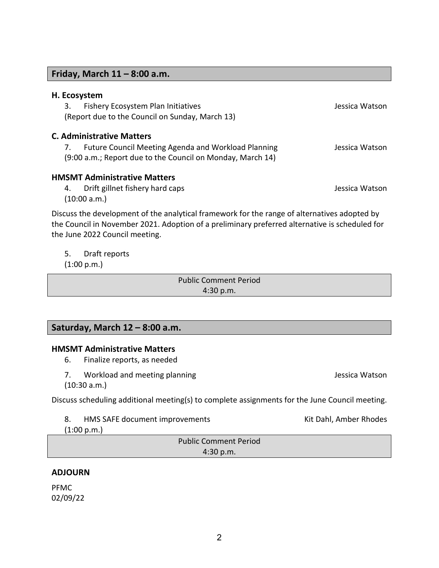**Friday, March 11 – 8:00 a.m.** 

**H. Ecosystem**

| Fishery Ecosystem Plan Initiatives<br>3.<br>(Report due to the Council on Sunday, March 13)                                                                                                                                      | Jessica Watson |
|----------------------------------------------------------------------------------------------------------------------------------------------------------------------------------------------------------------------------------|----------------|
| <b>C. Administrative Matters</b><br><b>Future Council Meeting Agenda and Workload Planning</b><br>7.                                                                                                                             | Jessica Watson |
| (9:00 a.m.; Report due to the Council on Monday, March 14)                                                                                                                                                                       |                |
| <b>HMSMT Administrative Matters</b>                                                                                                                                                                                              |                |
| Drift gillnet fishery hard caps<br>4.<br>(10:00 a.m.)                                                                                                                                                                            | Jessica Watson |
| Discuss the development of the analytical framework for the range of alternatives adopted by<br>the Council in November 2021. Adoption of a preliminary preferred alternative is scheduled for<br>the June 2022 Council meeting. |                |

5. Draft reports

(1:00 p.m.)

Public Comment Period 4:30 p.m.

# **Saturday, March 12 – 8:00 a.m.**

#### **HMSMT Administrative Matters**

- 6. Finalize reports, as needed
- 7. Workload and meeting planning and states are all the series of the series of the Matson (10:30 a.m.)

Discuss scheduling additional meeting(s) to complete assignments for the June Council meeting.

8. HMS SAFE document improvements The Controller Controller Kit Dahl, Amber Rhodes

(1:00 p.m.)

Public Comment Period 4:30 p.m.

## **ADJOURN**

PFMC 02/09/22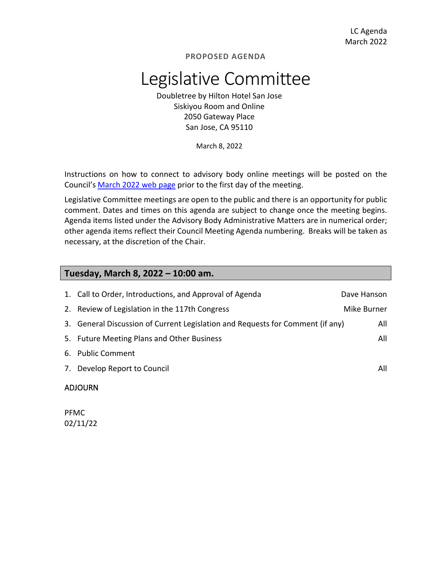# Legislative Committee

Doubletree by Hilton Hotel San Jose Siskiyou Room and Online 2050 Gateway Place San Jose, CA 95110

March 8, 2022

Instructions on how to connect to advisory body online meetings will be posted on the Council's March 2022 [web page](https://www.pcouncil.org/council_meeting/march-8-14-2022-council-meeting/) prior to the first day of the meeting.

Legislative Committee meetings are open to the public and there is an opportunity for public comment. Dates and times on this agenda are subject to change once the meeting begins. Agenda items listed under the Advisory Body Administrative Matters are in numerical order; other agenda items reflect their Council Meeting Agenda numbering. Breaks will be taken as necessary, at the discretion of the Chair.

# **Tuesday, March 8, 2022 – 10:00 am.**

| 1. Call to Order, Introductions, and Approval of Agenda                        | Dave Hanson |  |
|--------------------------------------------------------------------------------|-------------|--|
| 2. Review of Legislation in the 117th Congress                                 | Mike Burner |  |
| 3. General Discussion of Current Legislation and Requests for Comment (if any) | All         |  |
| 5. Future Meeting Plans and Other Business                                     | All         |  |
| 6. Public Comment                                                              |             |  |
| 7. Develop Report to Council                                                   | All         |  |
| <b>ADJOURN</b>                                                                 |             |  |

PFMC 02/11/22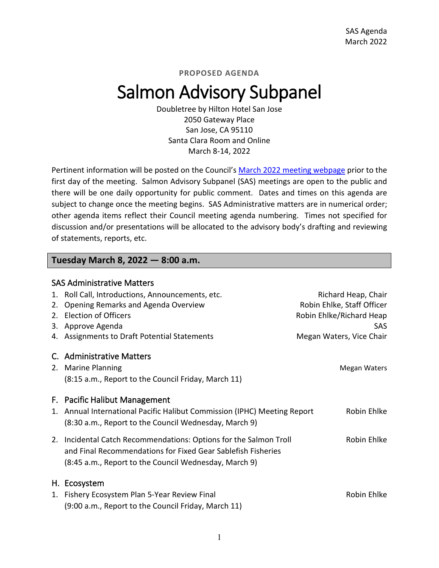# Salmon Advisory Subpanel

Doubletree by Hilton Hotel San Jose 2050 Gateway Place San Jose, CA 95110 Santa Clara Room and Online March 8-14, 2022

Pertinent information will be posted on the Council's March 2022 [meeting webpage](https://www.pcouncil.org/council_meeting/march-8-14-2022-council-meeting/) prior to the first day of the meeting. Salmon Advisory Subpanel (SAS) meetings are open to the public and there will be one daily opportunity for public comment. Dates and times on this agenda are subject to change once the meeting begins. SAS Administrative matters are in numerical order; other agenda items reflect their Council meeting agenda numbering. Times not specified for discussion and/or presentations will be allocated to the advisory body's drafting and reviewing of statements, reports, etc.

# **Tuesday March 8, 2022 — 8:00 a.m.**

| <b>SAS Administrative Matters</b> |                                                                                                                                                                                            |                                                   |  |  |
|-----------------------------------|--------------------------------------------------------------------------------------------------------------------------------------------------------------------------------------------|---------------------------------------------------|--|--|
| 1.<br>2.                          | Roll Call, Introductions, Announcements, etc.<br>Opening Remarks and Agenda Overview                                                                                                       | Richard Heap, Chair<br>Robin Ehlke, Staff Officer |  |  |
| 2.                                | <b>Election of Officers</b>                                                                                                                                                                | Robin Ehlke/Richard Heap                          |  |  |
|                                   | 3. Approve Agenda<br>4. Assignments to Draft Potential Statements                                                                                                                          | <b>SAS</b><br>Megan Waters, Vice Chair            |  |  |
|                                   | C. Administrative Matters<br>2. Marine Planning<br>(8:15 a.m., Report to the Council Friday, March 11)                                                                                     | <b>Megan Waters</b>                               |  |  |
|                                   | F. Pacific Halibut Management<br>1. Annual International Pacific Halibut Commission (IPHC) Meeting Report<br>(8:30 a.m., Report to the Council Wednesday, March 9)                         | Robin Ehlke                                       |  |  |
|                                   | 2. Incidental Catch Recommendations: Options for the Salmon Troll<br>and Final Recommendations for Fixed Gear Sablefish Fisheries<br>(8:45 a.m., Report to the Council Wednesday, March 9) | Robin Ehlke                                       |  |  |
|                                   | H. Ecosystem<br>1. Fishery Ecosystem Plan 5-Year Review Final<br>(9:00 a.m., Report to the Council Friday, March 11)                                                                       | Robin Ehlke                                       |  |  |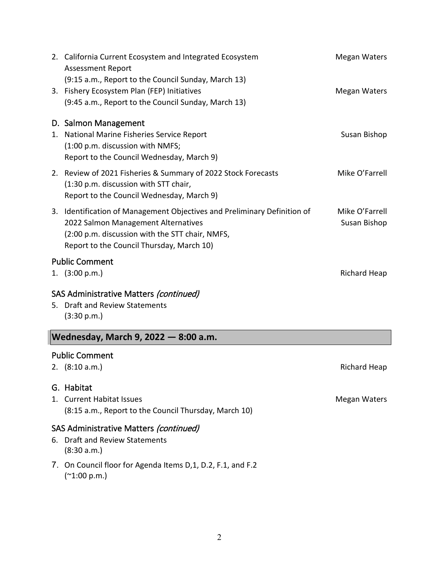|    | 2. California Current Ecosystem and Integrated Ecosystem<br><b>Assessment Report</b>                                                                                                                            | Megan Waters                   |
|----|-----------------------------------------------------------------------------------------------------------------------------------------------------------------------------------------------------------------|--------------------------------|
|    | (9:15 a.m., Report to the Council Sunday, March 13)<br>3. Fishery Ecosystem Plan (FEP) Initiatives<br>(9:45 a.m., Report to the Council Sunday, March 13)                                                       | Megan Waters                   |
|    | D. Salmon Management<br>1. National Marine Fisheries Service Report<br>(1:00 p.m. discussion with NMFS;<br>Report to the Council Wednesday, March 9)                                                            | Susan Bishop                   |
|    | 2. Review of 2021 Fisheries & Summary of 2022 Stock Forecasts<br>(1:30 p.m. discussion with STT chair,<br>Report to the Council Wednesday, March 9)                                                             | Mike O'Farrell                 |
|    | 3. Identification of Management Objectives and Preliminary Definition of<br>2022 Salmon Management Alternatives<br>(2:00 p.m. discussion with the STT chair, NMFS,<br>Report to the Council Thursday, March 10) | Mike O'Farrell<br>Susan Bishop |
|    | <b>Public Comment</b>                                                                                                                                                                                           |                                |
|    | 1. $(3:00 p.m.)$                                                                                                                                                                                                | Richard Heap                   |
| 5. | SAS Administrative Matters (continued)<br><b>Draft and Review Statements</b><br>(3:30 p.m.)                                                                                                                     |                                |

# **Wednesday, March 9, 2022 — 8:00 a.m.**

#### Public Comment

2. (8:10 a.m.) Richard Heap

## G. Habitat

1. Current Habitat Issues and the set of the set of the Megan Waters Megan Waters (8:15 a.m., Report to the Council Thursday, March 10)

# SAS Administrative Matters (continued)

- 6. Draft and Review Statements (8:30 a.m.)
- 7. On Council floor for Agenda Items D,1, D.2, F.1, and F.2 (~1:00 p.m.)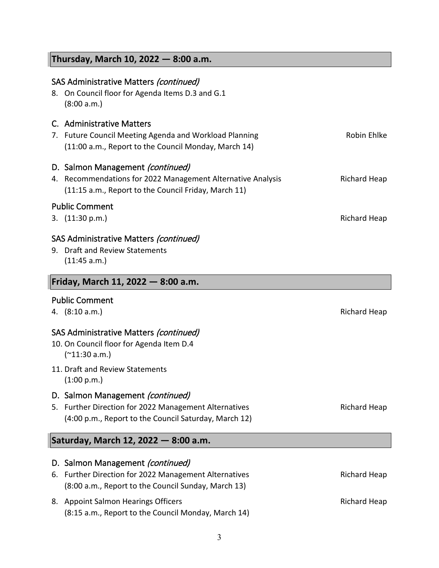# **Thursday, March 10, 2022 — 8:00 a.m.**

|    | SAS Administrative Matters (continued)<br>8. On Council floor for Agenda Items D.3 and G.1<br>(8:00 a.m.)                                               |                     |
|----|---------------------------------------------------------------------------------------------------------------------------------------------------------|---------------------|
|    | C. Administrative Matters<br>7. Future Council Meeting Agenda and Workload Planning<br>(11:00 a.m., Report to the Council Monday, March 14)             | Robin Ehlke         |
|    | D. Salmon Management (continued)<br>4. Recommendations for 2022 Management Alternative Analysis<br>(11:15 a.m., Report to the Council Friday, March 11) | <b>Richard Heap</b> |
|    | <b>Public Comment</b><br>3. (11:30 p.m.)                                                                                                                | <b>Richard Heap</b> |
|    | SAS Administrative Matters (continued)<br>9. Draft and Review Statements<br>(11:45 a.m.)                                                                |                     |
|    | Friday, March 11, 2022 - 8:00 a.m.                                                                                                                      |                     |
|    | <b>Public Comment</b><br>4. (8:10 a.m.)                                                                                                                 | <b>Richard Heap</b> |
|    | SAS Administrative Matters (continued)<br>10. On Council floor for Agenda Item D.4<br>$(*11:30 a.m.)$                                                   |                     |
|    | 11. Draft and Review Statements<br>(1:00 p.m.)                                                                                                          |                     |
|    | D. Salmon Management (continued)<br>5. Further Direction for 2022 Management Alternatives<br>(4:00 p.m., Report to the Council Saturday, March 12)      | Richard Heap        |
|    | Saturday, March 12, 2022 - 8:00 a.m.                                                                                                                    |                     |
| 6. | D. Salmon Management (continued)<br>Further Direction for 2022 Management Alternatives<br>(8:00 a.m., Report to the Council Sunday, March 13)           | <b>Richard Heap</b> |
| 8. | <b>Appoint Salmon Hearings Officers</b><br>(8:15 a.m., Report to the Council Monday, March 14)                                                          | <b>Richard Heap</b> |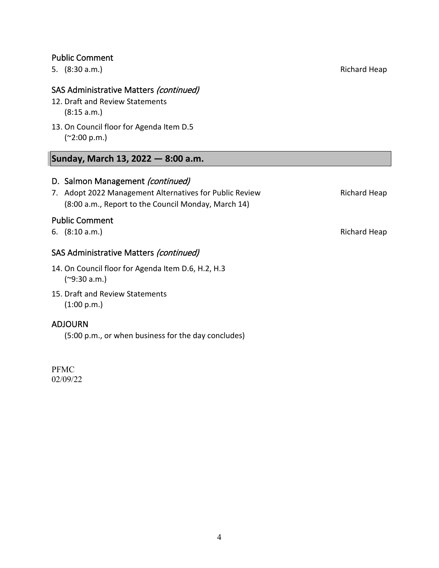## Public Comment

5. (8:30 a.m.) Richard Heap

# SAS Administrative Matters (continued)

- 12. Draft and Review Statements (8:15 a.m.)
- 13. On Council floor for Agenda Item D.5 (~2:00 p.m.)

# **Sunday, March 13, 2022 — 8:00 a.m.**

# D. Salmon Management (continued)

7. Adopt 2022 Management Alternatives for Public Review **Richard Heap** (8:00 a.m., Report to the Council Monday, March 14)

#### Public Comment

6. (8:10 a.m.) Richard Heap

# SAS Administrative Matters (continued)

- 14. On Council floor for Agenda Item D.6, H.2, H.3 (~9:30 a.m.)
- 15. Draft and Review Statements (1:00 p.m.)

#### ADJOURN

(5:00 p.m., or when business for the day concludes)

PFMC 02/09/22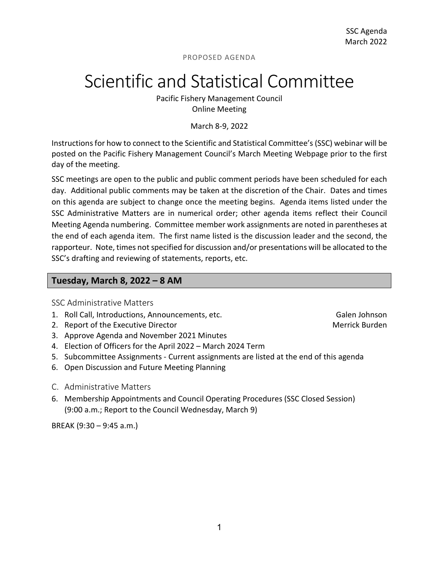# Scientific and Statistical Committee

Pacific Fishery Management Council Online Meeting

March 8-9, 2022

Instructions for how to connect to the Scientific and Statistical Committee's (SSC) webinar will be posted on the Pacific Fishery Management Council's March Meeting Webpage prior to the first day of the meeting.

SSC meetings are open to the public and public comment periods have been scheduled for each day. Additional public comments may be taken at the discretion of the Chair. Dates and times on this agenda are subject to change once the meeting begins. Agenda items listed under the SSC Administrative Matters are in numerical order; other agenda items reflect their Council Meeting Agenda numbering. Committee member work assignments are noted in parentheses at the end of each agenda item. The first name listed is the discussion leader and the second, the rapporteur. Note, times not specified for discussion and/or presentations will be allocated to the SSC's drafting and reviewing of statements, reports, etc.

#### **Tuesday, March 8, 2022 – 8 AM**

SSC Administrative Matters

- 1. Roll Call, Introductions, Announcements, etc. The Call Call Call Call Call Announcements, etc.
- 2. Report of the Executive Director Merrick Burden Merrick Burden
- 3. Approve Agenda and November 2021 Minutes
- 4. Election of Officers for the April 2022 March 2024 Term
- 5. Subcommittee Assignments Current assignments are listed at the end of this agenda
- 6. Open Discussion and Future Meeting Planning
- C. Administrative Matters
- 6. Membership Appointments and Council Operating Procedures (SSC Closed Session) (9:00 a.m.; Report to the Council Wednesday, March 9)

BREAK (9:30 – 9:45 a.m.)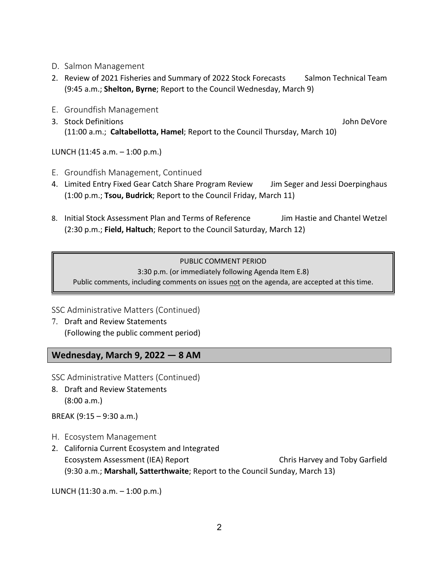- D. Salmon Management
- 2. Review of 2021 Fisheries and Summary of 2022 Stock Forecasts Salmon Technical Team (9:45 a.m.; **Shelton, Byrne**; Report to the Council Wednesday, March 9)
- E. Groundfish Management
- 3. Stock Definitions John DeVore (11:00 a.m.; **Caltabellotta, Hamel**; Report to the Council Thursday, March 10)

LUNCH (11:45 a.m. – 1:00 p.m.)

- E. Groundfish Management, Continued
- 4. Limited Entry Fixed Gear Catch Share Program Review Jim Seger and Jessi Doerpinghaus (1:00 p.m.; **Tsou, Budrick**; Report to the Council Friday, March 11)
- 8. Initial Stock Assessment Plan and Terms of Reference Jim Hastie and Chantel Wetzel (2:30 p.m.; **Field, Haltuch**; Report to the Council Saturday, March 12)

## PUBLIC COMMENT PERIOD

3:30 p.m. (or immediately following Agenda Item E.8)

Public comments, including comments on issues not on the agenda, are accepted at this time.

## SSC Administrative Matters (Continued)

7. Draft and Review Statements (Following the public comment period)

# **Wednesday, March 9, 2022 — 8 AM**

SSC Administrative Matters (Continued)

8. Draft and Review Statements (8:00 a.m.)

BREAK (9:15 – 9:30 a.m.)

- H. Ecosystem Management
- 2. California Current Ecosystem and Integrated Ecosystem Assessment (IEA) Report Chris Harvey and Toby Garfield (9:30 a.m.; **Marshall, Satterthwaite**; Report to the Council Sunday, March 13)

LUNCH (11:30 a.m. – 1:00 p.m.)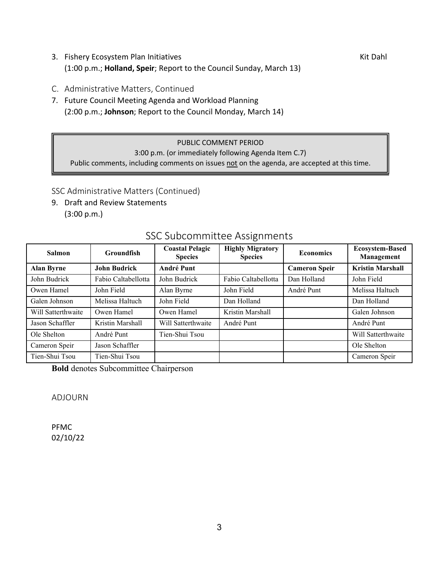- 3. Fishery Ecosystem Plan Initiatives **Kit Dahl** And The Rise of Anti-(1:00 p.m.; **Holland, Speir**; Report to the Council Sunday, March 13)
- C. Administrative Matters, Continued
- 7. Future Council Meeting Agenda and Workload Planning (2:00 p.m.; **Johnson**; Report to the Council Monday, March 14)

#### PUBLIC COMMENT PERIOD

3:00 p.m. (or immediately following Agenda Item C.7)

Public comments, including comments on issues not on the agenda, are accepted at this time.

# SSC Administrative Matters (Continued)

9. Draft and Review Statements (3:00 p.m.)

| <b>Salmon</b>      | <b>Groundfish</b>   | <b>Coastal Pelagic</b><br><b>Species</b> | <b>Highly Migratory</b><br><b>Species</b> | <b>Economics</b>     | <b>Ecosystem-Based</b><br>Management |
|--------------------|---------------------|------------------------------------------|-------------------------------------------|----------------------|--------------------------------------|
| <b>Alan Byrne</b>  | <b>John Budrick</b> | <b>André Punt</b>                        |                                           | <b>Cameron Speir</b> | <b>Kristin Marshall</b>              |
| John Budrick       | Fabio Caltabellotta | John Budrick                             | Fabio Caltabellotta                       | Dan Holland          | John Field                           |
| Owen Hamel         | John Field          | Alan Byrne                               | John Field                                | André Punt           | Melissa Haltuch                      |
| Galen Johnson      | Melissa Haltuch     | John Field                               | Dan Holland                               |                      | Dan Holland                          |
| Will Satterthwaite | Owen Hamel          | Owen Hamel                               | Kristin Marshall                          |                      | Galen Johnson                        |
| Jason Schaffler    | Kristin Marshall    | Will Satterthwaite                       | André Punt                                |                      | André Punt                           |
| Ole Shelton        | André Punt          | Tien-Shui Tsou                           |                                           |                      | Will Satterthwaite                   |
| Cameron Speir      | Jason Schaffler     |                                          |                                           |                      | Ole Shelton                          |
| Tien-Shui Tsou     | Tien-Shui Tsou      |                                          |                                           |                      | Cameron Speir                        |

# SSC Subcommittee Assignments

**Bold** denotes Subcommittee Chairperson

ADJOURN

PFMC 02/10/22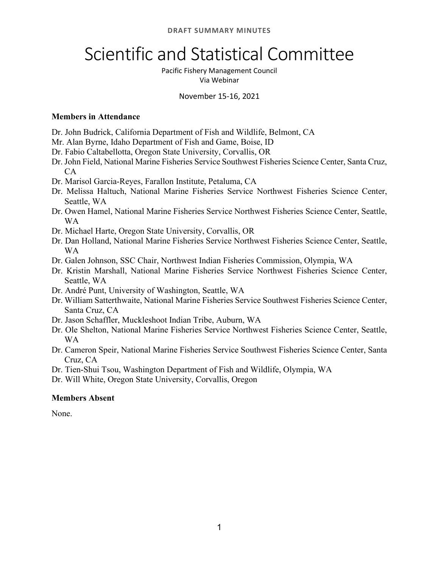# Scientific and Statistical Committee

Pacific Fishery Management Council Via Webinar

## November 15-16, 2021

# **Members in Attendance**

- Dr. John Budrick, California Department of Fish and Wildlife, Belmont, CA
- Mr. Alan Byrne, Idaho Department of Fish and Game, Boise, ID
- Dr. Fabio Caltabellotta, Oregon State University, Corvallis, OR
- Dr. John Field, National Marine Fisheries Service Southwest Fisheries Science Center, Santa Cruz,  $CA$
- Dr. Marisol Garcia-Reyes, Farallon Institute, Petaluma, CA
- Dr. Melissa Haltuch, National Marine Fisheries Service Northwest Fisheries Science Center, Seattle, WA
- Dr. Owen Hamel, National Marine Fisheries Service Northwest Fisheries Science Center, Seattle, WA
- Dr. Michael Harte, Oregon State University, Corvallis, OR
- Dr. Dan Holland, National Marine Fisheries Service Northwest Fisheries Science Center, Seattle, WA
- Dr. Galen Johnson, SSC Chair, Northwest Indian Fisheries Commission, Olympia, WA
- Dr. Kristin Marshall, National Marine Fisheries Service Northwest Fisheries Science Center, Seattle, WA
- Dr. André Punt, University of Washington, Seattle, WA
- Dr. William Satterthwaite, National Marine Fisheries Service Southwest Fisheries Science Center, Santa Cruz, CA
- Dr. Jason Schaffler, Muckleshoot Indian Tribe, Auburn, WA
- Dr. Ole Shelton, National Marine Fisheries Service Northwest Fisheries Science Center, Seattle, WA
- Dr. Cameron Speir, National Marine Fisheries Service Southwest Fisheries Science Center, Santa Cruz, CA
- Dr. Tien-Shui Tsou, Washington Department of Fish and Wildlife, Olympia, WA
- Dr. Will White, Oregon State University, Corvallis, Oregon

# **Members Absent**

None.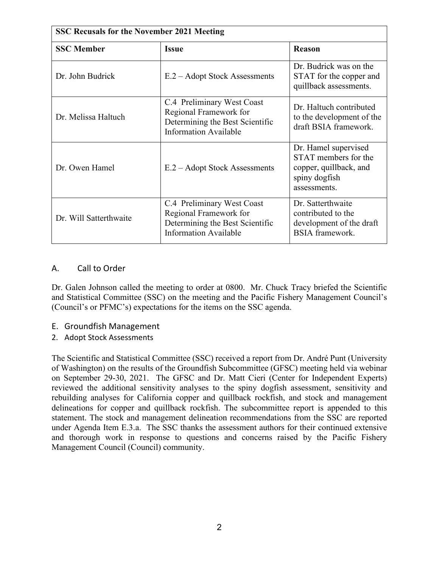| <b>SSC Recusals for the November 2021 Meeting</b> |                                                                                                                         |                                                                                                         |  |  |  |
|---------------------------------------------------|-------------------------------------------------------------------------------------------------------------------------|---------------------------------------------------------------------------------------------------------|--|--|--|
| <b>SSC Member</b>                                 | <b>Issue</b>                                                                                                            | <b>Reason</b>                                                                                           |  |  |  |
| Dr. John Budrick                                  | E.2 – Adopt Stock Assessments                                                                                           | Dr. Budrick was on the<br>STAT for the copper and<br>quillback assessments.                             |  |  |  |
| Dr. Melissa Haltuch                               | C.4 Preliminary West Coast<br>Regional Framework for<br>Determining the Best Scientific<br><b>Information Available</b> | Dr. Haltuch contributed<br>to the development of the<br>draft BSIA framework.                           |  |  |  |
| Dr. Owen Hamel                                    | E.2 – Adopt Stock Assessments                                                                                           | Dr. Hamel supervised<br>STAT members for the<br>copper, quillback, and<br>spiny dogfish<br>assessments. |  |  |  |
| Dr. Will Satterthwaite                            | C.4 Preliminary West Coast<br>Regional Framework for<br>Determining the Best Scientific<br><b>Information Available</b> | Dr. Satterthwaite<br>contributed to the<br>development of the draft<br><b>BSIA</b> framework.           |  |  |  |

# A. Call to Order

Dr. Galen Johnson called the meeting to order at 0800. Mr. Chuck Tracy briefed the Scientific and Statistical Committee (SSC) on the meeting and the Pacific Fishery Management Council's (Council's or PFMC's) expectations for the items on the SSC agenda.

- E. Groundfish Management
- 2. Adopt Stock Assessments

The Scientific and Statistical Committee (SSC) received a report from Dr. André Punt (University of Washington) on the results of the Groundfish Subcommittee (GFSC) meeting held via webinar on September 29-30, 2021. The GFSC and Dr. Matt Cieri (Center for Independent Experts) reviewed the additional sensitivity analyses to the spiny dogfish assessment, sensitivity and rebuilding analyses for California copper and quillback rockfish, and stock and management delineations for copper and quillback rockfish. The subcommittee report is appended to this statement. The stock and management delineation recommendations from the SSC are reported under Agenda Item E.3.a. The SSC thanks the assessment authors for their continued extensive and thorough work in response to questions and concerns raised by the Pacific Fishery Management Council (Council) community.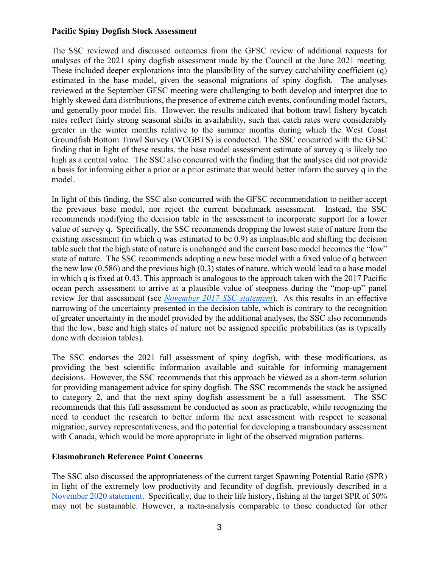#### **Pacific Spiny Dogfish Stock Assessment**

The SSC reviewed and discussed outcomes from the GFSC review of additional requests for analyses of the 2021 spiny dogfish assessment made by the Council at the June 2021 meeting. These included deeper explorations into the plausibility of the survey catchability coefficient (q) estimated in the base model, given the seasonal migrations of spiny dogfish. The analyses reviewed at the September GFSC meeting were challenging to both develop and interpret due to highly skewed data distributions, the presence of extreme catch events, confounding model factors, and generally poor model fits. However, the results indicated that bottom trawl fishery bycatch rates reflect fairly strong seasonal shifts in availability, such that catch rates were considerably greater in the winter months relative to the summer months during which the West Coast Groundfish Bottom Trawl Survey (WCGBTS) is conducted. The SSC concurred with the GFSC finding that in light of these results, the base model assessment estimate of survey q is likely too high as a central value. The SSC also concurred with the finding that the analyses did not provide a basis for informing either a prior or a prior estimate that would better inform the survey q in the model.

In light of this finding, the SSC also concurred with the GFSC recommendation to neither accept the previous base model, nor reject the current benchmark assessment. Instead, the SSC recommends modifying the decision table in the assessment to incorporate support for a lower value of survey q. Specifically, the SSC recommends dropping the lowest state of nature from the existing assessment (in which q was estimated to be 0.9) as implausible and shifting the decision table such that the high state of nature is unchanged and the current base model becomes the "low" state of nature. The SSC recommends adopting a new base model with a fixed value of q between the new low (0.586) and the previous high (0.3) states of nature, which would lead to a base model in which q is fixed at 0.43. This approach is analogous to the approach taken with the 2017 Pacific ocean perch assessment to arrive at a plausible value of steepness during the "mop-up" panel review for that assessment (see *[November 2017 SSC statement](https://www.pcouncil.org/documents/2017/11/agenda-item-f-4-a-supplemental-ssc-report-1.pdf/)*). As this results in an effective narrowing of the uncertainty presented in the decision table, which is contrary to the recognition of greater uncertainty in the model provided by the additional analyses, the SSC also recommends that the low, base and high states of nature not be assigned specific probabilities (as is typically done with decision tables).

The SSC endorses the 2021 full assessment of spiny dogfish, with these modifications, as providing the best scientific information available and suitable for informing management decisions. However, the SSC recommends that this approach be viewed as a short-term solution for providing management advice for spiny dogfish. The SSC recommends the stock be assigned to category 2, and that the next spiny dogfish assessment be a full assessment. The SSC recommends that this full assessment be conducted as soon as practicable, while recognizing the need to conduct the research to better inform the next assessment with respect to seasonal migration, survey representativeness, and the potential for developing a transboundary assessment with Canada, which would be more appropriate in light of the observed migration patterns.

## **Elasmobranch Reference Point Concerns**

The SSC also discussed the appropriateness of the current target Spawning Potential Ratio (SPR) in light of the extremely low productivity and fecundity of dogfish, previously described in a [November 2020 statement.](https://www.pcouncil.org/documents/2020/11/g-5-a-supplemental-ssc-report-1.pdf/) Specifically, due to their life history, fishing at the target SPR of 50% may not be sustainable. However, a meta-analysis comparable to those conducted for other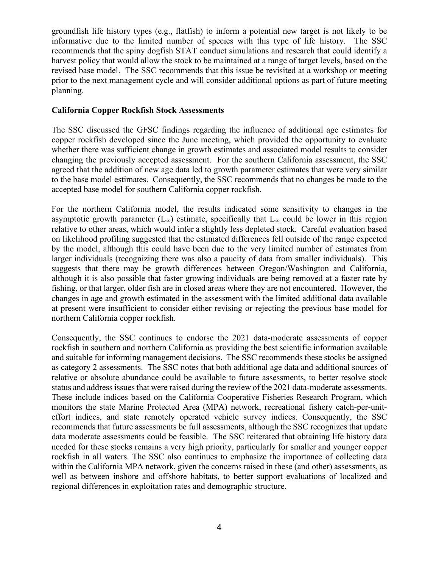groundfish life history types (e.g., flatfish) to inform a potential new target is not likely to be informative due to the limited number of species with this type of life history. The SSC recommends that the spiny dogfish STAT conduct simulations and research that could identify a harvest policy that would allow the stock to be maintained at a range of target levels, based on the revised base model. The SSC recommends that this issue be revisited at a workshop or meeting prior to the next management cycle and will consider additional options as part of future meeting planning.

#### **California Copper Rockfish Stock Assessments**

The SSC discussed the GFSC findings regarding the influence of additional age estimates for copper rockfish developed since the June meeting, which provided the opportunity to evaluate whether there was sufficient change in growth estimates and associated model results to consider changing the previously accepted assessment. For the southern California assessment, the SSC agreed that the addition of new age data led to growth parameter estimates that were very similar to the base model estimates. Consequently, the SSC recommends that no changes be made to the accepted base model for southern California copper rockfish.

For the northern California model, the results indicated some sensitivity to changes in the asymptotic growth parameter (L<sub>∞</sub>) estimate, specifically that L<sub>∞</sub> could be lower in this region relative to other areas, which would infer a slightly less depleted stock. Careful evaluation based on likelihood profiling suggested that the estimated differences fell outside of the range expected by the model, although this could have been due to the very limited number of estimates from larger individuals (recognizing there was also a paucity of data from smaller individuals). This suggests that there may be growth differences between Oregon/Washington and California, although it is also possible that faster growing individuals are being removed at a faster rate by fishing, or that larger, older fish are in closed areas where they are not encountered. However, the changes in age and growth estimated in the assessment with the limited additional data available at present were insufficient to consider either revising or rejecting the previous base model for northern California copper rockfish.

Consequently, the SSC continues to endorse the 2021 data-moderate assessments of copper rockfish in southern and northern California as providing the best scientific information available and suitable for informing management decisions. The SSC recommends these stocks be assigned as category 2 assessments. The SSC notes that both additional age data and additional sources of relative or absolute abundance could be available to future assessments, to better resolve stock status and address issues that were raised during the review of the 2021 data-moderate assessments. These include indices based on the California Cooperative Fisheries Research Program, which monitors the state Marine Protected Area (MPA) network, recreational fishery catch-per-uniteffort indices, and state remotely operated vehicle survey indices. Consequently, the SSC recommends that future assessments be full assessments, although the SSC recognizes that update data moderate assessments could be feasible. The SSC reiterated that obtaining life history data needed for these stocks remains a very high priority, particularly for smaller and younger copper rockfish in all waters. The SSC also continues to emphasize the importance of collecting data within the California MPA network, given the concerns raised in these (and other) assessments, as well as between inshore and offshore habitats, to better support evaluations of localized and regional differences in exploitation rates and demographic structure.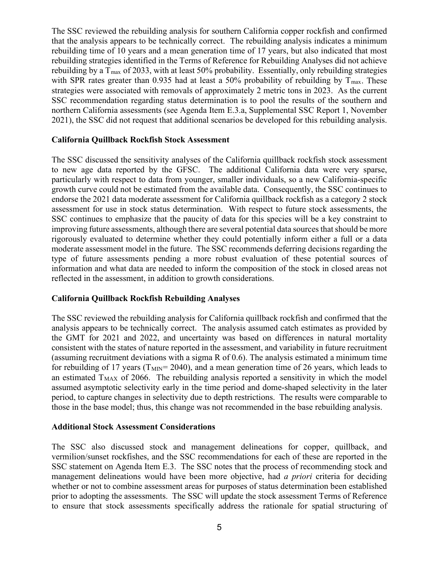The SSC reviewed the rebuilding analysis for southern California copper rockfish and confirmed that the analysis appears to be technically correct. The rebuilding analysis indicates a minimum rebuilding time of 10 years and a mean generation time of 17 years, but also indicated that most rebuilding strategies identified in the Terms of Reference for Rebuilding Analyses did not achieve rebuilding by a  $T_{\text{max}}$  of 2033, with at least 50% probability. Essentially, only rebuilding strategies with SPR rates greater than 0.935 had at least a 50% probability of rebuilding by  $T_{\text{max}}$ . These strategies were associated with removals of approximately 2 metric tons in 2023. As the current SSC recommendation regarding status determination is to pool the results of the southern and northern California assessments (see Agenda Item E.3.a, Supplemental SSC Report 1, November 2021), the SSC did not request that additional scenarios be developed for this rebuilding analysis.

#### **California Quillback Rockfish Stock Assessment**

The SSC discussed the sensitivity analyses of the California quillback rockfish stock assessment to new age data reported by the GFSC. The additional California data were very sparse, particularly with respect to data from younger, smaller individuals, so a new California-specific growth curve could not be estimated from the available data. Consequently, the SSC continues to endorse the 2021 data moderate assessment for California quillback rockfish as a category 2 stock assessment for use in stock status determination. With respect to future stock assessments, the SSC continues to emphasize that the paucity of data for this species will be a key constraint to improving future assessments, although there are several potential data sources that should be more rigorously evaluated to determine whether they could potentially inform either a full or a data moderate assessment model in the future. The SSC recommends deferring decisions regarding the type of future assessments pending a more robust evaluation of these potential sources of information and what data are needed to inform the composition of the stock in closed areas not reflected in the assessment, in addition to growth considerations.

#### **California Quillback Rockfish Rebuilding Analyses**

The SSC reviewed the rebuilding analysis for California quillback rockfish and confirmed that the analysis appears to be technically correct. The analysis assumed catch estimates as provided by the GMT for 2021 and 2022, and uncertainty was based on differences in natural mortality consistent with the states of nature reported in the assessment, and variability in future recruitment (assuming recruitment deviations with a sigma R of 0.6). The analysis estimated a minimum time for rebuilding of 17 years ( $T_{\text{MIN}}$ = 2040), and a mean generation time of 26 years, which leads to an estimated  $T_{MAX}$  of 2066. The rebuilding analysis reported a sensitivity in which the model assumed asymptotic selectivity early in the time period and dome-shaped selectivity in the later period, to capture changes in selectivity due to depth restrictions. The results were comparable to those in the base model; thus, this change was not recommended in the base rebuilding analysis.

#### **Additional Stock Assessment Considerations**

The SSC also discussed stock and management delineations for copper, quillback, and vermilion/sunset rockfishes, and the SSC recommendations for each of these are reported in the SSC statement on Agenda Item E.3. The SSC notes that the process of recommending stock and management delineations would have been more objective, had *a priori* criteria for deciding whether or not to combine assessment areas for purposes of status determination been established prior to adopting the assessments. The SSC will update the stock assessment Terms of Reference to ensure that stock assessments specifically address the rationale for spatial structuring of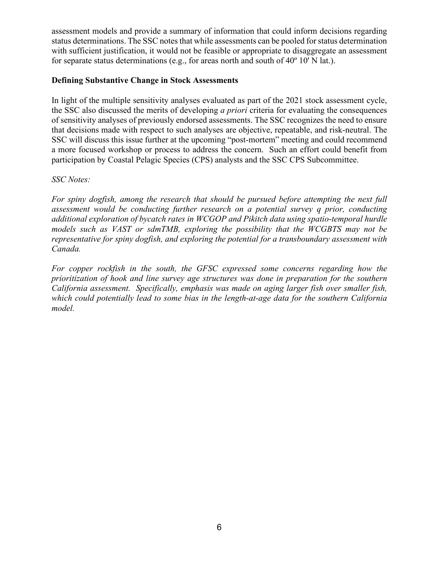assessment models and provide a summary of information that could inform decisions regarding status determinations. The SSC notes that while assessments can be pooled for status determination with sufficient justification, it would not be feasible or appropriate to disaggregate an assessment for separate status determinations (e.g., for areas north and south of  $40^{\circ}$  10' N lat.).

#### **Defining Substantive Change in Stock Assessments**

In light of the multiple sensitivity analyses evaluated as part of the 2021 stock assessment cycle, the SSC also discussed the merits of developing *a priori* criteria for evaluating the consequences of sensitivity analyses of previously endorsed assessments. The SSC recognizes the need to ensure that decisions made with respect to such analyses are objective, repeatable, and risk-neutral. The SSC will discuss this issue further at the upcoming "post-mortem" meeting and could recommend a more focused workshop or process to address the concern. Such an effort could benefit from participation by Coastal Pelagic Species (CPS) analysts and the SSC CPS Subcommittee.

#### *SSC Notes:*

*For spiny dogfish, among the research that should be pursued before attempting the next full assessment would be conducting further research on a potential survey q prior, conducting additional exploration of bycatch rates in WCGOP and Pikitch data using spatio-temporal hurdle models such as VAST or sdmTMB, exploring the possibility that the WCGBTS may not be representative for spiny dogfish, and exploring the potential for a transboundary assessment with Canada.* 

*For copper rockfish in the south, the GFSC expressed some concerns regarding how the prioritization of hook and line survey age structures was done in preparation for the southern California assessment. Specifically, emphasis was made on aging larger fish over smaller fish, which could potentially lead to some bias in the length-at-age data for the southern California model.*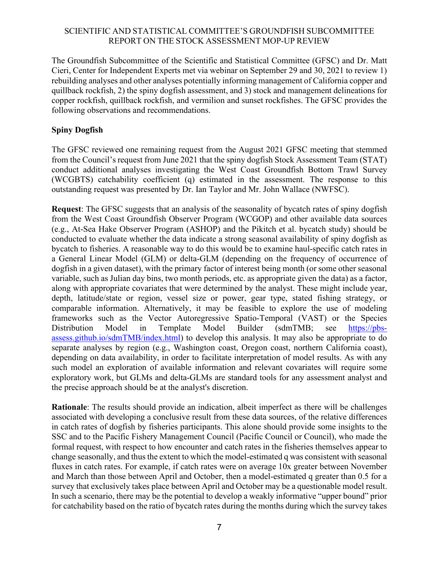#### SCIENTIFIC AND STATISTICAL COMMITTEE'S GROUNDFISH SUBCOMMITTEE REPORT ON THE STOCK ASSESSMENT MOP-UP REVIEW

The Groundfish Subcommittee of the Scientific and Statistical Committee (GFSC) and Dr. Matt Cieri, Center for Independent Experts met via webinar on September 29 and 30, 2021 to review 1) rebuilding analyses and other analyses potentially informing management of California copper and quillback rockfish, 2) the spiny dogfish assessment, and 3) stock and management delineations for copper rockfish, quillback rockfish, and vermilion and sunset rockfishes. The GFSC provides the following observations and recommendations.

# **Spiny Dogfish**

The GFSC reviewed one remaining request from the August 2021 GFSC meeting that stemmed from the Council's request from June 2021 that the spiny dogfish Stock Assessment Team (STAT) conduct additional analyses investigating the West Coast Groundfish Bottom Trawl Survey (WCGBTS) catchability coefficient (q) estimated in the assessment. The response to this outstanding request was presented by Dr. Ian Taylor and Mr. John Wallace (NWFSC).

**Request**: The GFSC suggests that an analysis of the seasonality of bycatch rates of spiny dogfish from the West Coast Groundfish Observer Program (WCGOP) and other available data sources (e.g., At-Sea Hake Observer Program (ASHOP) and the Pikitch et al. bycatch study) should be conducted to evaluate whether the data indicate a strong seasonal availability of spiny dogfish as bycatch to fisheries. A reasonable way to do this would be to examine haul-specific catch rates in a General Linear Model (GLM) or delta-GLM (depending on the frequency of occurrence of dogfish in a given dataset), with the primary factor of interest being month (or some other seasonal variable, such as Julian day bins, two month periods, etc. as appropriate given the data) as a factor, along with appropriate covariates that were determined by the analyst. These might include year, depth, latitude/state or region, vessel size or power, gear type, stated fishing strategy, or comparable information. Alternatively, it may be feasible to explore the use of modeling frameworks such as the Vector Autoregressive Spatio-Temporal (VAST) or the Species Distribution Model in Template Model Builder (sdmTMB; see [https://pbs](https://pbs-assess.github.io/sdmTMB/index.html)[assess.github.io/sdmTMB/index.html\)](https://pbs-assess.github.io/sdmTMB/index.html) to develop this analysis. It may also be appropriate to do separate analyses by region (e.g., Washington coast, Oregon coast, northern California coast), depending on data availability, in order to facilitate interpretation of model results. As with any such model an exploration of available information and relevant covariates will require some exploratory work, but GLMs and delta-GLMs are standard tools for any assessment analyst and the precise approach should be at the analyst's discretion.

**Rationale**: The results should provide an indication, albeit imperfect as there will be challenges associated with developing a conclusive result from these data sources, of the relative differences in catch rates of dogfish by fisheries participants. This alone should provide some insights to the SSC and to the Pacific Fishery Management Council (Pacific Council or Council), who made the formal request, with respect to how encounter and catch rates in the fisheries themselves appear to change seasonally, and thus the extent to which the model-estimated q was consistent with seasonal fluxes in catch rates. For example, if catch rates were on average 10x greater between November and March than those between April and October, then a model-estimated q greater than 0.5 for a survey that exclusively takes place between April and October may be a questionable model result. In such a scenario, there may be the potential to develop a weakly informative "upper bound" prior for catchability based on the ratio of bycatch rates during the months during which the survey takes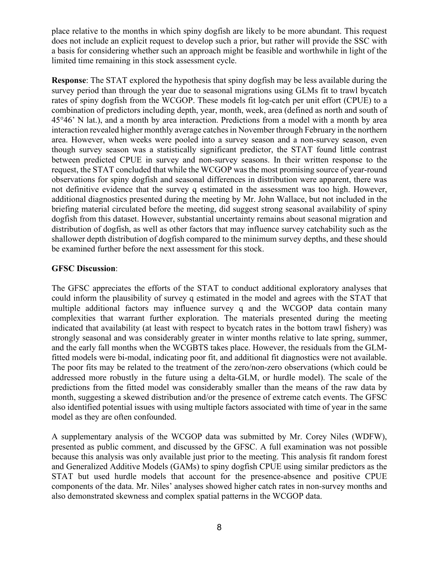place relative to the months in which spiny dogfish are likely to be more abundant. This request does not include an explicit request to develop such a prior, but rather will provide the SSC with a basis for considering whether such an approach might be feasible and worthwhile in light of the limited time remaining in this stock assessment cycle.

**Response**: The STAT explored the hypothesis that spiny dogfish may be less available during the survey period than through the year due to seasonal migrations using GLMs fit to trawl bycatch rates of spiny dogfish from the WCGOP. These models fit log-catch per unit effort (CPUE) to a combination of predictors including depth, year, month, week, area (defined as north and south of 45°46' N lat.), and a month by area interaction. Predictions from a model with a month by area interaction revealed higher monthly average catches in November through February in the northern area. However, when weeks were pooled into a survey season and a non-survey season, even though survey season was a statistically significant predictor, the STAT found little contrast between predicted CPUE in survey and non-survey seasons. In their written response to the request, the STAT concluded that while the WCGOP was the most promising source of year-round observations for spiny dogfish and seasonal differences in distribution were apparent, there was not definitive evidence that the survey q estimated in the assessment was too high. However, additional diagnostics presented during the meeting by Mr. John Wallace, but not included in the briefing material circulated before the meeting, did suggest strong seasonal availability of spiny dogfish from this dataset. However, substantial uncertainty remains about seasonal migration and distribution of dogfish, as well as other factors that may influence survey catchability such as the shallower depth distribution of dogfish compared to the minimum survey depths, and these should be examined further before the next assessment for this stock.

#### **GFSC Discussion**:

The GFSC appreciates the efforts of the STAT to conduct additional exploratory analyses that could inform the plausibility of survey q estimated in the model and agrees with the STAT that multiple additional factors may influence survey q and the WCGOP data contain many complexities that warrant further exploration. The materials presented during the meeting indicated that availability (at least with respect to bycatch rates in the bottom trawl fishery) was strongly seasonal and was considerably greater in winter months relative to late spring, summer, and the early fall months when the WCGBTS takes place. However, the residuals from the GLMfitted models were bi-modal, indicating poor fit, and additional fit diagnostics were not available. The poor fits may be related to the treatment of the zero/non-zero observations (which could be addressed more robustly in the future using a delta-GLM, or hurdle model). The scale of the predictions from the fitted model was considerably smaller than the means of the raw data by month, suggesting a skewed distribution and/or the presence of extreme catch events. The GFSC also identified potential issues with using multiple factors associated with time of year in the same model as they are often confounded.

A supplementary analysis of the WCGOP data was submitted by Mr. Corey Niles (WDFW), presented as public comment, and discussed by the GFSC. A full examination was not possible because this analysis was only available just prior to the meeting. This analysis fit random forest and Generalized Additive Models (GAMs) to spiny dogfish CPUE using similar predictors as the STAT but used hurdle models that account for the presence-absence and positive CPUE components of the data. Mr. Niles' analyses showed higher catch rates in non-survey months and also demonstrated skewness and complex spatial patterns in the WCGOP data.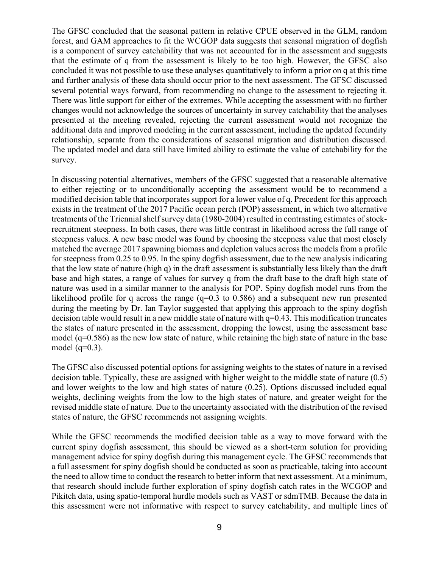The GFSC concluded that the seasonal pattern in relative CPUE observed in the GLM, random forest, and GAM approaches to fit the WCGOP data suggests that seasonal migration of dogfish is a component of survey catchability that was not accounted for in the assessment and suggests that the estimate of q from the assessment is likely to be too high. However, the GFSC also concluded it was not possible to use these analyses quantitatively to inform a prior on q at this time and further analysis of these data should occur prior to the next assessment. The GFSC discussed several potential ways forward, from recommending no change to the assessment to rejecting it. There was little support for either of the extremes. While accepting the assessment with no further changes would not acknowledge the sources of uncertainty in survey catchability that the analyses presented at the meeting revealed, rejecting the current assessment would not recognize the additional data and improved modeling in the current assessment, including the updated fecundity relationship, separate from the considerations of seasonal migration and distribution discussed. The updated model and data still have limited ability to estimate the value of catchability for the survey.

In discussing potential alternatives, members of the GFSC suggested that a reasonable alternative to either rejecting or to unconditionally accepting the assessment would be to recommend a modified decision table that incorporates support for a lower value of q. Precedent for this approach exists in the treatment of the 2017 Pacific ocean perch (POP) assessment, in which two alternative treatments of the Triennial shelf survey data (1980-2004) resulted in contrasting estimates of stockrecruitment steepness. In both cases, there was little contrast in likelihood across the full range of steepness values. A new base model was found by choosing the steepness value that most closely matched the average 2017 spawning biomass and depletion values across the models from a profile for steepness from 0.25 to 0.95. In the spiny dogfish assessment, due to the new analysis indicating that the low state of nature (high q) in the draft assessment is substantially less likely than the draft base and high states, a range of values for survey q from the draft base to the draft high state of nature was used in a similar manner to the analysis for POP. Spiny dogfish model runs from the likelihood profile for q across the range  $(q=0.3 \text{ to } 0.586)$  and a subsequent new run presented during the meeting by Dr. Ian Taylor suggested that applying this approach to the spiny dogfish decision table would result in a new middle state of nature with q=0.43. This modification truncates the states of nature presented in the assessment, dropping the lowest, using the assessment base model (q=0.586) as the new low state of nature, while retaining the high state of nature in the base model  $(q=0.3)$ .

The GFSC also discussed potential options for assigning weights to the states of nature in a revised decision table. Typically, these are assigned with higher weight to the middle state of nature (0.5) and lower weights to the low and high states of nature (0.25). Options discussed included equal weights, declining weights from the low to the high states of nature, and greater weight for the revised middle state of nature. Due to the uncertainty associated with the distribution of the revised states of nature, the GFSC recommends not assigning weights.

While the GFSC recommends the modified decision table as a way to move forward with the current spiny dogfish assessment, this should be viewed as a short-term solution for providing management advice for spiny dogfish during this management cycle. The GFSC recommends that a full assessment for spiny dogfish should be conducted as soon as practicable, taking into account the need to allow time to conduct the research to better inform that next assessment. At a minimum, that research should include further exploration of spiny dogfish catch rates in the WCGOP and Pikitch data, using spatio-temporal hurdle models such as VAST or sdmTMB. Because the data in this assessment were not informative with respect to survey catchability, and multiple lines of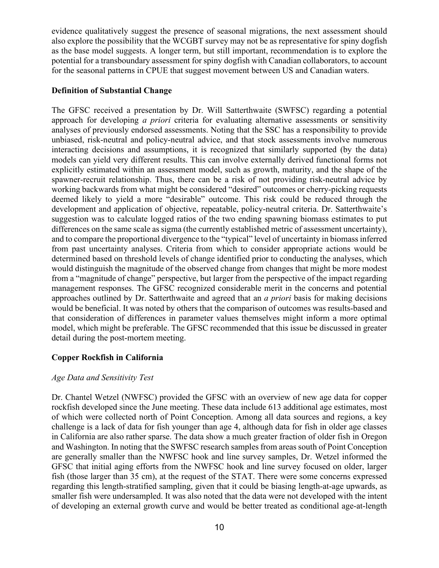evidence qualitatively suggest the presence of seasonal migrations, the next assessment should also explore the possibility that the WCGBT survey may not be as representative for spiny dogfish as the base model suggests. A longer term, but still important, recommendation is to explore the potential for a transboundary assessment for spiny dogfish with Canadian collaborators, to account for the seasonal patterns in CPUE that suggest movement between US and Canadian waters.

#### **Definition of Substantial Change**

The GFSC received a presentation by Dr. Will Satterthwaite (SWFSC) regarding a potential approach for developing *a priori* criteria for evaluating alternative assessments or sensitivity analyses of previously endorsed assessments. Noting that the SSC has a responsibility to provide unbiased, risk-neutral and policy-neutral advice, and that stock assessments involve numerous interacting decisions and assumptions, it is recognized that similarly supported (by the data) models can yield very different results. This can involve externally derived functional forms not explicitly estimated within an assessment model, such as growth, maturity, and the shape of the spawner-recruit relationship. Thus, there can be a risk of not providing risk-neutral advice by working backwards from what might be considered "desired" outcomes or cherry-picking requests deemed likely to yield a more "desirable" outcome. This risk could be reduced through the development and application of objective, repeatable, policy-neutral criteria. Dr. Satterthwaite's suggestion was to calculate logged ratios of the two ending spawning biomass estimates to put differences on the same scale as sigma (the currently established metric of assessment uncertainty), and to compare the proportional divergence to the "typical" level of uncertainty in biomass inferred from past uncertainty analyses. Criteria from which to consider appropriate actions would be determined based on threshold levels of change identified prior to conducting the analyses, which would distinguish the magnitude of the observed change from changes that might be more modest from a "magnitude of change" perspective, but larger from the perspective of the impact regarding management responses. The GFSC recognized considerable merit in the concerns and potential approaches outlined by Dr. Satterthwaite and agreed that an *a priori* basis for making decisions would be beneficial. It was noted by others that the comparison of outcomes was results-based and that consideration of differences in parameter values themselves might inform a more optimal model, which might be preferable. The GFSC recommended that this issue be discussed in greater detail during the post-mortem meeting.

#### **Copper Rockfish in California**

#### *Age Data and Sensitivity Test*

Dr. Chantel Wetzel (NWFSC) provided the GFSC with an overview of new age data for copper rockfish developed since the June meeting. These data include 613 additional age estimates, most of which were collected north of Point Conception. Among all data sources and regions, a key challenge is a lack of data for fish younger than age 4, although data for fish in older age classes in California are also rather sparse. The data show a much greater fraction of older fish in Oregon and Washington. In noting that the SWFSC research samples from areas south of Point Conception are generally smaller than the NWFSC hook and line survey samples, Dr. Wetzel informed the GFSC that initial aging efforts from the NWFSC hook and line survey focused on older, larger fish (those larger than 35 cm), at the request of the STAT. There were some concerns expressed regarding this length-stratified sampling, given that it could be biasing length-at-age upwards, as smaller fish were undersampled. It was also noted that the data were not developed with the intent of developing an external growth curve and would be better treated as conditional age-at-length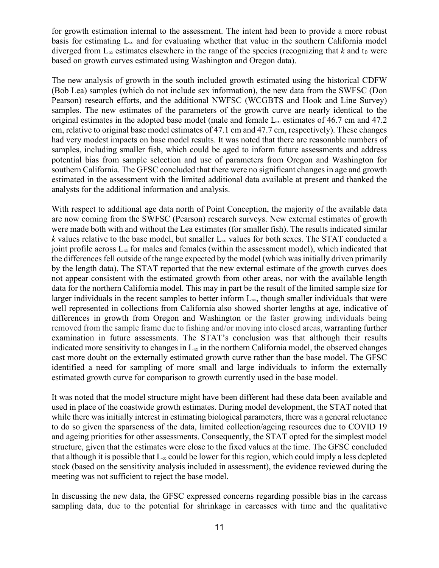for growth estimation internal to the assessment. The intent had been to provide a more robust basis for estimating L∞ and for evaluating whether that value in the southern California model diverged from  $L_{\infty}$  estimates elsewhere in the range of the species (recognizing that *k* and  $t_0$  were based on growth curves estimated using Washington and Oregon data).

The new analysis of growth in the south included growth estimated using the historical CDFW (Bob Lea) samples (which do not include sex information), the new data from the SWFSC (Don Pearson) research efforts, and the additional NWFSC (WCGBTS and Hook and Line Survey) samples. The new estimates of the parameters of the growth curve are nearly identical to the original estimates in the adopted base model (male and female  $L_{\infty}$  estimates of 46.7 cm and 47.2 cm, relative to original base model estimates of 47.1 cm and 47.7 cm, respectively). These changes had very modest impacts on base model results. It was noted that there are reasonable numbers of samples, including smaller fish, which could be aged to inform future assessments and address potential bias from sample selection and use of parameters from Oregon and Washington for southern California. The GFSC concluded that there were no significant changes in age and growth estimated in the assessment with the limited additional data available at present and thanked the analysts for the additional information and analysis.

With respect to additional age data north of Point Conception, the majority of the available data are now coming from the SWFSC (Pearson) research surveys. New external estimates of growth were made both with and without the Lea estimates (for smaller fish). The results indicated similar *k* values relative to the base model, but smaller L<sup>∞</sup> values for both sexes. The STAT conducted a joint profile across  $L_{\infty}$  for males and females (within the assessment model), which indicated that the differences fell outside of the range expected by the model (which was initially driven primarily by the length data). The STAT reported that the new external estimate of the growth curves does not appear consistent with the estimated growth from other areas, nor with the available length data for the northern California model. This may in part be the result of the limited sample size for larger individuals in the recent samples to better inform  $L_{\infty}$ , though smaller individuals that were well represented in collections from California also showed shorter lengths at age, indicative of differences in growth from Oregon and Washington or the faster growing individuals being removed from the sample frame due to fishing and/or moving into closed areas, warranting further examination in future assessments. The STAT's conclusion was that although their results indicated more sensitivity to changes in  $L_{\infty}$  in the northern California model, the observed changes cast more doubt on the externally estimated growth curve rather than the base model. The GFSC identified a need for sampling of more small and large individuals to inform the externally estimated growth curve for comparison to growth currently used in the base model.

It was noted that the model structure might have been different had these data been available and used in place of the coastwide growth estimates. During model development, the STAT noted that while there was initially interest in estimating biological parameters, there was a general reluctance to do so given the sparseness of the data, limited collection/ageing resources due to COVID 19 and ageing priorities for other assessments. Consequently, the STAT opted for the simplest model structure, given that the estimates were close to the fixed values at the time. The GFSC concluded that although it is possible that  $L_{\infty}$  could be lower for this region, which could imply a less depleted stock (based on the sensitivity analysis included in assessment), the evidence reviewed during the meeting was not sufficient to reject the base model.

In discussing the new data, the GFSC expressed concerns regarding possible bias in the carcass sampling data, due to the potential for shrinkage in carcasses with time and the qualitative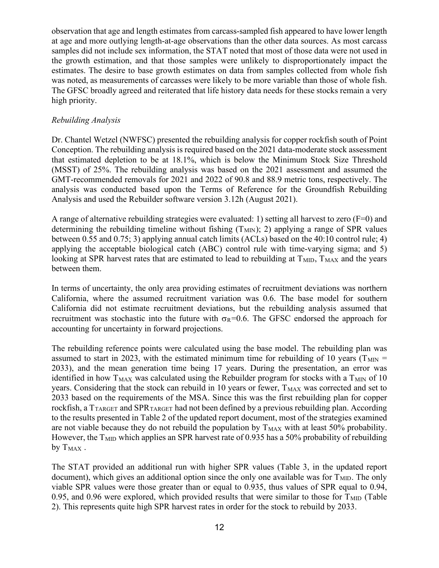observation that age and length estimates from carcass-sampled fish appeared to have lower length at age and more outlying length-at-age observations than the other data sources. As most carcass samples did not include sex information, the STAT noted that most of those data were not used in the growth estimation, and that those samples were unlikely to disproportionately impact the estimates. The desire to base growth estimates on data from samples collected from whole fish was noted, as measurements of carcasses were likely to be more variable than those of whole fish. The GFSC broadly agreed and reiterated that life history data needs for these stocks remain a very high priority.

#### *Rebuilding Analysis*

Dr. Chantel Wetzel (NWFSC) presented the rebuilding analysis for copper rockfish south of Point Conception. The rebuilding analysis is required based on the 2021 data-moderate stock assessment that estimated depletion to be at 18.1%, which is below the Minimum Stock Size Threshold (MSST) of 25%. The rebuilding analysis was based on the 2021 assessment and assumed the GMT-recommended removals for 2021 and 2022 of 90.8 and 88.9 metric tons, respectively. The analysis was conducted based upon the Terms of Reference for the Groundfish Rebuilding Analysis and used the Rebuilder software version 3.12h (August 2021).

A range of alternative rebuilding strategies were evaluated: 1) setting all harvest to zero (F=0) and determining the rebuilding timeline without fishing  $(T_{MIN})$ ; 2) applying a range of SPR values between 0.55 and 0.75; 3) applying annual catch limits (ACLs) based on the 40:10 control rule; 4) applying the acceptable biological catch (ABC) control rule with time-varying sigma; and 5) looking at SPR harvest rates that are estimated to lead to rebuilding at  $T_{\text{MD}}$ ,  $T_{\text{MAX}}$  and the years between them.

In terms of uncertainty, the only area providing estimates of recruitment deviations was northern California, where the assumed recruitment variation was 0.6. The base model for southern California did not estimate recruitment deviations, but the rebuilding analysis assumed that recruitment was stochastic into the future with  $\sigma_R=0.6$ . The GFSC endorsed the approach for accounting for uncertainty in forward projections.

The rebuilding reference points were calculated using the base model. The rebuilding plan was assumed to start in 2023, with the estimated minimum time for rebuilding of 10 years ( $T_{MIN}$  = 2033), and the mean generation time being 17 years. During the presentation, an error was identified in how  $T_{MAX}$  was calculated using the Rebuilder program for stocks with a  $T_{MIN}$  of 10 years. Considering that the stock can rebuild in 10 years or fewer, T<sub>MAX</sub> was corrected and set to 2033 based on the requirements of the MSA. Since this was the first rebuilding plan for copper rockfish, a  $T_{\text{TARGET}}$  and SPR $_{\text{TARGET}}$  had not been defined by a previous rebuilding plan. According to the results presented in Table 2 of the updated report document, most of the strategies examined are not viable because they do not rebuild the population by  $T_{MAX}$  with at least 50% probability. However, the  $T<sub>MD</sub>$  which applies an SPR harvest rate of 0.935 has a 50% probability of rebuilding by  $T_{MAX}$ .

The STAT provided an additional run with higher SPR values (Table 3, in the updated report document), which gives an additional option since the only one available was for  $T_{\text{MID}}$ . The only viable SPR values were those greater than or equal to 0.935, thus values of SPR equal to 0.94, 0.95, and 0.96 were explored, which provided results that were similar to those for  $T_{\text{MID}}$  (Table 2). This represents quite high SPR harvest rates in order for the stock to rebuild by 2033.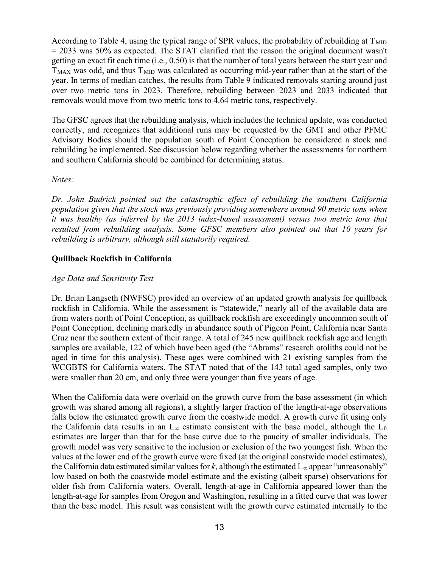According to Table 4, using the typical range of SPR values, the probability of rebuilding at  $T_{\text{MID}}$  $= 2033$  was 50% as expected. The STAT clarified that the reason the original document wasn't getting an exact fit each time (i.e., 0.50) is that the number of total years between the start year and  $T<sub>MAX</sub>$  was odd, and thus  $T<sub>MID</sub>$  was calculated as occurring mid-year rather than at the start of the year. In terms of median catches, the results from Table 9 indicated removals starting around just over two metric tons in 2023. Therefore, rebuilding between 2023 and 2033 indicated that removals would move from two metric tons to 4.64 metric tons, respectively.

The GFSC agrees that the rebuilding analysis, which includes the technical update, was conducted correctly, and recognizes that additional runs may be requested by the GMT and other PFMC Advisory Bodies should the population south of Point Conception be considered a stock and rebuilding be implemented. See discussion below regarding whether the assessments for northern and southern California should be combined for determining status.

#### *Notes:*

*Dr. John Budrick pointed out the catastrophic effect of rebuilding the southern California population given that the stock was previously providing somewhere around 90 metric tons when it was healthy (as inferred by the 2013 index-based assessment) versus two metric tons that resulted from rebuilding analysis. Some GFSC members also pointed out that 10 years for rebuilding is arbitrary, although still statutorily required.*

#### **Quillback Rockfish in California**

#### *Age Data and Sensitivity Test*

Dr. Brian Langseth (NWFSC) provided an overview of an updated growth analysis for quillback rockfish in California. While the assessment is "statewide," nearly all of the available data are from waters north of Point Conception, as quillback rockfish are exceedingly uncommon south of Point Conception, declining markedly in abundance south of Pigeon Point, California near Santa Cruz near the southern extent of their range. A total of 245 new quillback rockfish age and length samples are available, 122 of which have been aged (the "Abrams" research otoliths could not be aged in time for this analysis). These ages were combined with 21 existing samples from the WCGBTS for California waters. The STAT noted that of the 143 total aged samples, only two were smaller than 20 cm, and only three were younger than five years of age.

When the California data were overlaid on the growth curve from the base assessment (in which growth was shared among all regions), a slightly larger fraction of the length-at-age observations falls below the estimated growth curve from the coastwide model. A growth curve fit using only the California data results in an  $L_{\infty}$  estimate consistent with the base model, although the  $L_0$ estimates are larger than that for the base curve due to the paucity of smaller individuals. The growth model was very sensitive to the inclusion or exclusion of the two youngest fish. When the values at the lower end of the growth curve were fixed (at the original coastwide model estimates), the California data estimated similar values for  $k$ , although the estimated  $L_{\infty}$  appear "unreasonably" low based on both the coastwide model estimate and the existing (albeit sparse) observations for older fish from California waters. Overall, length-at-age in California appeared lower than the length-at-age for samples from Oregon and Washington, resulting in a fitted curve that was lower than the base model. This result was consistent with the growth curve estimated internally to the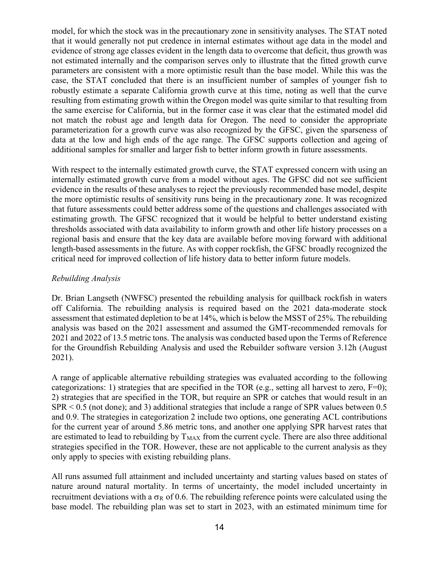model, for which the stock was in the precautionary zone in sensitivity analyses. The STAT noted that it would generally not put credence in internal estimates without age data in the model and evidence of strong age classes evident in the length data to overcome that deficit, thus growth was not estimated internally and the comparison serves only to illustrate that the fitted growth curve parameters are consistent with a more optimistic result than the base model. While this was the case, the STAT concluded that there is an insufficient number of samples of younger fish to robustly estimate a separate California growth curve at this time, noting as well that the curve resulting from estimating growth within the Oregon model was quite similar to that resulting from the same exercise for California, but in the former case it was clear that the estimated model did not match the robust age and length data for Oregon. The need to consider the appropriate parameterization for a growth curve was also recognized by the GFSC, given the sparseness of data at the low and high ends of the age range. The GFSC supports collection and ageing of additional samples for smaller and larger fish to better inform growth in future assessments.

With respect to the internally estimated growth curve, the STAT expressed concern with using an internally estimated growth curve from a model without ages. The GFSC did not see sufficient evidence in the results of these analyses to reject the previously recommended base model, despite the more optimistic results of sensitivity runs being in the precautionary zone. It was recognized that future assessments could better address some of the questions and challenges associated with estimating growth. The GFSC recognized that it would be helpful to better understand existing thresholds associated with data availability to inform growth and other life history processes on a regional basis and ensure that the key data are available before moving forward with additional length-based assessments in the future. As with copper rockfish, the GFSC broadly recognized the critical need for improved collection of life history data to better inform future models.

#### *Rebuilding Analysis*

Dr. Brian Langseth (NWFSC) presented the rebuilding analysis for quillback rockfish in waters off California. The rebuilding analysis is required based on the 2021 data-moderate stock assessment that estimated depletion to be at 14%, which is below the MSST of 25%. The rebuilding analysis was based on the 2021 assessment and assumed the GMT-recommended removals for 2021 and 2022 of 13.5 metric tons. The analysis was conducted based upon the Terms of Reference for the Groundfish Rebuilding Analysis and used the Rebuilder software version 3.12h (August 2021).

A range of applicable alternative rebuilding strategies was evaluated according to the following categorizations: 1) strategies that are specified in the TOR (e.g., setting all harvest to zero,  $F=0$ ); 2) strategies that are specified in the TOR, but require an SPR or catches that would result in an  $SPR < 0.5$  (not done); and 3) additional strategies that include a range of SPR values between 0.5 and 0.9. The strategies in categorization 2 include two options, one generating ACL contributions for the current year of around 5.86 metric tons, and another one applying SPR harvest rates that are estimated to lead to rebuilding by  $T_{MAX}$  from the current cycle. There are also three additional strategies specified in the TOR. However, these are not applicable to the current analysis as they only apply to species with existing rebuilding plans.

All runs assumed full attainment and included uncertainty and starting values based on states of nature around natural mortality. In terms of uncertainty, the model included uncertainty in recruitment deviations with a  $\sigma_R$  of 0.6. The rebuilding reference points were calculated using the base model. The rebuilding plan was set to start in 2023, with an estimated minimum time for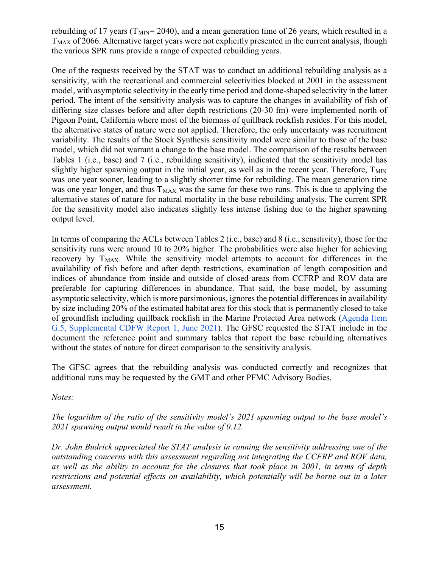rebuilding of 17 years ( $T_{\text{MIN}}$ = 2040), and a mean generation time of 26 years, which resulted in a  $T_{MAX}$  of 2066. Alternative target years were not explicitly presented in the current analysis, though the various SPR runs provide a range of expected rebuilding years.

One of the requests received by the STAT was to conduct an additional rebuilding analysis as a sensitivity, with the recreational and commercial selectivities blocked at 2001 in the assessment model, with asymptotic selectivity in the early time period and dome-shaped selectivity in the latter period. The intent of the sensitivity analysis was to capture the changes in availability of fish of differing size classes before and after depth restrictions (20-30 fm) were implemented north of Pigeon Point, California where most of the biomass of quillback rockfish resides. For this model, the alternative states of nature were not applied. Therefore, the only uncertainty was recruitment variability. The results of the Stock Synthesis sensitivity model were similar to those of the base model, which did not warrant a change to the base model. The comparison of the results between Tables 1 (i.e., base) and 7 (i.e., rebuilding sensitivity), indicated that the sensitivity model has slightly higher spawning output in the initial year, as well as in the recent year. Therefore,  $T<sub>MIN</sub>$ was one year sooner, leading to a slightly shorter time for rebuilding. The mean generation time was one year longer, and thus  $T_{MAX}$  was the same for these two runs. This is due to applying the alternative states of nature for natural mortality in the base rebuilding analysis. The current SPR for the sensitivity model also indicates slightly less intense fishing due to the higher spawning output level.

In terms of comparing the ACLs between Tables 2 (i.e., base) and 8 (i.e., sensitivity), those for the sensitivity runs were around 10 to 20% higher. The probabilities were also higher for achieving recovery by  $T_{MAX}$ . While the sensitivity model attempts to account for differences in the availability of fish before and after depth restrictions, examination of length composition and indices of abundance from inside and outside of closed areas from CCFRP and ROV data are preferable for capturing differences in abundance. That said, the base model, by assuming asymptotic selectivity, which is more parsimonious, ignores the potential differences in availability by size including 20% of the estimated habitat area for this stock that is permanently closed to take of groundfish including quillback rockfish in the Marine Protected Area network [\(Agenda Item](https://www.pcouncil.org/documents/2021/06/g-5-a-supplemental-cdfw-report-1.pdf/)  [G.5, Supplemental CDFW Report 1, June 2021\)](https://www.pcouncil.org/documents/2021/06/g-5-a-supplemental-cdfw-report-1.pdf/). The GFSC requested the STAT include in the document the reference point and summary tables that report the base rebuilding alternatives without the states of nature for direct comparison to the sensitivity analysis.

The GFSC agrees that the rebuilding analysis was conducted correctly and recognizes that additional runs may be requested by the GMT and other PFMC Advisory Bodies.

*Notes:*

*The logarithm of the ratio of the sensitivity model's 2021 spawning output to the base model's 2021 spawning output would result in the value of 0.12.*

*Dr. John Budrick appreciated the STAT analysis in running the sensitivity addressing one of the outstanding concerns with this assessment regarding not integrating the CCFRP and ROV data, as well as the ability to account for the closures that took place in 2001, in terms of depth restrictions and potential effects on availability, which potentially will be borne out in a later assessment.*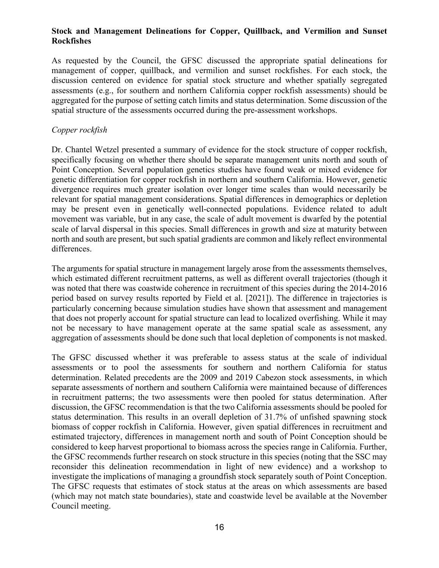#### **Stock and Management Delineations for Copper, Quillback, and Vermilion and Sunset Rockfishes**

As requested by the Council, the GFSC discussed the appropriate spatial delineations for management of copper, quillback, and vermilion and sunset rockfishes. For each stock, the discussion centered on evidence for spatial stock structure and whether spatially segregated assessments (e.g., for southern and northern California copper rockfish assessments) should be aggregated for the purpose of setting catch limits and status determination. Some discussion of the spatial structure of the assessments occurred during the pre-assessment workshops.

#### *Copper rockfish*

Dr. Chantel Wetzel presented a summary of evidence for the stock structure of copper rockfish, specifically focusing on whether there should be separate management units north and south of Point Conception. Several population genetics studies have found weak or mixed evidence for genetic differentiation for copper rockfish in northern and southern California. However, genetic divergence requires much greater isolation over longer time scales than would necessarily be relevant for spatial management considerations. Spatial differences in demographics or depletion may be present even in genetically well-connected populations. Evidence related to adult movement was variable, but in any case, the scale of adult movement is dwarfed by the potential scale of larval dispersal in this species. Small differences in growth and size at maturity between north and south are present, but such spatial gradients are common and likely reflect environmental differences.

The arguments for spatial structure in management largely arose from the assessments themselves, which estimated different recruitment patterns, as well as different overall trajectories (though it was noted that there was coastwide coherence in recruitment of this species during the 2014-2016 period based on survey results reported by Field et al. [2021]). The difference in trajectories is particularly concerning because simulation studies have shown that assessment and management that does not properly account for spatial structure can lead to localized overfishing. While it may not be necessary to have management operate at the same spatial scale as assessment, any aggregation of assessments should be done such that local depletion of components is not masked.

The GFSC discussed whether it was preferable to assess status at the scale of individual assessments or to pool the assessments for southern and northern California for status determination. Related precedents are the 2009 and 2019 Cabezon stock assessments, in which separate assessments of northern and southern California were maintained because of differences in recruitment patterns; the two assessments were then pooled for status determination. After discussion, the GFSC recommendation is that the two California assessments should be pooled for status determination. This results in an overall depletion of 31.7% of unfished spawning stock biomass of copper rockfish in California. However, given spatial differences in recruitment and estimated trajectory, differences in management north and south of Point Conception should be considered to keep harvest proportional to biomass across the species range in California. Further, the GFSC recommends further research on stock structure in this species (noting that the SSC may reconsider this delineation recommendation in light of new evidence) and a workshop to investigate the implications of managing a groundfish stock separately south of Point Conception. The GFSC requests that estimates of stock status at the areas on which assessments are based (which may not match state boundaries), state and coastwide level be available at the November Council meeting.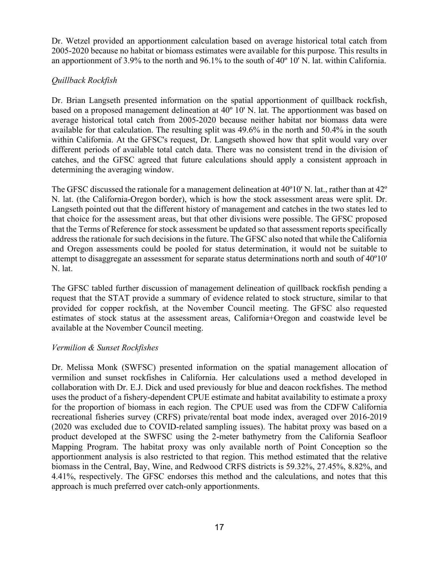Dr. Wetzel provided an apportionment calculation based on average historical total catch from 2005-2020 because no habitat or biomass estimates were available for this purpose. This results in an apportionment of 3.9% to the north and 96.1% to the south of 40º 10' N. lat. within California.

## *Quillback Rockfish*

Dr. Brian Langseth presented information on the spatial apportionment of quillback rockfish, based on a proposed management delineation at 40º 10' N. lat. The apportionment was based on average historical total catch from 2005-2020 because neither habitat nor biomass data were available for that calculation. The resulting split was 49.6% in the north and 50.4% in the south within California. At the GFSC's request, Dr. Langseth showed how that split would vary over different periods of available total catch data. There was no consistent trend in the division of catches, and the GFSC agreed that future calculations should apply a consistent approach in determining the averaging window.

The GFSC discussed the rationale for a management delineation at 40º10' N. lat., rather than at 42º N. lat. (the California-Oregon border), which is how the stock assessment areas were split. Dr. Langseth pointed out that the different history of management and catches in the two states led to that choice for the assessment areas, but that other divisions were possible. The GFSC proposed that the Terms of Reference for stock assessment be updated so that assessment reports specifically address the rationale for such decisions in the future. The GFSC also noted that while the California and Oregon assessments could be pooled for status determination, it would not be suitable to attempt to disaggregate an assessment for separate status determinations north and south of 40º10' N. lat.

The GFSC tabled further discussion of management delineation of quillback rockfish pending a request that the STAT provide a summary of evidence related to stock structure, similar to that provided for copper rockfish, at the November Council meeting. The GFSC also requested estimates of stock status at the assessment areas, California+Oregon and coastwide level be available at the November Council meeting.

#### *Vermilion & Sunset Rockfishes*

Dr. Melissa Monk (SWFSC) presented information on the spatial management allocation of vermilion and sunset rockfishes in California. Her calculations used a method developed in collaboration with Dr. E.J. Dick and used previously for blue and deacon rockfishes. The method uses the product of a fishery-dependent CPUE estimate and habitat availability to estimate a proxy for the proportion of biomass in each region. The CPUE used was from the CDFW California recreational fisheries survey (CRFS) private/rental boat mode index, averaged over 2016-2019 (2020 was excluded due to COVID-related sampling issues). The habitat proxy was based on a product developed at the SWFSC using the 2-meter bathymetry from the California Seafloor Mapping Program. The habitat proxy was only available north of Point Conception so the apportionment analysis is also restricted to that region. This method estimated that the relative biomass in the Central, Bay, Wine, and Redwood CRFS districts is 59.32%, 27.45%, 8.82%, and 4.41%, respectively. The GFSC endorses this method and the calculations, and notes that this approach is much preferred over catch-only apportionments.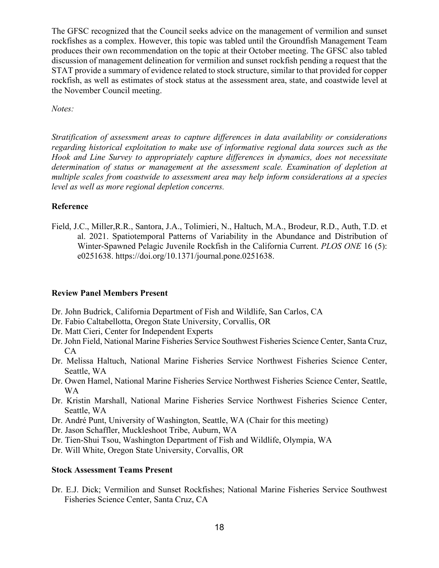The GFSC recognized that the Council seeks advice on the management of vermilion and sunset rockfishes as a complex. However, this topic was tabled until the Groundfish Management Team produces their own recommendation on the topic at their October meeting. The GFSC also tabled discussion of management delineation for vermilion and sunset rockfish pending a request that the STAT provide a summary of evidence related to stock structure, similar to that provided for copper rockfish, as well as estimates of stock status at the assessment area, state, and coastwide level at the November Council meeting.

*Notes:*

*Stratification of assessment areas to capture differences in data availability or considerations regarding historical exploitation to make use of informative regional data sources such as the Hook and Line Survey to appropriately capture differences in dynamics, does not necessitate determination of status or management at the assessment scale. Examination of depletion at multiple scales from coastwide to assessment area may help inform considerations at a species level as well as more regional depletion concerns.*

#### **Reference**

Field, J.C., Miller,R.R., Santora, J.A., Tolimieri, N., Haltuch, M.A., Brodeur, R.D., Auth, T.D. et al. 2021. Spatiotemporal Patterns of Variability in the Abundance and Distribution of Winter-Spawned Pelagic Juvenile Rockfish in the California Current. *PLOS ONE* 16 (5): e0251638. https://doi.org/10.1371/journal.pone.0251638.

#### **Review Panel Members Present**

- Dr. John Budrick, California Department of Fish and Wildlife, San Carlos, CA
- Dr. Fabio Caltabellotta, Oregon State University, Corvallis, OR
- Dr. Matt Cieri, Center for Independent Experts
- Dr. John Field, National Marine Fisheries Service Southwest Fisheries Science Center, Santa Cruz, CA
- Dr. Melissa Haltuch, National Marine Fisheries Service Northwest Fisheries Science Center, Seattle, WA
- Dr. Owen Hamel, National Marine Fisheries Service Northwest Fisheries Science Center, Seattle, WA
- Dr. Kristin Marshall, National Marine Fisheries Service Northwest Fisheries Science Center, Seattle, WA
- Dr. André Punt, University of Washington, Seattle, WA (Chair for this meeting)
- Dr. Jason Schaffler, Muckleshoot Tribe, Auburn, WA
- Dr. Tien-Shui Tsou, Washington Department of Fish and Wildlife, Olympia, WA
- Dr. Will White, Oregon State University, Corvallis, OR

#### **Stock Assessment Teams Present**

Dr. E.J. Dick; Vermilion and Sunset Rockfishes; National Marine Fisheries Service Southwest Fisheries Science Center, Santa Cruz, CA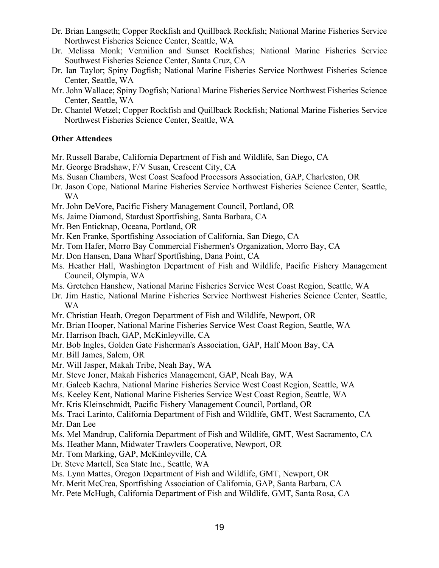- Dr. Brian Langseth; Copper Rockfish and Quillback Rockfish; National Marine Fisheries Service Northwest Fisheries Science Center, Seattle, WA
- Dr. Melissa Monk; Vermilion and Sunset Rockfishes; National Marine Fisheries Service Southwest Fisheries Science Center, Santa Cruz, CA
- Dr. Ian Taylor; Spiny Dogfish; National Marine Fisheries Service Northwest Fisheries Science Center, Seattle, WA
- Mr. John Wallace; Spiny Dogfish; National Marine Fisheries Service Northwest Fisheries Science Center, Seattle, WA
- Dr. Chantel Wetzel; Copper Rockfish and Quillback Rockfish; National Marine Fisheries Service Northwest Fisheries Science Center, Seattle, WA

#### **Other Attendees**

- Mr. Russell Barabe, California Department of Fish and Wildlife, San Diego, CA
- Mr. George Bradshaw, F/V Susan, Crescent City, CA
- Ms. Susan Chambers, West Coast Seafood Processors Association, GAP, Charleston, OR
- Dr. Jason Cope, National Marine Fisheries Service Northwest Fisheries Science Center, Seattle, WA
- Mr. John DeVore, Pacific Fishery Management Council, Portland, OR
- Ms. Jaime Diamond, Stardust Sportfishing, Santa Barbara, CA
- Mr. Ben Enticknap, Oceana, Portland, OR
- Mr. Ken Franke, Sportfishing Association of California, San Diego, CA
- Mr. Tom Hafer, Morro Bay Commercial Fishermen's Organization, Morro Bay, CA
- Mr. Don Hansen, Dana Wharf Sportfishing, Dana Point, CA
- Ms. Heather Hall, Washington Department of Fish and Wildlife, Pacific Fishery Management Council, Olympia, WA
- Ms. Gretchen Hanshew, National Marine Fisheries Service West Coast Region, Seattle, WA
- Dr. Jim Hastie, National Marine Fisheries Service Northwest Fisheries Science Center, Seattle, WA
- Mr. Christian Heath, Oregon Department of Fish and Wildlife, Newport, OR
- Mr. Brian Hooper, National Marine Fisheries Service West Coast Region, Seattle, WA
- Mr. Harrison Ibach, GAP, McKinleyville, CA
- Mr. Bob Ingles, Golden Gate Fisherman's Association, GAP, Half Moon Bay, CA
- Mr. Bill James, Salem, OR
- Mr. Will Jasper, Makah Tribe, Neah Bay, WA
- Mr. Steve Joner, Makah Fisheries Management, GAP, Neah Bay, WA
- Mr. Galeeb Kachra, National Marine Fisheries Service West Coast Region, Seattle, WA
- Ms. Keeley Kent, National Marine Fisheries Service West Coast Region, Seattle, WA
- Mr. Kris Kleinschmidt, Pacific Fishery Management Council, Portland, OR
- Ms. Traci Larinto, California Department of Fish and Wildlife, GMT, West Sacramento, CA Mr. Dan Lee
- Ms. Mel Mandrup, California Department of Fish and Wildlife, GMT, West Sacramento, CA
- Ms. Heather Mann, Midwater Trawlers Cooperative, Newport, OR
- Mr. Tom Marking, GAP, McKinleyville, CA
- Dr. Steve Martell, Sea State Inc., Seattle, WA
- Ms. Lynn Mattes, Oregon Department of Fish and Wildlife, GMT, Newport, OR
- Mr. Merit McCrea, Sportfishing Association of California, GAP, Santa Barbara, CA
- Mr. Pete McHugh, California Department of Fish and Wildlife, GMT, Santa Rosa, CA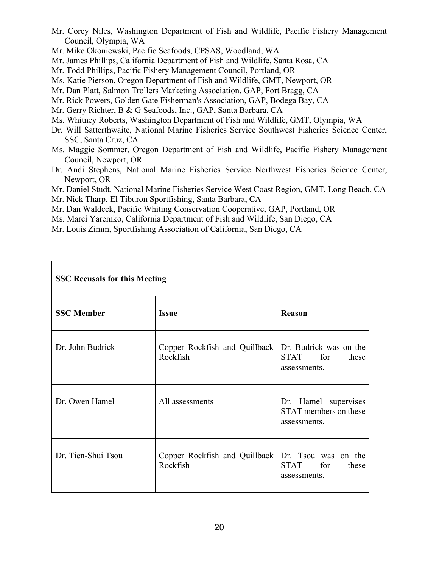- Mr. Corey Niles, Washington Department of Fish and Wildlife, Pacific Fishery Management Council, Olympia, WA
- Mr. Mike Okoniewski, Pacific Seafoods, CPSAS, Woodland, WA
- Mr. James Phillips, California Department of Fish and Wildlife, Santa Rosa, CA
- Mr. Todd Phillips, Pacific Fishery Management Council, Portland, OR
- Ms. Katie Pierson, Oregon Department of Fish and Wildlife, GMT, Newport, OR
- Mr. Dan Platt, Salmon Trollers Marketing Association, GAP, Fort Bragg, CA
- Mr. Rick Powers, Golden Gate Fisherman's Association, GAP, Bodega Bay, CA
- Mr. Gerry Richter, B & G Seafoods, Inc., GAP, Santa Barbara, CA
- Ms. Whitney Roberts, Washington Department of Fish and Wildlife, GMT, Olympia, WA
- Dr. Will Satterthwaite, National Marine Fisheries Service Southwest Fisheries Science Center, SSC, Santa Cruz, CA
- Ms. Maggie Sommer, Oregon Department of Fish and Wildlife, Pacific Fishery Management Council, Newport, OR
- Dr. Andi Stephens, National Marine Fisheries Service Northwest Fisheries Science Center, Newport, OR
- Mr. Daniel Studt, National Marine Fisheries Service West Coast Region, GMT, Long Beach, CA Mr. Nick Tharp, El Tiburon Sportfishing, Santa Barbara, CA
- Mr. Dan Waldeck, Pacific Whiting Conservation Cooperative, GAP, Portland, OR
- Ms. Marci Yaremko, California Department of Fish and Wildlife, San Diego, CA
- Mr. Louis Zimm, Sportfishing Association of California, San Diego, CA

| <b>SSC Recusals for this Meeting</b> |                                           |                                                                    |  |  |  |
|--------------------------------------|-------------------------------------------|--------------------------------------------------------------------|--|--|--|
| <b>SSC Member</b>                    | <b>Issue</b>                              | <b>Reason</b>                                                      |  |  |  |
| Dr. John Budrick                     | Copper Rockfish and Quillback<br>Rockfish | Dr. Budrick was on the<br>STAT for<br>these<br>assessments.        |  |  |  |
| Dr. Owen Hamel                       | All assessments                           | Dr. Hamel supervises<br>STAT members on these<br>assessments.      |  |  |  |
| Dr. Tien-Shui Tsou                   | Copper Rockfish and Quillback<br>Rockfish | Dr. Tsou was on the<br><b>STAT</b><br>for<br>these<br>assessments. |  |  |  |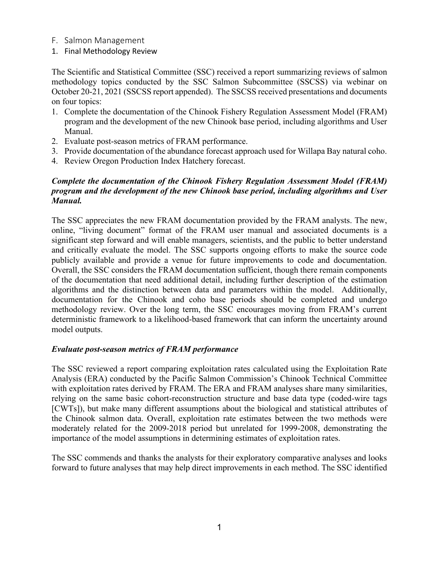#### F. Salmon Management

1. Final Methodology Review

The Scientific and Statistical Committee (SSC) received a report summarizing reviews of salmon methodology topics conducted by the SSC Salmon Subcommittee (SSCSS) via webinar on October 20-21, 2021 (SSCSS report appended). The SSCSS received presentations and documents on four topics:

- 1. Complete the documentation of the Chinook Fishery Regulation Assessment Model (FRAM) program and the development of the new Chinook base period, including algorithms and User Manual.
- 2. Evaluate post-season metrics of FRAM performance.
- 3. Provide documentation of the abundance forecast approach used for Willapa Bay natural coho.
- 4. Review Oregon Production Index Hatchery forecast.

#### *Complete the documentation of the Chinook Fishery Regulation Assessment Model (FRAM) program and the development of the new Chinook base period, including algorithms and User Manual.*

The SSC appreciates the new FRAM documentation provided by the FRAM analysts. The new, online, "living document" format of the FRAM user manual and associated documents is a significant step forward and will enable managers, scientists, and the public to better understand and critically evaluate the model. The SSC supports ongoing efforts to make the source code publicly available and provide a venue for future improvements to code and documentation. Overall, the SSC considers the FRAM documentation sufficient, though there remain components of the documentation that need additional detail, including further description of the estimation algorithms and the distinction between data and parameters within the model. Additionally, documentation for the Chinook and coho base periods should be completed and undergo methodology review. Over the long term, the SSC encourages moving from FRAM's current deterministic framework to a likelihood-based framework that can inform the uncertainty around model outputs.

#### *Evaluate post-season metrics of FRAM performance*

The SSC reviewed a report comparing exploitation rates calculated using the Exploitation Rate Analysis (ERA) conducted by the Pacific Salmon Commission's Chinook Technical Committee with exploitation rates derived by FRAM. The ERA and FRAM analyses share many similarities, relying on the same basic cohort-reconstruction structure and base data type (coded-wire tags [CWTs]), but make many different assumptions about the biological and statistical attributes of the Chinook salmon data. Overall, exploitation rate estimates between the two methods were moderately related for the 2009-2018 period but unrelated for 1999-2008, demonstrating the importance of the model assumptions in determining estimates of exploitation rates.

The SSC commends and thanks the analysts for their exploratory comparative analyses and looks forward to future analyses that may help direct improvements in each method. The SSC identified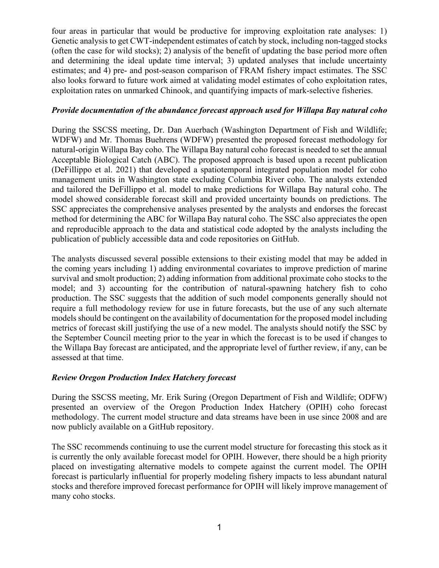four areas in particular that would be productive for improving exploitation rate analyses: 1) Genetic analysis to get CWT-independent estimates of catch by stock, including non-tagged stocks (often the case for wild stocks); 2) analysis of the benefit of updating the base period more often and determining the ideal update time interval; 3) updated analyses that include uncertainty estimates; and 4) pre- and post-season comparison of FRAM fishery impact estimates. The SSC also looks forward to future work aimed at validating model estimates of coho exploitation rates, exploitation rates on unmarked Chinook, and quantifying impacts of mark-selective fisheries.

#### *Provide documentation of the abundance forecast approach used for Willapa Bay natural coho*

During the SSCSS meeting, Dr. Dan Auerbach (Washington Department of Fish and Wildlife; WDFW) and Mr. Thomas Buehrens (WDFW) presented the proposed forecast methodology for natural-origin Willapa Bay coho. The Willapa Bay natural coho forecast is needed to set the annual Acceptable Biological Catch (ABC). The proposed approach is based upon a recent publication (DeFillippo et al. 2021) that developed a spatiotemporal integrated population model for coho management units in Washington state excluding Columbia River coho. The analysts extended and tailored the DeFillippo et al. model to make predictions for Willapa Bay natural coho. The model showed considerable forecast skill and provided uncertainty bounds on predictions. The SSC appreciates the comprehensive analyses presented by the analysts and endorses the forecast method for determining the ABC for Willapa Bay natural coho. The SSC also appreciates the open and reproducible approach to the data and statistical code adopted by the analysts including the publication of publicly accessible data and code repositories on GitHub.

The analysts discussed several possible extensions to their existing model that may be added in the coming years including 1) adding environmental covariates to improve prediction of marine survival and smolt production; 2) adding information from additional proximate coho stocks to the model; and 3) accounting for the contribution of natural-spawning hatchery fish to coho production. The SSC suggests that the addition of such model components generally should not require a full methodology review for use in future forecasts, but the use of any such alternate models should be contingent on the availability of documentation for the proposed model including metrics of forecast skill justifying the use of a new model. The analysts should notify the SSC by the September Council meeting prior to the year in which the forecast is to be used if changes to the Willapa Bay forecast are anticipated, and the appropriate level of further review, if any, can be assessed at that time.

#### *Review Oregon Production Index Hatchery forecast*

During the SSCSS meeting, Mr. Erik Suring (Oregon Department of Fish and Wildlife; ODFW) presented an overview of the Oregon Production Index Hatchery (OPIH) coho forecast methodology. The current model structure and data streams have been in use since 2008 and are now publicly available on a GitHub repository.

The SSC recommends continuing to use the current model structure for forecasting this stock as it is currently the only available forecast model for OPIH. However, there should be a high priority placed on investigating alternative models to compete against the current model. The OPIH forecast is particularly influential for properly modeling fishery impacts to less abundant natural stocks and therefore improved forecast performance for OPIH will likely improve management of many coho stocks.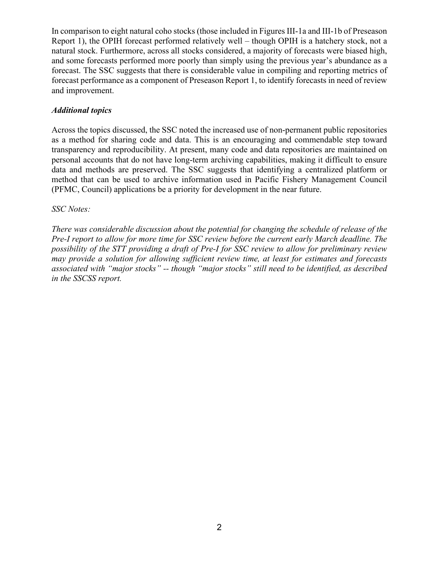In comparison to eight natural coho stocks (those included in Figures III-1a and III-1b of Preseason Report 1), the OPIH forecast performed relatively well – though OPIH is a hatchery stock, not a natural stock. Furthermore, across all stocks considered, a majority of forecasts were biased high, and some forecasts performed more poorly than simply using the previous year's abundance as a forecast. The SSC suggests that there is considerable value in compiling and reporting metrics of forecast performance as a component of Preseason Report 1, to identify forecasts in need of review and improvement.

#### *Additional topics*

Across the topics discussed, the SSC noted the increased use of non-permanent public repositories as a method for sharing code and data. This is an encouraging and commendable step toward transparency and reproducibility. At present, many code and data repositories are maintained on personal accounts that do not have long-term archiving capabilities, making it difficult to ensure data and methods are preserved. The SSC suggests that identifying a centralized platform or method that can be used to archive information used in Pacific Fishery Management Council (PFMC, Council) applications be a priority for development in the near future.

*SSC Notes:*

*There was considerable discussion about the potential for changing the schedule of release of the Pre-I report to allow for more time for SSC review before the current early March deadline. The possibility of the STT providing a draft of Pre-I for SSC review to allow for preliminary review may provide a solution for allowing sufficient review time, at least for estimates and forecasts associated with "major stocks" -- though "major stocks" still need to be identified, as described in the SSCSS report.*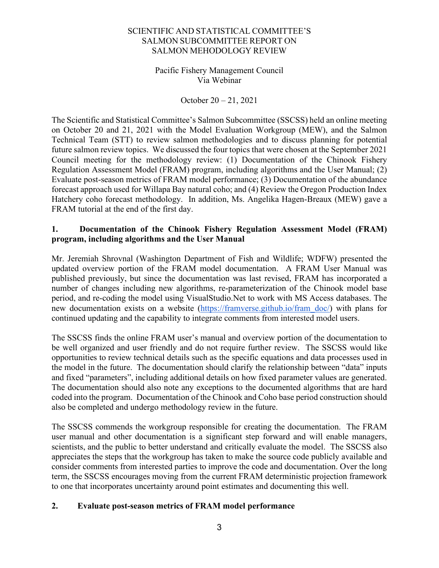#### SCIENTIFIC AND STATISTICAL COMMITTEE'S SALMON SUBCOMMITTEE REPORT ON SALMON MEHODOLOGY REVIEW

#### Pacific Fishery Management Council Via Webinar

October 20 – 21, 2021

The Scientific and Statistical Committee's Salmon Subcommittee (SSCSS) held an online meeting on October 20 and 21, 2021 with the Model Evaluation Workgroup (MEW), and the Salmon Technical Team (STT) to review salmon methodologies and to discuss planning for potential future salmon review topics. We discussed the four topics that were chosen at the September 2021 Council meeting for the methodology review: (1) Documentation of the Chinook Fishery Regulation Assessment Model (FRAM) program, including algorithms and the User Manual; (2) Evaluate post-season metrics of FRAM model performance; (3) Documentation of the abundance forecast approach used for Willapa Bay natural coho; and (4) Review the Oregon Production Index Hatchery coho forecast methodology. In addition, Ms. Angelika Hagen-Breaux (MEW) gave a FRAM tutorial at the end of the first day.

#### **1. Documentation of the Chinook Fishery Regulation Assessment Model (FRAM) program, including algorithms and the User Manual**

Mr. Jeremiah Shrovnal (Washington Department of Fish and Wildlife; WDFW) presented the updated overview portion of the FRAM model documentation. A FRAM User Manual was published previously, but since the documentation was last revised, FRAM has incorporated a number of changes including new algorithms, re-parameterization of the Chinook model base period, and re-coding the model using VisualStudio.Net to work with MS Access databases. The new documentation exists on a website [\(https://framverse.github.io/fram\\_doc/\)](https://framverse.github.io/fram_doc/) with plans for continued updating and the capability to integrate comments from interested model users.

The SSCSS finds the online FRAM user's manual and overview portion of the documentation to be well organized and user friendly and do not require further review. The SSCSS would like opportunities to review technical details such as the specific equations and data processes used in the model in the future. The documentation should clarify the relationship between "data" inputs and fixed "parameters", including additional details on how fixed parameter values are generated. The documentation should also note any exceptions to the documented algorithms that are hard coded into the program. Documentation of the Chinook and Coho base period construction should also be completed and undergo methodology review in the future.

The SSCSS commends the workgroup responsible for creating the documentation. The FRAM user manual and other documentation is a significant step forward and will enable managers, scientists, and the public to better understand and critically evaluate the model. The SSCSS also appreciates the steps that the workgroup has taken to make the source code publicly available and consider comments from interested parties to improve the code and documentation. Over the long term, the SSCSS encourages moving from the current FRAM deterministic projection framework to one that incorporates uncertainty around point estimates and documenting this well.

## **2. Evaluate post-season metrics of FRAM model performance**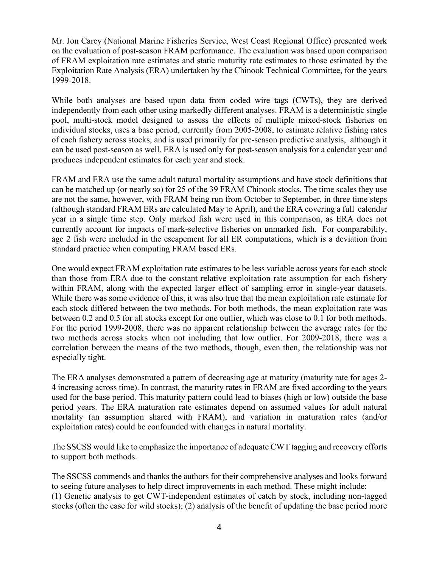Mr. Jon Carey (National Marine Fisheries Service, West Coast Regional Office) presented work on the evaluation of post-season FRAM performance. The evaluation was based upon comparison of FRAM exploitation rate estimates and static maturity rate estimates to those estimated by the Exploitation Rate Analysis (ERA) undertaken by the Chinook Technical Committee, for the years 1999-2018.

While both analyses are based upon data from coded wire tags (CWTs), they are derived independently from each other using markedly different analyses. FRAM is a deterministic single pool, multi-stock model designed to assess the effects of multiple mixed-stock fisheries on individual stocks, uses a base period, currently from 2005-2008, to estimate relative fishing rates of each fishery across stocks, and is used primarily for pre-season predictive analysis, although it can be used post-season as well. ERA is used only for post-season analysis for a calendar year and produces independent estimates for each year and stock.

FRAM and ERA use the same adult natural mortality assumptions and have stock definitions that can be matched up (or nearly so) for 25 of the 39 FRAM Chinook stocks. The time scales they use are not the same, however, with FRAM being run from October to September, in three time steps (although standard FRAM ERs are calculated May to April), and the ERA covering a full calendar year in a single time step. Only marked fish were used in this comparison, as ERA does not currently account for impacts of mark-selective fisheries on unmarked fish. For comparability, age 2 fish were included in the escapement for all ER computations, which is a deviation from standard practice when computing FRAM based ERs.

One would expect FRAM exploitation rate estimates to be less variable across years for each stock than those from ERA due to the constant relative exploitation rate assumption for each fishery within FRAM, along with the expected larger effect of sampling error in single-year datasets. While there was some evidence of this, it was also true that the mean exploitation rate estimate for each stock differed between the two methods. For both methods, the mean exploitation rate was between 0.2 and 0.5 for all stocks except for one outlier, which was close to 0.1 for both methods. For the period 1999-2008, there was no apparent relationship between the average rates for the two methods across stocks when not including that low outlier. For 2009-2018, there was a correlation between the means of the two methods, though, even then, the relationship was not especially tight.

The ERA analyses demonstrated a pattern of decreasing age at maturity (maturity rate for ages 2- 4 increasing across time). In contrast, the maturity rates in FRAM are fixed according to the years used for the base period. This maturity pattern could lead to biases (high or low) outside the base period years. The ERA maturation rate estimates depend on assumed values for adult natural mortality (an assumption shared with FRAM), and variation in maturation rates (and/or exploitation rates) could be confounded with changes in natural mortality.

The SSCSS would like to emphasize the importance of adequate CWT tagging and recovery efforts to support both methods.

The SSCSS commends and thanks the authors for their comprehensive analyses and looks forward to seeing future analyses to help direct improvements in each method. These might include: (1) Genetic analysis to get CWT-independent estimates of catch by stock, including non-tagged stocks (often the case for wild stocks); (2) analysis of the benefit of updating the base period more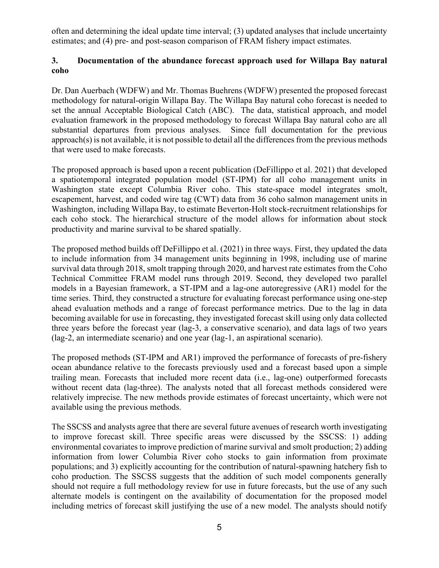often and determining the ideal update time interval; (3) updated analyses that include uncertainty estimates; and (4) pre- and post-season comparison of FRAM fishery impact estimates.

#### **3. Documentation of the abundance forecast approach used for Willapa Bay natural coho**

Dr. Dan Auerbach (WDFW) and Mr. Thomas Buehrens (WDFW) presented the proposed forecast methodology for natural-origin Willapa Bay. The Willapa Bay natural coho forecast is needed to set the annual Acceptable Biological Catch (ABC). The data, statistical approach, and model evaluation framework in the proposed methodology to forecast Willapa Bay natural coho are all substantial departures from previous analyses. Since full documentation for the previous approach(s) is not available, it is not possible to detail all the differences from the previous methods that were used to make forecasts.

The proposed approach is based upon a recent publication (DeFillippo et al. 2021) that developed a spatiotemporal integrated population model (ST-IPM) for all coho management units in Washington state except Columbia River coho. This state-space model integrates smolt, escapement, harvest, and coded wire tag (CWT) data from 36 coho salmon management units in Washington, including Willapa Bay, to estimate Beverton-Holt stock-recruitment relationships for each coho stock. The hierarchical structure of the model allows for information about stock productivity and marine survival to be shared spatially.

The proposed method builds off DeFillippo et al. (2021) in three ways. First, they updated the data to include information from 34 management units beginning in 1998, including use of marine survival data through 2018, smolt trapping through 2020, and harvest rate estimates from the Coho Technical Committee FRAM model runs through 2019. Second, they developed two parallel models in a Bayesian framework, a ST-IPM and a lag-one autoregressive (AR1) model for the time series. Third, they constructed a structure for evaluating forecast performance using one-step ahead evaluation methods and a range of forecast performance metrics. Due to the lag in data becoming available for use in forecasting, they investigated forecast skill using only data collected three years before the forecast year (lag-3, a conservative scenario), and data lags of two years (lag-2, an intermediate scenario) and one year (lag-1, an aspirational scenario).

The proposed methods (ST-IPM and AR1) improved the performance of forecasts of pre-fishery ocean abundance relative to the forecasts previously used and a forecast based upon a simple trailing mean. Forecasts that included more recent data (i.e., lag-one) outperformed forecasts without recent data (lag-three). The analysts noted that all forecast methods considered were relatively imprecise. The new methods provide estimates of forecast uncertainty, which were not available using the previous methods.

The SSCSS and analysts agree that there are several future avenues of research worth investigating to improve forecast skill. Three specific areas were discussed by the SSCSS: 1) adding environmental covariates to improve prediction of marine survival and smolt production; 2) adding information from lower Columbia River coho stocks to gain information from proximate populations; and 3) explicitly accounting for the contribution of natural-spawning hatchery fish to coho production. The SSCSS suggests that the addition of such model components generally should not require a full methodology review for use in future forecasts, but the use of any such alternate models is contingent on the availability of documentation for the proposed model including metrics of forecast skill justifying the use of a new model. The analysts should notify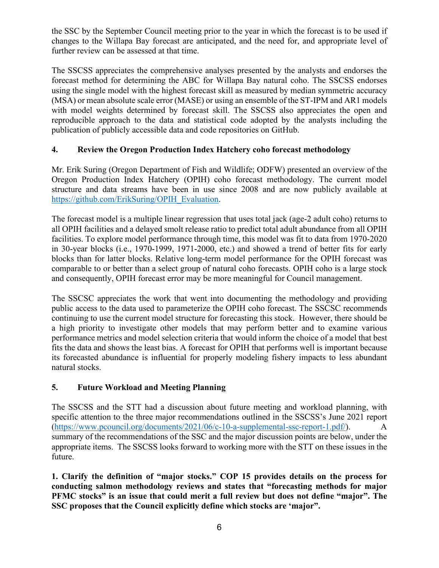the SSC by the September Council meeting prior to the year in which the forecast is to be used if changes to the Willapa Bay forecast are anticipated, and the need for, and appropriate level of further review can be assessed at that time.

The SSCSS appreciates the comprehensive analyses presented by the analysts and endorses the forecast method for determining the ABC for Willapa Bay natural coho. The SSCSS endorses using the single model with the highest forecast skill as measured by median symmetric accuracy (MSA) or mean absolute scale error (MASE) or using an ensemble of the ST-IPM and AR1 models with model weights determined by forecast skill. The SSCSS also appreciates the open and reproducible approach to the data and statistical code adopted by the analysts including the publication of publicly accessible data and code repositories on GitHub.

## **4. Review the Oregon Production Index Hatchery coho forecast methodology**

Mr. Erik Suring (Oregon Department of Fish and Wildlife; ODFW) presented an overview of the Oregon Production Index Hatchery (OPIH) coho forecast methodology. The current model structure and data streams have been in use since 2008 and are now publicly available at [https://github.com/ErikSuring/OPIH\\_Evaluation.](https://github.com/ErikSuring/OPIH_Evaluation)

The forecast model is a multiple linear regression that uses total jack (age-2 adult coho) returns to all OPIH facilities and a delayed smolt release ratio to predict total adult abundance from all OPIH facilities. To explore model performance through time, this model was fit to data from 1970-2020 in 30-year blocks (i.e., 1970-1999, 1971-2000, etc.) and showed a trend of better fits for early blocks than for latter blocks. Relative long-term model performance for the OPIH forecast was comparable to or better than a select group of natural coho forecasts. OPIH coho is a large stock and consequently, OPIH forecast error may be more meaningful for Council management.

The SSCSC appreciates the work that went into documenting the methodology and providing public access to the data used to parameterize the OPIH coho forecast. The SSCSC recommends continuing to use the current model structure for forecasting this stock. However, there should be a high priority to investigate other models that may perform better and to examine various performance metrics and model selection criteria that would inform the choice of a model that best fits the data and shows the least bias. A forecast for OPIH that performs well is important because its forecasted abundance is influential for properly modeling fishery impacts to less abundant natural stocks.

# **5. Future Workload and Meeting Planning**

The SSCSS and the STT had a discussion about future meeting and workload planning, with specific attention to the three major recommendations outlined in the SSCSS's June 2021 report [\(https://www.pcouncil.org/documents/2021/06/c-10-a-supplemental-ssc-report-1.pdf/\)](https://www.pcouncil.org/documents/2021/06/c-10-a-supplemental-ssc-report-1.pdf/). A summary of the recommendations of the SSC and the major discussion points are below, under the appropriate items. The SSCSS looks forward to working more with the STT on these issues in the future.

**1. Clarify the definition of "major stocks." COP 15 provides details on the process for conducting salmon methodology reviews and states that "forecasting methods for major PFMC stocks" is an issue that could merit a full review but does not define "major". The SSC proposes that the Council explicitly define which stocks are 'major".**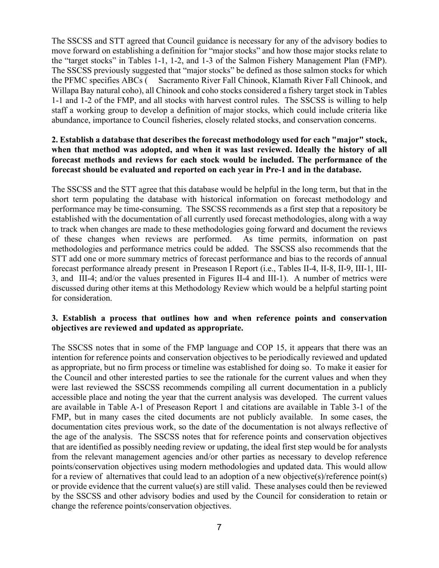The SSCSS and STT agreed that Council guidance is necessary for any of the advisory bodies to move forward on establishing a definition for "major stocks" and how those major stocks relate to the "target stocks" in Tables 1-1, 1-2, and 1-3 of the Salmon Fishery Management Plan (FMP). The SSCSS previously suggested that "major stocks" be defined as those salmon stocks for which the PFMC specifies ABCs ( Sacramento River Fall Chinook, Klamath River Fall Chinook, and Willapa Bay natural coho), all Chinook and coho stocks considered a fishery target stock in Tables 1-1 and 1-2 of the FMP, and all stocks with harvest control rules. The SSCSS is willing to help staff a working group to develop a definition of major stocks, which could include criteria like abundance, importance to Council fisheries, closely related stocks, and conservation concerns.

#### **2. Establish a database that describes the forecast methodology used for each "major" stock, when that method was adopted, and when it was last reviewed. Ideally the history of all forecast methods and reviews for each stock would be included. The performance of the forecast should be evaluated and reported on each year in Pre-1 and in the database.**

The SSCSS and the STT agree that this database would be helpful in the long term, but that in the short term populating the database with historical information on forecast methodology and performance may be time-consuming. The SSCSS recommends as a first step that a repository be established with the documentation of all currently used forecast methodologies, along with a way to track when changes are made to these methodologies going forward and document the reviews of these changes when reviews are performed. As time permits, information on past methodologies and performance metrics could be added. The SSCSS also recommends that the STT add one or more summary metrics of forecast performance and bias to the records of annual forecast performance already present in Preseason I Report (i.e., Tables II-4, II-8, II-9, III-1, III-3, and III-4; and/or the values presented in Figures II-4 and III-1). A number of metrics were discussed during other items at this Methodology Review which would be a helpful starting point for consideration.

#### **3. Establish a process that outlines how and when reference points and conservation objectives are reviewed and updated as appropriate.**

The SSCSS notes that in some of the FMP language and COP 15, it appears that there was an intention for reference points and conservation objectives to be periodically reviewed and updated as appropriate, but no firm process or timeline was established for doing so. To make it easier for the Council and other interested parties to see the rationale for the current values and when they were last reviewed the SSCSS recommends compiling all current documentation in a publicly accessible place and noting the year that the current analysis was developed. The current values are available in Table A-1 of Preseason Report 1 and citations are available in Table 3-1 of the FMP, but in many cases the cited documents are not publicly available. In some cases, the documentation cites previous work, so the date of the documentation is not always reflective of the age of the analysis. The SSCSS notes that for reference points and conservation objectives that are identified as possibly needing review or updating, the ideal first step would be for analysts from the relevant management agencies and/or other parties as necessary to develop reference points/conservation objectives using modern methodologies and updated data. This would allow for a review of alternatives that could lead to an adoption of a new objective(s)/reference point(s) or provide evidence that the current value(s) are still valid. These analyses could then be reviewed by the SSCSS and other advisory bodies and used by the Council for consideration to retain or change the reference points/conservation objectives.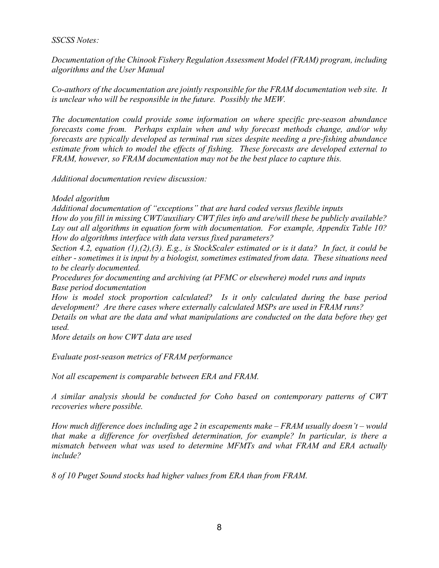#### *SSCSS Notes:*

*Documentation of the Chinook Fishery Regulation Assessment Model (FRAM) program, including algorithms and the User Manual*

*Co-authors of the documentation are jointly responsible for the FRAM documentation web site. It is unclear who will be responsible in the future. Possibly the MEW.* 

*The documentation could provide some information on where specific pre-season abundance forecasts come from. Perhaps explain when and why forecast methods change, and/or why forecasts are typically developed as terminal run sizes despite needing a pre-fishing abundance estimate from which to model the effects of fishing. These forecasts are developed external to FRAM, however, so FRAM documentation may not be the best place to capture this.*

*Additional documentation review discussion:*

#### *Model algorithm*

*Additional documentation of "exceptions" that are hard coded versus flexible inputs* 

*How do you fill in missing CWT/auxiliary CWT files info and are/will these be publicly available? Lay out all algorithms in equation form with documentation. For example, Appendix Table 10? How do algorithms interface with data versus fixed parameters?*

*Section 4.2, equation (1),(2),(3). E.g., is StockScaler estimated or is it data? In fact, it could be either - sometimes it is input by a biologist, sometimes estimated from data. These situations need to be clearly documented.*

*Procedures for documenting and archiving (at PFMC or elsewhere) model runs and inputs Base period documentation*

*How is model stock proportion calculated? Is it only calculated during the base period development? Are there cases where externally calculated MSPs are used in FRAM runs?*

*Details on what are the data and what manipulations are conducted on the data before they get used.*

*More details on how CWT data are used*

*Evaluate post-season metrics of FRAM performance*

*Not all escapement is comparable between ERA and FRAM.*

*A similar analysis should be conducted for Coho based on contemporary patterns of CWT recoveries where possible.*

*How much difference does including age 2 in escapements make – FRAM usually doesn't – would that make a difference for overfished determination, for example? In particular, is there a mismatch between what was used to determine MFMTs and what FRAM and ERA actually include?* 

*8 of 10 Puget Sound stocks had higher values from ERA than from FRAM.*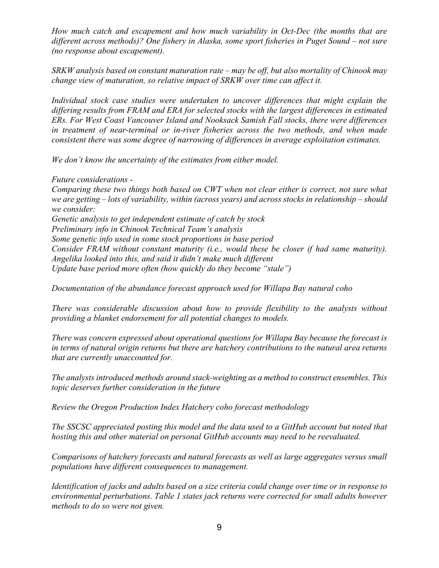*How much catch and escapement and how much variability in Oct-Dec (the months that are different across methods)? One fishery in Alaska, some sport fisheries in Puget Sound – not sure (no response about escapement).*

*SRKW analysis based on constant maturation rate – may be off, but also mortality of Chinook may change view of maturation, so relative impact of SRKW over time can affect it.*

*Individual stock case studies were undertaken to uncover differences that might explain the differing results from FRAM and ERA for selected stocks with the largest differences in estimated ERs. For West Coast Vancouver Island and Nooksack Samish Fall stocks, there were differences in treatment of near-terminal or in-river fisheries across the two methods, and when made consistent there was some degree of narrowing of differences in average exploitation estimates.* 

*We don't know the uncertainty of the estimates from either model.*

*Future considerations -*

*Comparing these two things both based on CWT when not clear either is correct, not sure what we are getting – lots of variability, within (across years) and across stocks in relationship – should we consider: Genetic analysis to get independent estimate of catch by stock Preliminary info in Chinook Technical Team's analysis Some genetic info used in some stock proportions in base period Consider FRAM without constant maturity (i.e., would these be closer if had same maturity). Angelika looked into this, and said it didn't make much different*

*Update base period more often (how quickly do they become "stale")*

*Documentation of the abundance forecast approach used for Willapa Bay natural coho*

*There was considerable discussion about how to provide flexibility to the analysts without providing a blanket endorsement for all potential changes to models.* 

*There was concern expressed about operational questions for Willapa Bay because the forecast is in terms of natural origin returns but there are hatchery contributions to the natural area returns that are currently unaccounted for.*

*The analysts introduced methods around stack-weighting as a method to construct ensembles. This topic deserves further consideration in the future*

*Review the Oregon Production Index Hatchery coho forecast methodology*

*The SSCSC appreciated posting this model and the data used to a GitHub account but noted that hosting this and other material on personal GitHub accounts may need to be reevaluated.*

*Comparisons of hatchery forecasts and natural forecasts as well as large aggregates versus small populations have different consequences to management.*

*Identification of jacks and adults based on a size criteria could change over time or in response to environmental perturbations. Table 1 states jack returns were corrected for small adults however methods to do so were not given.*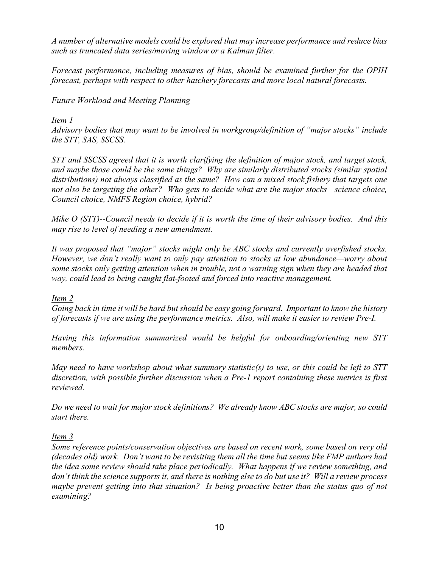*A number of alternative models could be explored that may increase performance and reduce bias such as truncated data series/moving window or a Kalman filter.*

*Forecast performance, including measures of bias, should be examined further for the OPIH forecast, perhaps with respect to other hatchery forecasts and more local natural forecasts.*

*Future Workload and Meeting Planning* 

## *Item 1*

*Advisory bodies that may want to be involved in workgroup/definition of "major stocks" include the STT, SAS, SSCSS.* 

*STT and SSCSS agreed that it is worth clarifying the definition of major stock, and target stock, and maybe those could be the same things? Why are similarly distributed stocks (similar spatial distributions) not always classified as the same? How can a mixed stock fishery that targets one not also be targeting the other? Who gets to decide what are the major stocks—science choice, Council choice, NMFS Region choice, hybrid?*

*Mike O (STT)--Council needs to decide if it is worth the time of their advisory bodies. And this may rise to level of needing a new amendment.*

*It was proposed that "major" stocks might only be ABC stocks and currently overfished stocks. However, we don't really want to only pay attention to stocks at low abundance—worry about some stocks only getting attention when in trouble, not a warning sign when they are headed that way, could lead to being caught flat-footed and forced into reactive management.* 

#### *Item 2*

*Going back in time it will be hard but should be easy going forward. Important to know the history of forecasts if we are using the performance metrics. Also, will make it easier to review Pre-I.* 

*Having this information summarized would be helpful for onboarding/orienting new STT members.*

*May need to have workshop about what summary statistic(s) to use, or this could be left to STT discretion, with possible further discussion when a Pre-1 report containing these metrics is first reviewed.* 

*Do we need to wait for major stock definitions? We already know ABC stocks are major, so could start there.* 

#### *Item 3*

*Some reference points/conservation objectives are based on recent work, some based on very old (decades old) work. Don't want to be revisiting them all the time but seems like FMP authors had the idea some review should take place periodically. What happens if we review something, and don't think the science supports it, and there is nothing else to do but use it? Will a review process maybe prevent getting into that situation? Is being proactive better than the status quo of not examining?*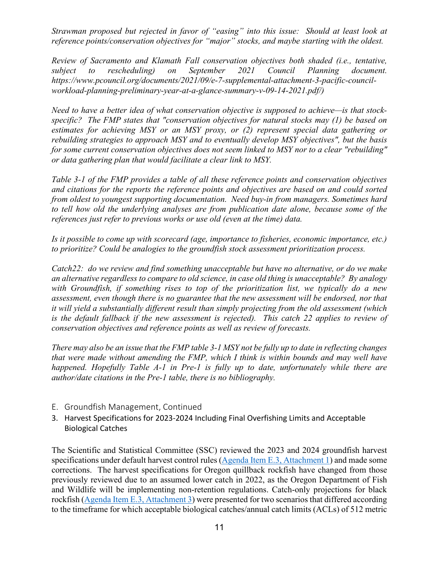*Strawman proposed but rejected in favor of "easing" into this issue: Should at least look at reference points/conservation objectives for "major" stocks, and maybe starting with the oldest.* 

*Review of Sacramento and Klamath Fall conservation objectives both shaded (i.e., tentative, subject to rescheduling) on September 2021 Council Planning document. https://www.pcouncil.org/documents/2021/09/e-7-supplemental-attachment-3-pacific-councilworkload-planning-preliminary-year-at-a-glance-summary-v-09-14-2021.pdf/)* 

*Need to have a better idea of what conservation objective is supposed to achieve—is that stockspecific? The FMP states that "conservation objectives for natural stocks may (1) be based on estimates for achieving MSY or an MSY proxy, or (2) represent special data gathering or rebuilding strategies to approach MSY and to eventually develop MSY objectives", but the basis for some current conservation objectives does not seem linked to MSY nor to a clear "rebuilding" or data gathering plan that would facilitate a clear link to MSY.*

*Table 3-1 of the FMP provides a table of all these reference points and conservation objectives and citations for the reports the reference points and objectives are based on and could sorted from oldest to youngest supporting documentation. Need buy-in from managers. Sometimes hard to tell how old the underlying analyses are from publication date alone, because some of the references just refer to previous works or use old (even at the time) data.* 

*Is it possible to come up with scorecard (age, importance to fisheries, economic importance, etc.) to prioritize? Could be analogies to the groundfish stock assessment prioritization process.* 

*Catch22: do we review and find something unacceptable but have no alternative, or do we make an alternative regardless to compare to old science, in case old thing is unacceptable? By analogy with Groundfish, if something rises to top of the prioritization list, we typically do a new assessment, even though there is no guarantee that the new assessment will be endorsed, nor that it will yield a substantially different result than simply projecting from the old assessment (which is the default fallback if the new assessment is rejected). This catch 22 applies to review of conservation objectives and reference points as well as review of forecasts.*

*There may also be an issue that the FMP table 3-1 MSY not be fully up to date in reflecting changes that were made without amending the FMP, which I think is within bounds and may well have happened. Hopefully Table A-1 in Pre-1 is fully up to date, unfortunately while there are author/date citations in the Pre-1 table, there is no bibliography.*

- E. Groundfish Management, Continued
- 3. Harvest Specifications for 2023-2024 Including Final Overfishing Limits and Acceptable Biological Catches

The Scientific and Statistical Committee (SSC) reviewed the 2023 and 2024 groundfish harvest specifications under default harvest control rules [\(Agenda Item E.3, Attachment 1\)](https://www.pcouncil.org/documents/2021/10/e-3-attachment-1-2023-and-2024-groundfish-harvest-specifications-under-default-harvest-control-rules.pdf/) and made some corrections. The harvest specifications for Oregon quillback rockfish have changed from those previously reviewed due to an assumed lower catch in 2022, as the Oregon Department of Fish and Wildlife will be implementing non-retention regulations. Catch-only projections for black rockfish [\(Agenda Item E.3, Attachment 3\)](https://www.pcouncil.org/documents/2021/10/attachment-3-catch-only-projections-for-black-rockfish-sebastes-melanops-off-oregon-in-2021.pdf/) were presented for two scenarios that differed according to the timeframe for which acceptable biological catches/annual catch limits (ACLs) of 512 metric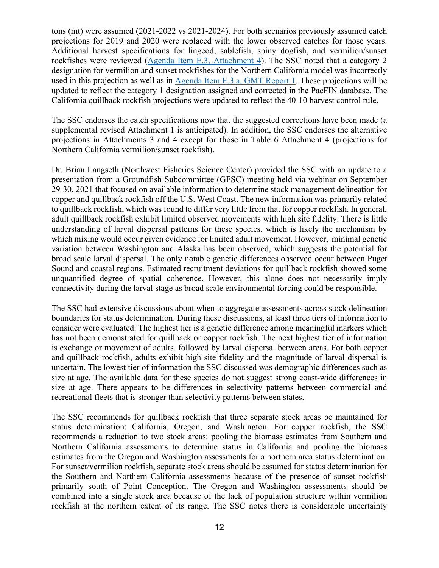tons (mt) were assumed (2021-2022 vs 2021-2024). For both scenarios previously assumed catch projections for 2019 and 2020 were replaced with the lower observed catches for those years. Additional harvest specifications for lingcod, sablefish, spiny dogfish, and vermilion/sunset rockfishes were reviewed [\(Agenda Item E.3, Attachment 4\)](https://www.pcouncil.org/documents/2021/10/e-3-attachment-4-harvest-specification-projections-for-select-west-coast-groundfish-stocks-under-alternative-harvest-control-rules-for-2023-and-beyond.pdf/). The SSC noted that a category 2 designation for vermilion and sunset rockfishes for the Northern California model was incorrectly used in this projection as well as in [Agenda Item E.3.a, GMT Report 1.](https://www.pcouncil.org/documents/2021/11/e-3-a-gmt-report-1-groundfish-management-team-report-on-biennial-harvest-specifications-for-2023-24-including-overfishing-limits-and-acceptable-biological-catches.pdf/) These projections will be updated to reflect the category 1 designation assigned and corrected in the PacFIN database. The California quillback rockfish projections were updated to reflect the 40-10 harvest control rule.

The SSC endorses the catch specifications now that the suggested corrections have been made (a supplemental revised Attachment 1 is anticipated). In addition, the SSC endorses the alternative projections in Attachments 3 and 4 except for those in Table 6 Attachment 4 (projections for Northern California vermilion/sunset rockfish).

Dr. Brian Langseth (Northwest Fisheries Science Center) provided the SSC with an update to a presentation from a Groundfish Subcommittee (GFSC) meeting held via webinar on September 29-30, 2021 that focused on available information to determine stock management delineation for copper and quillback rockfish off the U.S. West Coast. The new information was primarily related to quillback rockfish, which was found to differ very little from that for copper rockfish. In general, adult quillback rockfish exhibit limited observed movements with high site fidelity. There is little understanding of larval dispersal patterns for these species, which is likely the mechanism by which mixing would occur given evidence for limited adult movement. However, minimal genetic variation between Washington and Alaska has been observed, which suggests the potential for broad scale larval dispersal. The only notable genetic differences observed occur between Puget Sound and coastal regions. Estimated recruitment deviations for quillback rockfish showed some unquantified degree of spatial coherence. However, this alone does not necessarily imply connectivity during the larval stage as broad scale environmental forcing could be responsible.

The SSC had extensive discussions about when to aggregate assessments across stock delineation boundaries for status determination. During these discussions, at least three tiers of information to consider were evaluated. The highest tier is a genetic difference among meaningful markers which has not been demonstrated for quillback or copper rockfish. The next highest tier of information is exchange or movement of adults, followed by larval dispersal between areas. For both copper and quillback rockfish, adults exhibit high site fidelity and the magnitude of larval dispersal is uncertain. The lowest tier of information the SSC discussed was demographic differences such as size at age. The available data for these species do not suggest strong coast-wide differences in size at age. There appears to be differences in selectivity patterns between commercial and recreational fleets that is stronger than selectivity patterns between states.

The SSC recommends for quillback rockfish that three separate stock areas be maintained for status determination: California, Oregon, and Washington. For copper rockfish, the SSC recommends a reduction to two stock areas: pooling the biomass estimates from Southern and Northern California assessments to determine status in California and pooling the biomass estimates from the Oregon and Washington assessments for a northern area status determination. For sunset/vermilion rockfish, separate stock areas should be assumed for status determination for the Southern and Northern California assessments because of the presence of sunset rockfish primarily south of Point Conception. The Oregon and Washington assessments should be combined into a single stock area because of the lack of population structure within vermilion rockfish at the northern extent of its range. The SSC notes there is considerable uncertainty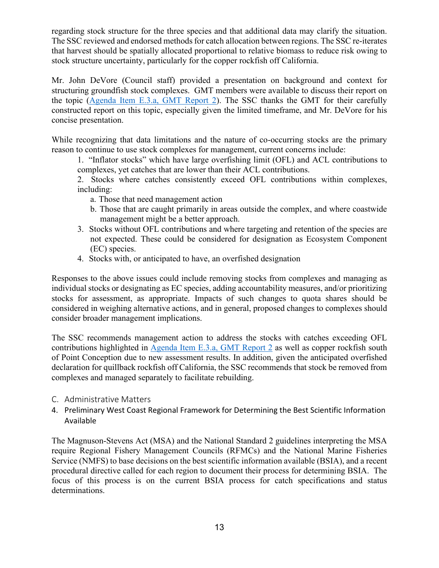regarding stock structure for the three species and that additional data may clarify the situation. The SSC reviewed and endorsed methods for catch allocation between regions. The SSC re-iterates that harvest should be spatially allocated proportional to relative biomass to reduce risk owing to stock structure uncertainty, particularly for the copper rockfish off California.

Mr. John DeVore (Council staff) provided a presentation on background and context for structuring groundfish stock complexes. GMT members were available to discuss their report on the topic [\(Agenda Item E.3.a, GMT Report 2\)](https://www.pcouncil.org/documents/2021/11/e-3-a-gmt-report-2-groundfish-management-team-report-on-stock-complexes.pdf/). The SSC thanks the GMT for their carefully constructed report on this topic, especially given the limited timeframe, and Mr. DeVore for his concise presentation.

While recognizing that data limitations and the nature of co-occurring stocks are the primary reason to continue to use stock complexes for management, current concerns include:

1. "Inflator stocks" which have large overfishing limit (OFL) and ACL contributions to complexes, yet catches that are lower than their ACL contributions.

2. Stocks where catches consistently exceed OFL contributions within complexes, including:

- a. Those that need management action
- b. Those that are caught primarily in areas outside the complex, and where coastwide management might be a better approach.
- 3. Stocks without OFL contributions and where targeting and retention of the species are not expected. These could be considered for designation as Ecosystem Component (EC) species.
- 4. Stocks with, or anticipated to have, an overfished designation

Responses to the above issues could include removing stocks from complexes and managing as individual stocks or designating as EC species, adding accountability measures, and/or prioritizing stocks for assessment, as appropriate. Impacts of such changes to quota shares should be considered in weighing alternative actions, and in general, proposed changes to complexes should consider broader management implications.

The SSC recommends management action to address the stocks with catches exceeding OFL contributions highlighted in Agenda [Item E.3.a, GMT Report 2](https://www.pcouncil.org/documents/2021/11/e-3-a-gmt-report-2-groundfish-management-team-report-on-stock-complexes.pdf/) as well as copper rockfish south of Point Conception due to new assessment results. In addition, given the anticipated overfished declaration for quillback rockfish off California, the SSC recommends that stock be removed from complexes and managed separately to facilitate rebuilding.

- C. Administrative Matters
- 4. Preliminary West Coast Regional Framework for Determining the Best Scientific Information Available

The Magnuson-Stevens Act (MSA) and the National Standard 2 guidelines interpreting the MSA require Regional Fishery Management Councils (RFMCs) and the National Marine Fisheries Service (NMFS) to base decisions on the best scientific information available (BSIA), and a recent procedural directive called for each region to document their process for determining BSIA. The focus of this process is on the current BSIA process for catch specifications and status determinations.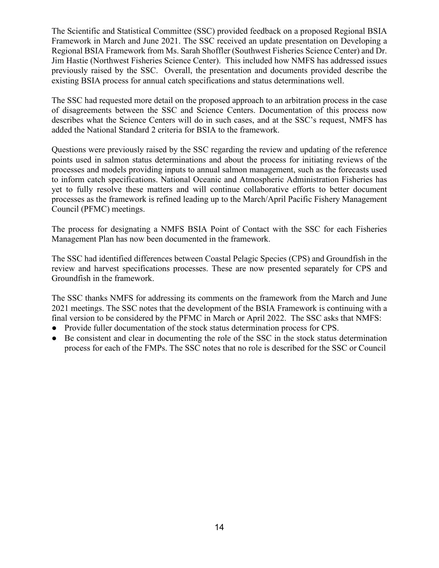The Scientific and Statistical Committee (SSC) provided feedback on a proposed Regional BSIA Framework in March and June 2021. The SSC received an update presentation on Developing a Regional BSIA Framework from Ms. Sarah Shoffler (Southwest Fisheries Science Center) and Dr. Jim Hastie (Northwest Fisheries Science Center). This included how NMFS has addressed issues previously raised by the SSC. Overall, the presentation and documents provided describe the existing BSIA process for annual catch specifications and status determinations well.

The SSC had requested more detail on the proposed approach to an arbitration process in the case of disagreements between the SSC and Science Centers. Documentation of this process now describes what the Science Centers will do in such cases, and at the SSC's request, NMFS has added the National Standard 2 criteria for BSIA to the framework.

Questions were previously raised by the SSC regarding the review and updating of the reference points used in salmon status determinations and about the process for initiating reviews of the processes and models providing inputs to annual salmon management, such as the forecasts used to inform catch specifications. National Oceanic and Atmospheric Administration Fisheries has yet to fully resolve these matters and will continue collaborative efforts to better document processes as the framework is refined leading up to the March/April Pacific Fishery Management Council (PFMC) meetings.

The process for designating a NMFS BSIA Point of Contact with the SSC for each Fisheries Management Plan has now been documented in the framework.

The SSC had identified differences between Coastal Pelagic Species (CPS) and Groundfish in the review and harvest specifications processes. These are now presented separately for CPS and Groundfish in the framework.

The SSC thanks NMFS for addressing its comments on the framework from the March and June 2021 meetings. The SSC notes that the development of the BSIA Framework is continuing with a final version to be considered by the PFMC in March or April 2022. The SSC asks that NMFS:

- Provide fuller documentation of the stock status determination process for CPS.
- Be consistent and clear in documenting the role of the SSC in the stock status determination process for each of the FMPs. The SSC notes that no role is described for the SSC or Council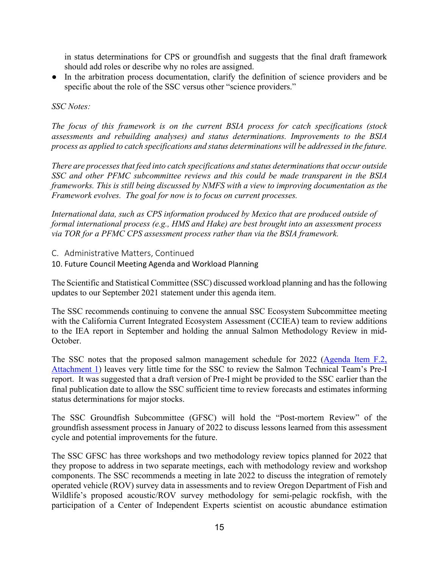in status determinations for CPS or groundfish and suggests that the final draft framework should add roles or describe why no roles are assigned.

● In the arbitration process documentation, clarify the definition of science providers and be specific about the role of the SSC versus other "science providers."

#### *SSC Notes:*

*The focus of this framework is on the current BSIA process for catch specifications (stock assessments and rebuilding analyses) and status determinations. Improvements to the BSIA process as applied to catch specifications and status determinations will be addressed in the future.* 

*There are processes that feed into catch specifications and status determinations that occur outside SSC and other PFMC subcommittee reviews and this could be made transparent in the BSIA frameworks. This is still being discussed by NMFS with a view to improving documentation as the Framework evolves. The goal for now is to focus on current processes.*

*International data, such as CPS information produced by Mexico that are produced outside of formal international process (e.g., HMS and Hake) are best brought into an assessment process via TOR for a PFMC CPS assessment process rather than via the BSIA framework.*

C. Administrative Matters, Continued

10. Future Council Meeting Agenda and Workload Planning

The Scientific and Statistical Committee (SSC) discussed workload planning and has the following updates to our September 2021 statement under this agenda item.

The SSC recommends continuing to convene the annual SSC Ecosystem Subcommittee meeting with the California Current Integrated Ecosystem Assessment (CCIEA) team to review additions to the IEA report in September and holding the annual Salmon Methodology Review in mid-October.

The SSC notes that the proposed salmon management schedule for 2022 [\(Agenda Item F.2,](https://www.pcouncil.org/documents/2021/10/f-2-attachment-1-pacific-fishery-management-council-proposed-schedule-and-process-for-developing-2022-ocean-salmon-fishery-management-measures.pdf/)  [Attachment 1\)](https://www.pcouncil.org/documents/2021/10/f-2-attachment-1-pacific-fishery-management-council-proposed-schedule-and-process-for-developing-2022-ocean-salmon-fishery-management-measures.pdf/) leaves very little time for the SSC to review the Salmon Technical Team's Pre-I report. It was suggested that a draft version of Pre-I might be provided to the SSC earlier than the final publication date to allow the SSC sufficient time to review forecasts and estimates informing status determinations for major stocks.

The SSC Groundfish Subcommittee (GFSC) will hold the "Post-mortem Review" of the groundfish assessment process in January of 2022 to discuss lessons learned from this assessment cycle and potential improvements for the future.

The SSC GFSC has three workshops and two methodology review topics planned for 2022 that they propose to address in two separate meetings, each with methodology review and workshop components. The SSC recommends a meeting in late 2022 to discuss the integration of remotely operated vehicle (ROV) survey data in assessments and to review Oregon Department of Fish and Wildlife's proposed acoustic/ROV survey methodology for semi-pelagic rockfish, with the participation of a Center of Independent Experts scientist on acoustic abundance estimation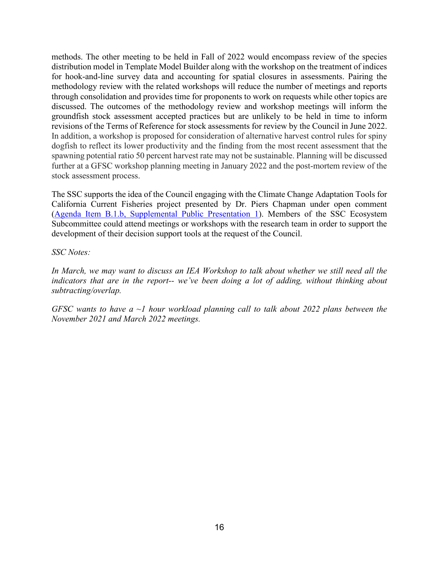methods. The other meeting to be held in Fall of 2022 would encompass review of the species distribution model in Template Model Builder along with the workshop on the treatment of indices for hook-and-line survey data and accounting for spatial closures in assessments. Pairing the methodology review with the related workshops will reduce the number of meetings and reports through consolidation and provides time for proponents to work on requests while other topics are discussed. The outcomes of the methodology review and workshop meetings will inform the groundfish stock assessment accepted practices but are unlikely to be held in time to inform revisions of the Terms of Reference for stock assessments for review by the Council in June 2022. In addition, a workshop is proposed for consideration of alternative harvest control rules for spiny dogfish to reflect its lower productivity and the finding from the most recent assessment that the spawning potential ratio 50 percent harvest rate may not be sustainable. Planning will be discussed further at a GFSC workshop planning meeting in January 2022 and the post-mortem review of the stock assessment process.

The SSC supports the idea of the Council engaging with the Climate Change Adaptation Tools for California Current Fisheries project presented by Dr. Piers Chapman under open comment [\(Agenda Item B.1.b, Supplemental Public Presentation 1\)](https://www.pcouncil.org/documents/2021/11/b-1-b-supplemental-public-presentation-1-climate-change-adaptation-tools-for-california-current-fisheries-catcch-chapman.pdf/). Members of the SSC Ecosystem Subcommittee could attend meetings or workshops with the research team in order to support the development of their decision support tools at the request of the Council.

*SSC Notes:*

In March, we may want to discuss an IEA Workshop to talk about whether we still need all the *indicators that are in the report-- we've been doing a lot of adding, without thinking about subtracting/overlap.*

*GFSC wants to have a ~1 hour workload planning call to talk about 2022 plans between the November 2021 and March 2022 meetings.*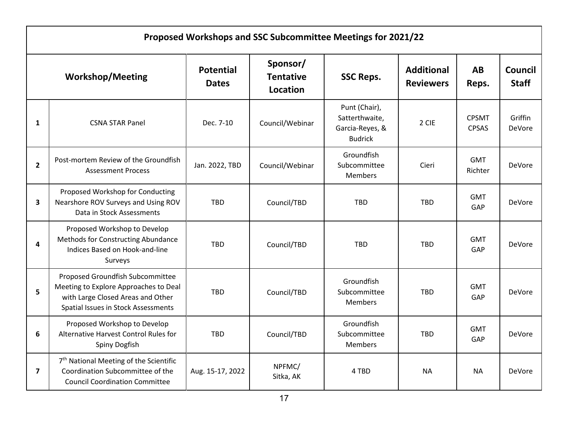| Proposed Workshops and SSC Subcommittee Meetings for 2021/22 |                                                                                                                                                       |                                  |                                                              |                                                                      |                                       |                              |                                |
|--------------------------------------------------------------|-------------------------------------------------------------------------------------------------------------------------------------------------------|----------------------------------|--------------------------------------------------------------|----------------------------------------------------------------------|---------------------------------------|------------------------------|--------------------------------|
|                                                              | <b>Workshop/Meeting</b>                                                                                                                               | <b>Potential</b><br><b>Dates</b> | Sponsor/<br><b>Tentative</b><br><b>SSC Reps.</b><br>Location |                                                                      | <b>Additional</b><br><b>Reviewers</b> | <b>AB</b><br>Reps.           | <b>Council</b><br><b>Staff</b> |
| $\mathbf{1}$                                                 | <b>CSNA STAR Panel</b>                                                                                                                                | Dec. 7-10                        | Council/Webinar                                              | Punt (Chair),<br>Satterthwaite,<br>Garcia-Reyes, &<br><b>Budrick</b> | 2 CIE                                 | <b>CPSMT</b><br><b>CPSAS</b> | Griffin<br>DeVore              |
| $\overline{2}$                                               | Post-mortem Review of the Groundfish<br><b>Assessment Process</b>                                                                                     | Jan. 2022, TBD                   | Council/Webinar                                              | Groundfish<br>Subcommittee<br><b>Members</b>                         | Cieri                                 | <b>GMT</b><br>Richter        | <b>DeVore</b>                  |
| 3                                                            | Proposed Workshop for Conducting<br>Nearshore ROV Surveys and Using ROV<br>Data in Stock Assessments                                                  | <b>TBD</b>                       | Council/TBD                                                  | <b>TBD</b>                                                           | <b>TBD</b>                            | <b>GMT</b><br>GAP            | DeVore                         |
| 4                                                            | Proposed Workshop to Develop<br>Methods for Constructing Abundance<br>Indices Based on Hook-and-line<br>Surveys                                       | <b>TBD</b>                       | Council/TBD                                                  | <b>TBD</b>                                                           | <b>TBD</b>                            | <b>GMT</b><br>GAP            | <b>DeVore</b>                  |
| 5                                                            | Proposed Groundfish Subcommittee<br>Meeting to Explore Approaches to Deal<br>with Large Closed Areas and Other<br>Spatial Issues in Stock Assessments | <b>TBD</b>                       | Council/TBD                                                  | Groundfish<br>Subcommittee<br><b>Members</b>                         | <b>TBD</b>                            | <b>GMT</b><br>GAP            | <b>DeVore</b>                  |
| 6                                                            | Proposed Workshop to Develop<br>Alternative Harvest Control Rules for<br>Spiny Dogfish                                                                | <b>TBD</b>                       | Council/TBD                                                  | Groundfish<br>Subcommittee<br><b>Members</b>                         | <b>TBD</b>                            | <b>GMT</b><br>GAP            | DeVore                         |
| $\overline{7}$                                               | 7 <sup>th</sup> National Meeting of the Scientific<br>Coordination Subcommittee of the<br><b>Council Coordination Committee</b>                       | Aug. 15-17, 2022                 | NPFMC/<br>Sitka, AK                                          | 4 TBD                                                                | <b>NA</b>                             | <b>NA</b>                    | <b>DeVore</b>                  |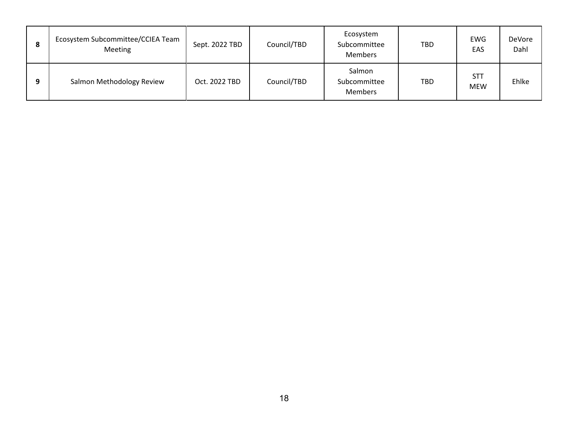| o<br>۰ | Ecosystem Subcommittee/CCIEA Team<br>Meeting | Sept. 2022 TBD | Council/TBD | Ecosystem<br>Subcommittee<br><b>Members</b> | <b>TBD</b> | EWG<br>EAS               | <b>DeVore</b><br>Dahl |
|--------|----------------------------------------------|----------------|-------------|---------------------------------------------|------------|--------------------------|-----------------------|
| Ω      | Salmon Methodology Review                    | Oct. 2022 TBD  | Council/TBD | Salmon<br>Subcommittee<br><b>Members</b>    | <b>TBD</b> | <b>STT</b><br><b>MEW</b> | Ehlke                 |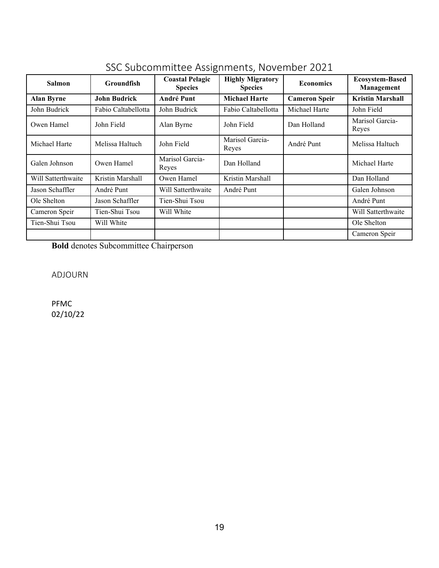| <b>Groundfish</b><br><b>Salmon</b> |                     | <b>Coastal Pelagic</b><br><b>Species</b> | <b>Highly Migratory</b><br><b>Species</b> | <b>Economics</b>     | <b>Ecosystem-Based</b><br>Management |
|------------------------------------|---------------------|------------------------------------------|-------------------------------------------|----------------------|--------------------------------------|
| <b>Alan Byrne</b>                  | <b>John Budrick</b> | <b>André Punt</b>                        | <b>Michael Harte</b>                      | <b>Cameron Speir</b> | <b>Kristin Marshall</b>              |
| John Budrick                       | Fabio Caltabellotta | John Budrick                             | Fabio Caltabellotta                       | Michael Harte        | John Field                           |
| Owen Hamel                         | John Field          | Alan Byrne                               | John Field                                | Dan Holland          | Marisol Garcia-<br>Reyes             |
| Michael Harte                      | Melissa Haltuch     | John Field                               | Marisol Garcia-<br>Reyes                  | André Punt           | Melissa Haltuch                      |
| Galen Johnson<br>Owen Hamel        |                     | Marisol Garcia-<br>Reyes                 | Dan Holland                               |                      | Michael Harte                        |
| Will Satterthwaite                 | Kristin Marshall    | Owen Hamel                               | Kristin Marshall                          |                      | Dan Holland                          |
| Jason Schaffler                    | André Punt          | Will Satterthwaite                       | André Punt                                |                      | Galen Johnson                        |
| Ole Shelton                        | Jason Schaffler     | Tien-Shui Tsou                           |                                           |                      | André Punt                           |
| Cameron Speir                      | Tien-Shui Tsou      | Will White                               |                                           |                      | Will Satterthwaite                   |
| Tien-Shui Tsou                     | Will White          |                                          |                                           |                      | Ole Shelton                          |
|                                    |                     |                                          |                                           |                      | Cameron Speir                        |

# SSC Subcommittee Assignments, November 2021

**Bold** denotes Subcommittee Chairperson

ADJOURN

PFMC 02/10/22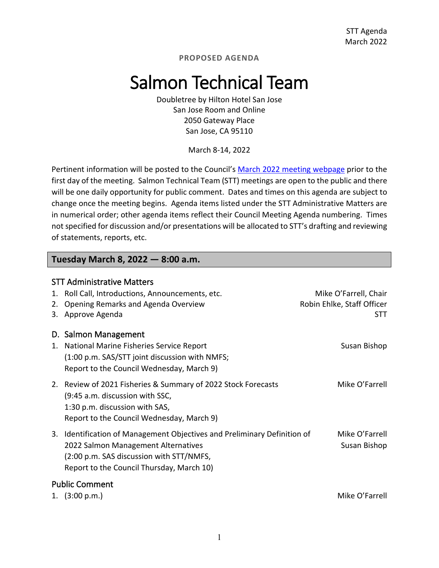**PROPOSED AGENDA**

# Salmon Technical Team

Doubletree by Hilton Hotel San Jose San Jose Room and Online 2050 Gateway Place San Jose, CA 95110

March 8-14, 2022

Pertinent information will be posted to the Council's [March 2022 meeting webpage](https://www.pcouncil.org/council_meeting/march-8-14-2022-council-meeting/) prior to the first day of the meeting. Salmon Technical Team (STT) meetings are open to the public and there will be one daily opportunity for public comment. Dates and times on this agenda are subject to change once the meeting begins. Agenda items listed under the STT Administrative Matters are in numerical order; other agenda items reflect their Council Meeting Agenda numbering. Times not specified for discussion and/or presentations will be allocated to STT's drafting and reviewing of statements, reports, etc.

#### **Tuesday March 8, 2022 — 8:00 a.m.**

|          | <b>STT Administrative Matters</b>                                                                                                                                                                        |                                                                   |
|----------|----------------------------------------------------------------------------------------------------------------------------------------------------------------------------------------------------------|-------------------------------------------------------------------|
| 1.<br>2. | Roll Call, Introductions, Announcements, etc.<br>Opening Remarks and Agenda Overview<br>3. Approve Agenda                                                                                                | Mike O'Farrell, Chair<br>Robin Ehlke, Staff Officer<br><b>STT</b> |
|          | D. Salmon Management                                                                                                                                                                                     |                                                                   |
| 1.       | National Marine Fisheries Service Report<br>(1:00 p.m. SAS/STT joint discussion with NMFS;<br>Report to the Council Wednesday, March 9)                                                                  | Susan Bishop                                                      |
|          | 2. Review of 2021 Fisheries & Summary of 2022 Stock Forecasts<br>(9:45 a.m. discussion with SSC,<br>1:30 p.m. discussion with SAS,<br>Report to the Council Wednesday, March 9)                          | Mike O'Farrell                                                    |
|          | 3. Identification of Management Objectives and Preliminary Definition of<br>2022 Salmon Management Alternatives<br>(2:00 p.m. SAS discussion with STT/NMFS,<br>Report to the Council Thursday, March 10) | Mike O'Farrell<br>Susan Bishop                                    |
|          | <b>Public Comment</b><br>(3:00 p.m.)                                                                                                                                                                     | Mike O'Farrell                                                    |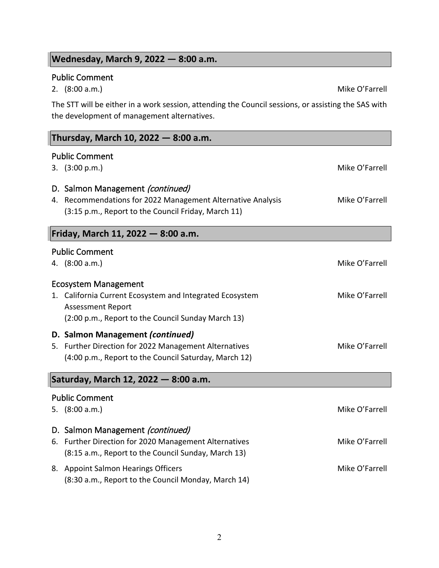# **Wednesday, March 9, 2022 — 8:00 a.m.**

# Public Comment

The STT will be either in a work session, attending the Council sessions, or assisting the SAS with the development of management alternatives.

| Thursday, March 10, 2022 – 8:00 a.m.                                                            |                |  |  |  |  |  |
|-------------------------------------------------------------------------------------------------|----------------|--|--|--|--|--|
| <b>Public Comment</b>                                                                           |                |  |  |  |  |  |
| 3. (3:00 p.m.)                                                                                  | Mike O'Farrell |  |  |  |  |  |
| D. Salmon Management (continued)<br>4. Recommendations for 2022 Management Alternative Analysis | Mike O'Farrell |  |  |  |  |  |
| (3:15 p.m., Report to the Council Friday, March 11)                                             |                |  |  |  |  |  |
| Friday, March 11, 2022 - 8:00 a.m.                                                              |                |  |  |  |  |  |
| <b>Public Comment</b>                                                                           |                |  |  |  |  |  |
| 4. (8:00 a.m.)                                                                                  | Mike O'Farrell |  |  |  |  |  |
| <b>Ecosystem Management</b>                                                                     |                |  |  |  |  |  |
| 1. California Current Ecosystem and Integrated Ecosystem                                        | Mike O'Farrell |  |  |  |  |  |
| <b>Assessment Report</b>                                                                        |                |  |  |  |  |  |
| (2:00 p.m., Report to the Council Sunday March 13)                                              |                |  |  |  |  |  |
| D. Salmon Management (continued)<br>5. Further Direction for 2022 Management Alternatives       | Mike O'Farrell |  |  |  |  |  |
| (4:00 p.m., Report to the Council Saturday, March 12)                                           |                |  |  |  |  |  |
|                                                                                                 |                |  |  |  |  |  |
| Saturday, March 12, 2022 - 8:00 a.m.                                                            |                |  |  |  |  |  |
| <b>Public Comment</b>                                                                           |                |  |  |  |  |  |
| 5. $(8:00 a.m.)$                                                                                | Mike O'Farrell |  |  |  |  |  |
| D. Salmon Management (continued)                                                                |                |  |  |  |  |  |
| 6. Further Direction for 2020 Management Alternatives                                           | Mike O'Farrell |  |  |  |  |  |
| (8:15 a.m., Report to the Council Sunday, March 13)                                             |                |  |  |  |  |  |
| 8. Appoint Salmon Hearings Officers<br>(8:30 a.m., Report to the Council Monday, March 14)      | Mike O'Farrell |  |  |  |  |  |

2. (8:00 a.m.) Mike O'Farrell